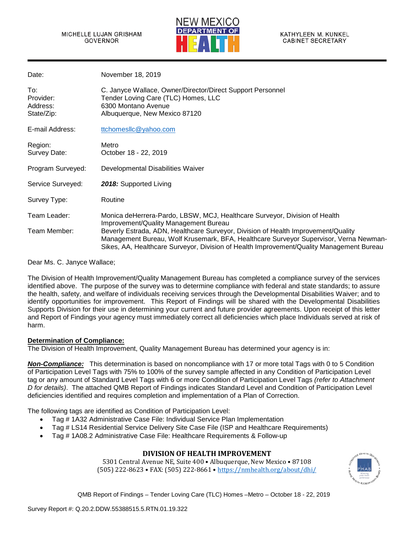

| Date:                                      | November 18, 2019                                                                                                                                                                                                                                                                                 |
|--------------------------------------------|---------------------------------------------------------------------------------------------------------------------------------------------------------------------------------------------------------------------------------------------------------------------------------------------------|
| To:<br>Provider:<br>Address:<br>State/Zip: | C. Janyce Wallace, Owner/Director/Direct Support Personnel<br>Tender Loving Care (TLC) Homes, LLC<br>6300 Montano Avenue<br>Albuquerque, New Mexico 87120                                                                                                                                         |
| E-mail Address:                            | ttchomesllc@yahoo.com                                                                                                                                                                                                                                                                             |
| Region:<br>Survey Date:                    | Metro<br>October 18 - 22, 2019                                                                                                                                                                                                                                                                    |
| Program Surveyed:                          | Developmental Disabilities Waiver                                                                                                                                                                                                                                                                 |
| Service Surveyed:                          | 2018: Supported Living                                                                                                                                                                                                                                                                            |
| Survey Type:                               | Routine                                                                                                                                                                                                                                                                                           |
| Team Leader:<br>Team Member:               | Monica deHerrera-Pardo, LBSW, MCJ, Healthcare Surveyor, Division of Health<br>Improvement/Quality Management Bureau<br>Beverly Estrada, ADN, Healthcare Surveyor, Division of Health Improvement/Quality<br>Management Bureau, Wolf Krusemark, BFA, Healthcare Surveyor Supervisor, Verna Newman- |
|                                            | Sikes, AA, Healthcare Surveyor, Division of Health Improvement/Quality Management Bureau                                                                                                                                                                                                          |

Dear Ms. C. Janyce Wallace;

The Division of Health Improvement/Quality Management Bureau has completed a compliance survey of the services identified above. The purpose of the survey was to determine compliance with federal and state standards; to assure the health, safety, and welfare of individuals receiving services through the Developmental Disabilities Waiver; and to identify opportunities for improvement. This Report of Findings will be shared with the Developmental Disabilities Supports Division for their use in determining your current and future provider agreements. Upon receipt of this letter and Report of Findings your agency must immediately correct all deficiencies which place Individuals served at risk of harm.

#### **Determination of Compliance:**

The Division of Health Improvement, Quality Management Bureau has determined your agency is in:

*Non-Compliance:* This determination is based on noncompliance with 17 or more total Tags with 0 to 5 Condition of Participation Level Tags with 75% to 100% of the survey sample affected in any Condition of Participation Level tag or any amount of Standard Level Tags with 6 or more Condition of Participation Level Tags *(refer to Attachment D for details)*. The attached QMB Report of Findings indicates Standard Level and Condition of Participation Level deficiencies identified and requires completion and implementation of a Plan of Correction.

The following tags are identified as Condition of Participation Level:

- Tag # 1A32 Administrative Case File: Individual Service Plan Implementation
- Tag # LS14 Residential Service Delivery Site Case File (ISP and Healthcare Requirements)
- Tag # 1A08.2 Administrative Case File: Healthcare Requirements & Follow-up

# **DIVISION OF HEALTH IMPROVEMENT**

5301 Central Avenue NE, Suite 400 • Albuquerque, New Mexico • 87108 (505) 222-8623 • FAX: (505) 222-8661 [• https://nmhealth.org/about/dhi/](https://nmhealth.org/about/dhi/)

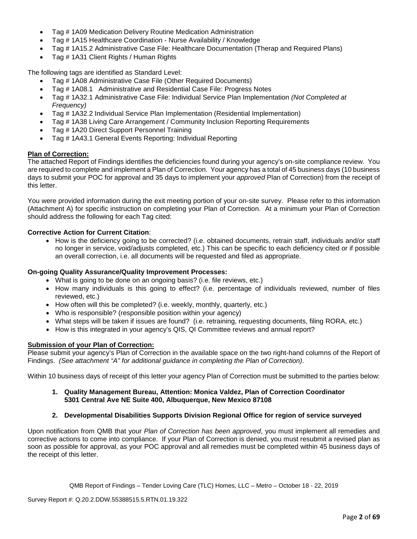- Tag # 1A09 Medication Delivery Routine Medication Administration
- Tag # 1A15 Healthcare Coordination Nurse Availability / Knowledge
- Tag # 1A15.2 Administrative Case File: Healthcare Documentation (Therap and Required Plans)
- Tag # 1A31 Client Rights / Human Rights

The following tags are identified as Standard Level:

- Tag # 1A08 Administrative Case File (Other Required Documents)
- Tag # 1A08.1 Administrative and Residential Case File: Progress Notes
- Tag # 1A32.1 Administrative Case File: Individual Service Plan Implementation *(Not Completed at Frequency)*
- Tag # 1A32.2 Individual Service Plan Implementation (Residential Implementation)
- Tag # 1A38 Living Care Arrangement / Community Inclusion Reporting Requirements
- Tag # 1A20 Direct Support Personnel Training
- Tag # 1A43.1 General Events Reporting: Individual Reporting

# **Plan of Correction:**

The attached Report of Findings identifies the deficiencies found during your agency's on-site compliance review. You are required to complete and implement a Plan of Correction. Your agency has a total of 45 business days (10 business days to submit your POC for approval and 35 days to implement your *approved* Plan of Correction) from the receipt of this letter.

You were provided information during the exit meeting portion of your on-site survey. Please refer to this information (Attachment A) for specific instruction on completing your Plan of Correction. At a minimum your Plan of Correction should address the following for each Tag cited:

# **Corrective Action for Current Citation**:

• How is the deficiency going to be corrected? (i.e. obtained documents, retrain staff, individuals and/or staff no longer in service, void/adjusts completed, etc.) This can be specific to each deficiency cited or if possible an overall correction, i.e. all documents will be requested and filed as appropriate.

# **On-going Quality Assurance/Quality Improvement Processes:**

- What is going to be done on an ongoing basis? (i.e. file reviews, etc.)
- How many individuals is this going to effect? (i.e. percentage of individuals reviewed, number of files reviewed, etc.)
- How often will this be completed? (i.e. weekly, monthly, quarterly, etc.)
- Who is responsible? (responsible position within your agency)
- What steps will be taken if issues are found? (i.e. retraining, requesting documents, filing RORA, etc.)
- How is this integrated in your agency's QIS, QI Committee reviews and annual report?

#### **Submission of your Plan of Correction:**

Please submit your agency's Plan of Correction in the available space on the two right-hand columns of the Report of Findings. *(See attachment "A" for additional guidance in completing the Plan of Correction)*.

Within 10 business days of receipt of this letter your agency Plan of Correction must be submitted to the parties below:

#### **1. Quality Management Bureau, Attention: Monica Valdez, Plan of Correction Coordinator 5301 Central Ave NE Suite 400, Albuquerque, New Mexico 87108**

# **2. Developmental Disabilities Supports Division Regional Office for region of service surveyed**

Upon notification from QMB that your *Plan of Correction has been approved*, you must implement all remedies and corrective actions to come into compliance. If your Plan of Correction is denied, you must resubmit a revised plan as soon as possible for approval, as your POC approval and all remedies must be completed within 45 business days of the receipt of this letter.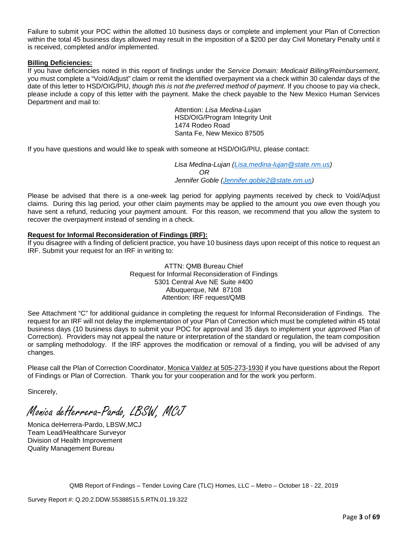Failure to submit your POC within the allotted 10 business days or complete and implement your Plan of Correction within the total 45 business days allowed may result in the imposition of a \$200 per day Civil Monetary Penalty until it is received, completed and/or implemented.

## **Billing Deficiencies:**

If you have deficiencies noted in this report of findings under the *Service Domain: Medicaid Billing/Reimbursement*, you must complete a "Void/Adjust" claim or remit the identified overpayment via a check within 30 calendar days of the date of this letter to HSD/OIG/PIU, *though this is not the preferred method of payment*. If you choose to pay via check, please include a copy of this letter with the payment. Make the check payable to the New Mexico Human Services Department and mail to:

> Attention: *Lisa Medina-Lujan* HSD/OIG/Program Integrity Unit 1474 Rodeo Road Santa Fe, New Mexico 87505

If you have questions and would like to speak with someone at HSD/OIG/PIU, please contact:

*Lisa Medina-Lujan [\(Lisa.medina-lujan@state.nm.us\)](mailto:Lisa.medina-lujan@state.nm.us) OR Jennifer Goble [\(Jennifer.goble2@state.nm.us\)](mailto:Jennifer.goble2@state.nm.us)*

Please be advised that there is a one-week lag period for applying payments received by check to Void/Adjust claims. During this lag period, your other claim payments may be applied to the amount you owe even though you have sent a refund, reducing your payment amount. For this reason, we recommend that you allow the system to recover the overpayment instead of sending in a check.

## **Request for Informal Reconsideration of Findings (IRF):**

If you disagree with a finding of deficient practice, you have 10 business days upon receipt of this notice to request an IRF. Submit your request for an IRF in writing to:

> ATTN: QMB Bureau Chief Request for Informal Reconsideration of Findings 5301 Central Ave NE Suite #400 Albuquerque, NM 87108 Attention: IRF request/QMB

See Attachment "C" for additional guidance in completing the request for Informal Reconsideration of Findings. The request for an IRF will not delay the implementation of your Plan of Correction which must be completed within 45 total business days (10 business days to submit your POC for approval and 35 days to implement your *approved* Plan of Correction). Providers may not appeal the nature or interpretation of the standard or regulation, the team composition or sampling methodology. If the IRF approves the modification or removal of a finding, you will be advised of any changes.

Please call the Plan of Correction Coordinator, Monica Valdez at 505-273-1930 if you have questions about the Report of Findings or Plan of Correction. Thank you for your cooperation and for the work you perform.

Sincerely,

Monica deHerrera-Pardo, LBSW, MCJ

Monica deHerrera-Pardo, LBSW,MCJ Team Lead/Healthcare Surveyor Division of Health Improvement Quality Management Bureau

QMB Report of Findings – Tender Loving Care (TLC) Homes, LLC – Metro – October 18 - 22, 2019

Survey Report #: Q.20.2.DDW.55388515.5.RTN.01.19.322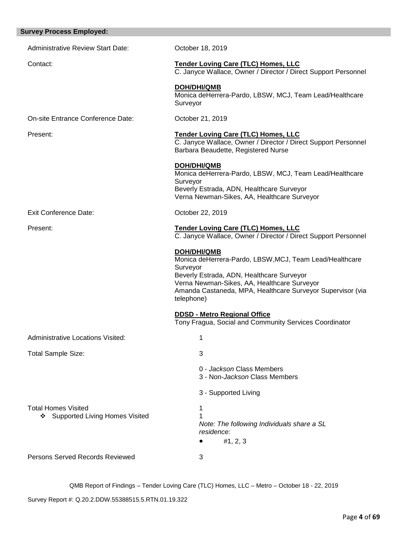| <b>Survey Process Employed:</b>                                |                                                                                                                                                                                                                                                                   |
|----------------------------------------------------------------|-------------------------------------------------------------------------------------------------------------------------------------------------------------------------------------------------------------------------------------------------------------------|
| <b>Administrative Review Start Date:</b>                       | October 18, 2019                                                                                                                                                                                                                                                  |
| Contact:                                                       | <b>Tender Loving Care (TLC) Homes, LLC</b><br>C. Janyce Wallace, Owner / Director / Direct Support Personnel                                                                                                                                                      |
|                                                                | <b>DOH/DHI/QMB</b><br>Monica deHerrera-Pardo, LBSW, MCJ, Team Lead/Healthcare<br>Surveyor                                                                                                                                                                         |
| On-site Entrance Conference Date:                              | October 21, 2019                                                                                                                                                                                                                                                  |
| Present:                                                       | <b>Tender Loving Care (TLC) Homes, LLC</b><br>C. Janyce Wallace, Owner / Director / Direct Support Personnel<br>Barbara Beaudette, Registered Nurse                                                                                                               |
|                                                                | <b>DOH/DHI/QMB</b><br>Monica deHerrera-Pardo, LBSW, MCJ, Team Lead/Healthcare<br>Surveyor<br>Beverly Estrada, ADN, Healthcare Surveyor<br>Verna Newman-Sikes, AA, Healthcare Surveyor                                                                             |
| Exit Conference Date:                                          | October 22, 2019                                                                                                                                                                                                                                                  |
| Present:                                                       | <b>Tender Loving Care (TLC) Homes, LLC</b><br>C. Janyce Wallace, Owner / Director / Direct Support Personnel                                                                                                                                                      |
|                                                                | <b>DOH/DHI/QMB</b><br>Monica deHerrera-Pardo, LBSW, MCJ, Team Lead/Healthcare<br>Surveyor<br>Beverly Estrada, ADN, Healthcare Surveyor<br>Verna Newman-Sikes, AA, Healthcare Surveyor<br>Amanda Castaneda, MPA, Healthcare Surveyor Supervisor (via<br>telephone) |
|                                                                | <b>DDSD - Metro Regional Office</b><br>Tony Fragua, Social and Community Services Coordinator                                                                                                                                                                     |
| <b>Administrative Locations Visited:</b>                       | 1                                                                                                                                                                                                                                                                 |
| <b>Total Sample Size:</b>                                      | 3                                                                                                                                                                                                                                                                 |
|                                                                | 0 - Jackson Class Members<br>3 - Non-Jackson Class Members                                                                                                                                                                                                        |
|                                                                | 3 - Supported Living                                                                                                                                                                                                                                              |
| <b>Total Homes Visited</b><br>❖ Supported Living Homes Visited | 1<br>Note: The following Individuals share a SL<br>residence:<br>#1, 2, 3                                                                                                                                                                                         |
| Persons Served Records Reviewed                                | 3                                                                                                                                                                                                                                                                 |

Survey Report #: Q.20.2.DDW.55388515.5.RTN.01.19.322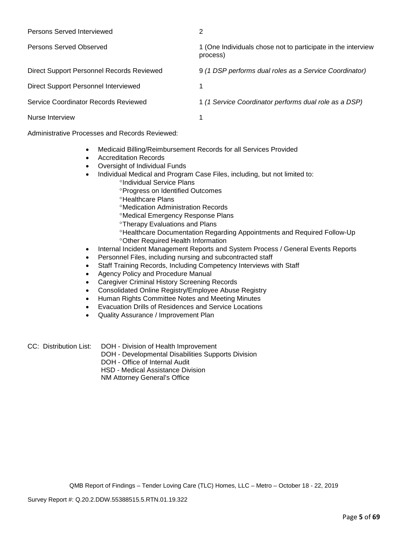| Persons Served Interviewed                | 2                                                                        |
|-------------------------------------------|--------------------------------------------------------------------------|
| Persons Served Observed                   | 1 (One Individuals chose not to participate in the interview<br>process) |
| Direct Support Personnel Records Reviewed | 9 (1 DSP performs dual roles as a Service Coordinator)                   |
| Direct Support Personnel Interviewed      |                                                                          |
| Service Coordinator Records Reviewed      | 1 (1 Service Coordinator performs dual role as a DSP)                    |
| Nurse Interview                           |                                                                          |

Administrative Processes and Records Reviewed:

- Medicaid Billing/Reimbursement Records for all Services Provided
- Accreditation Records
- Oversight of Individual Funds
- Individual Medical and Program Case Files, including, but not limited to:
	- °Individual Service Plans
		- °Progress on Identified Outcomes
		- °Healthcare Plans
		- °Medication Administration Records
		- °Medical Emergency Response Plans
		- °Therapy Evaluations and Plans
		- °Healthcare Documentation Regarding Appointments and Required Follow-Up °Other Required Health Information
- Internal Incident Management Reports and System Process / General Events Reports
- Personnel Files, including nursing and subcontracted staff
- Staff Training Records, Including Competency Interviews with Staff
- Agency Policy and Procedure Manual
- Caregiver Criminal History Screening Records
- Consolidated Online Registry/Employee Abuse Registry
- Human Rights Committee Notes and Meeting Minutes
- Evacuation Drills of Residences and Service Locations
- Quality Assurance / Improvement Plan

CC: Distribution List: DOH - Division of Health Improvement

- DOH Developmental Disabilities Supports Division
- DOH Office of Internal Audit

HSD - Medical Assistance Division

NM Attorney General's Office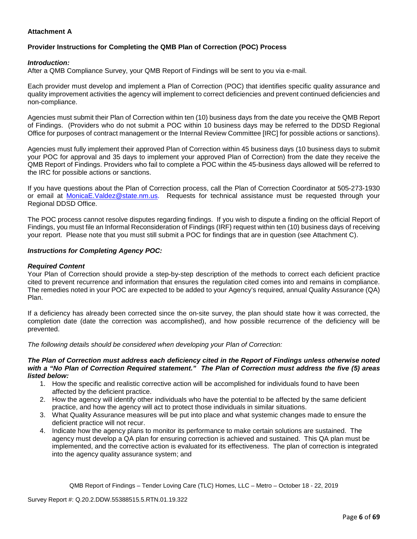# **Attachment A**

# **Provider Instructions for Completing the QMB Plan of Correction (POC) Process**

#### *Introduction:*

After a QMB Compliance Survey, your QMB Report of Findings will be sent to you via e-mail.

Each provider must develop and implement a Plan of Correction (POC) that identifies specific quality assurance and quality improvement activities the agency will implement to correct deficiencies and prevent continued deficiencies and non-compliance.

Agencies must submit their Plan of Correction within ten (10) business days from the date you receive the QMB Report of Findings. (Providers who do not submit a POC within 10 business days may be referred to the DDSD Regional Office for purposes of contract management or the Internal Review Committee [IRC] for possible actions or sanctions).

Agencies must fully implement their approved Plan of Correction within 45 business days (10 business days to submit your POC for approval and 35 days to implement your approved Plan of Correction) from the date they receive the QMB Report of Findings. Providers who fail to complete a POC within the 45-business days allowed will be referred to the IRC for possible actions or sanctions.

If you have questions about the Plan of Correction process, call the Plan of Correction Coordinator at 505-273-1930 or email at [MonicaE.Valdez@state.nm.us.](mailto:MonicaE.Valdez@state.nm.us) Requests for technical assistance must be requested through your Regional DDSD Office.

The POC process cannot resolve disputes regarding findings. If you wish to dispute a finding on the official Report of Findings, you must file an Informal Reconsideration of Findings (IRF) request within ten (10) business days of receiving your report. Please note that you must still submit a POC for findings that are in question (see Attachment C).

#### *Instructions for Completing Agency POC:*

#### *Required Content*

Your Plan of Correction should provide a step-by-step description of the methods to correct each deficient practice cited to prevent recurrence and information that ensures the regulation cited comes into and remains in compliance. The remedies noted in your POC are expected to be added to your Agency's required, annual Quality Assurance (QA) Plan.

If a deficiency has already been corrected since the on-site survey, the plan should state how it was corrected, the completion date (date the correction was accomplished), and how possible recurrence of the deficiency will be prevented.

*The following details should be considered when developing your Plan of Correction:*

#### *The Plan of Correction must address each deficiency cited in the Report of Findings unless otherwise noted with a "No Plan of Correction Required statement." The Plan of Correction must address the five (5) areas listed below:*

- 1. How the specific and realistic corrective action will be accomplished for individuals found to have been affected by the deficient practice.
- 2. How the agency will identify other individuals who have the potential to be affected by the same deficient practice, and how the agency will act to protect those individuals in similar situations.
- 3. What Quality Assurance measures will be put into place and what systemic changes made to ensure the deficient practice will not recur.
- 4. Indicate how the agency plans to monitor its performance to make certain solutions are sustained. The agency must develop a QA plan for ensuring correction is achieved and sustained. This QA plan must be implemented, and the corrective action is evaluated for its effectiveness. The plan of correction is integrated into the agency quality assurance system; and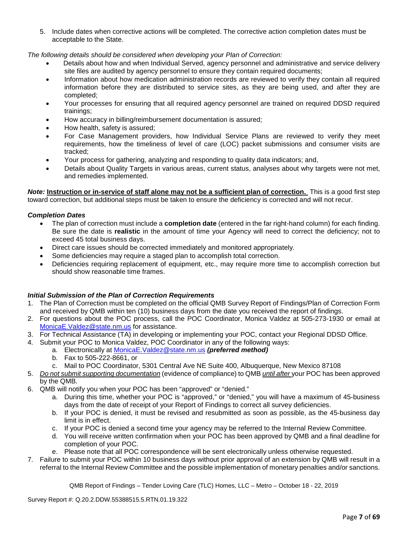5. Include dates when corrective actions will be completed. The corrective action completion dates must be acceptable to the State.

*The following details should be considered when developing your Plan of Correction:*

- Details about how and when Individual Served, agency personnel and administrative and service delivery site files are audited by agency personnel to ensure they contain required documents;
- Information about how medication administration records are reviewed to verify they contain all required information before they are distributed to service sites, as they are being used, and after they are completed;
- Your processes for ensuring that all required agency personnel are trained on required DDSD required trainings;
- How accuracy in billing/reimbursement documentation is assured;
- How health, safety is assured;
- For Case Management providers, how Individual Service Plans are reviewed to verify they meet requirements, how the timeliness of level of care (LOC) packet submissions and consumer visits are tracked;
- Your process for gathering, analyzing and responding to quality data indicators; and,
- Details about Quality Targets in various areas, current status, analyses about why targets were not met, and remedies implemented.

*Note:* **Instruction or in-service of staff alone may not be a sufficient plan of correction.** This is a good first step toward correction, but additional steps must be taken to ensure the deficiency is corrected and will not recur.

#### *Completion Dates*

- The plan of correction must include a **completion date** (entered in the far right-hand column) for each finding. Be sure the date is **realistic** in the amount of time your Agency will need to correct the deficiency; not to exceed 45 total business days.
- Direct care issues should be corrected immediately and monitored appropriately.
- Some deficiencies may require a staged plan to accomplish total correction.
- Deficiencies requiring replacement of equipment, etc., may require more time to accomplish correction but should show reasonable time frames.

#### *Initial Submission of the Plan of Correction Requirements*

- 1. The Plan of Correction must be completed on the official QMB Survey Report of Findings/Plan of Correction Form and received by QMB within ten (10) business days from the date you received the report of findings.
- 2. For questions about the POC process, call the POC Coordinator, Monica Valdez at 505-273-1930 or email at [MonicaE.Valdez@state.nm.us](mailto:MonicaE.Valdez@state.nm.us) for assistance.
- 3. For Technical Assistance (TA) in developing or implementing your POC, contact your Regional DDSD Office.
- 4. Submit your POC to Monica Valdez, POC Coordinator in any of the following ways:
	- a. Electronically at [MonicaE.Valdez@state.nm.us](mailto:MonicaE.Valdez@state.nm.us) *(preferred method)*
	- b. Fax to 505-222-8661, or
	- c. Mail to POC Coordinator, 5301 Central Ave NE Suite 400, Albuquerque, New Mexico 87108
- 5. *Do not submit supporting documentation* (evidence of compliance) to QMB *until after* your POC has been approved by the QMB.
- 6. QMB will notify you when your POC has been "approved" or "denied."
	- a. During this time, whether your POC is "approved," or "denied," you will have a maximum of 45-business days from the date of receipt of your Report of Findings to correct all survey deficiencies.
	- b. If your POC is denied, it must be revised and resubmitted as soon as possible, as the 45-business day limit is in effect.
	- c. If your POC is denied a second time your agency may be referred to the Internal Review Committee.
	- d. You will receive written confirmation when your POC has been approved by QMB and a final deadline for completion of your POC.
	- e. Please note that all POC correspondence will be sent electronically unless otherwise requested.
- 7. Failure to submit your POC within 10 business days without prior approval of an extension by QMB will result in a referral to the Internal Review Committee and the possible implementation of monetary penalties and/or sanctions.

QMB Report of Findings – Tender Loving Care (TLC) Homes, LLC – Metro – October 18 - 22, 2019

Survey Report #: Q.20.2.DDW.55388515.5.RTN.01.19.322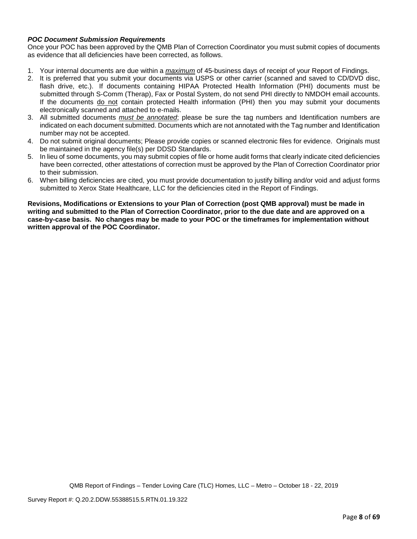## *POC Document Submission Requirements*

Once your POC has been approved by the QMB Plan of Correction Coordinator you must submit copies of documents as evidence that all deficiencies have been corrected, as follows.

- 1. Your internal documents are due within a *maximum* of 45-business days of receipt of your Report of Findings.
- 2. It is preferred that you submit your documents via USPS or other carrier (scanned and saved to CD/DVD disc, flash drive, etc.). If documents containing HIPAA Protected Health Information (PHI) documents must be submitted through S-Comm (Therap), Fax or Postal System, do not send PHI directly to NMDOH email accounts. If the documents do not contain protected Health information (PHI) then you may submit your documents electronically scanned and attached to e-mails.
- 3. All submitted documents *must be annotated*; please be sure the tag numbers and Identification numbers are indicated on each document submitted. Documents which are not annotated with the Tag number and Identification number may not be accepted.
- 4. Do not submit original documents; Please provide copies or scanned electronic files for evidence. Originals must be maintained in the agency file(s) per DDSD Standards.
- 5. In lieu of some documents, you may submit copies of file or home audit forms that clearly indicate cited deficiencies have been corrected, other attestations of correction must be approved by the Plan of Correction Coordinator prior to their submission.
- 6. When billing deficiencies are cited, you must provide documentation to justify billing and/or void and adjust forms submitted to Xerox State Healthcare, LLC for the deficiencies cited in the Report of Findings.

**Revisions, Modifications or Extensions to your Plan of Correction (post QMB approval) must be made in writing and submitted to the Plan of Correction Coordinator, prior to the due date and are approved on a case-by-case basis. No changes may be made to your POC or the timeframes for implementation without written approval of the POC Coordinator.**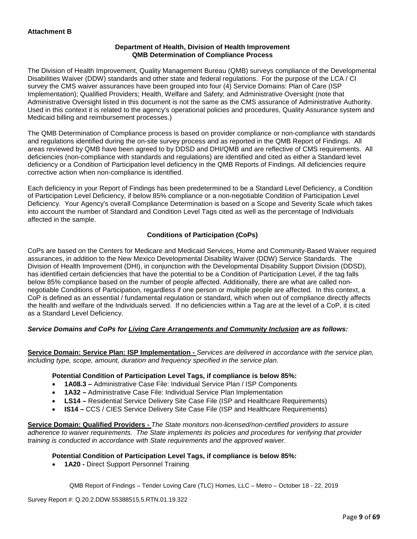## **Department of Health, Division of Health Improvement QMB Determination of Compliance Process**

The Division of Health Improvement, Quality Management Bureau (QMB) surveys compliance of the Developmental Disabilities Waiver (DDW) standards and other state and federal regulations. For the purpose of the LCA / CI survey the CMS waiver assurances have been grouped into four (4) Service Domains: Plan of Care (ISP Implementation); Qualified Providers; Health, Welfare and Safety; and Administrative Oversight (note that Administrative Oversight listed in this document is not the same as the CMS assurance of Administrative Authority. Used in this context it is related to the agency's operational policies and procedures, Quality Assurance system and Medicaid billing and reimbursement processes.)

The QMB Determination of Compliance process is based on provider compliance or non-compliance with standards and regulations identified during the on-site survey process and as reported in the QMB Report of Findings. All areas reviewed by QMB have been agreed to by DDSD and DHI/QMB and are reflective of CMS requirements. All deficiencies (non-compliance with standards and regulations) are identified and cited as either a Standard level deficiency or a Condition of Participation level deficiency in the QMB Reports of Findings. All deficiencies require corrective action when non-compliance is identified.

Each deficiency in your Report of Findings has been predetermined to be a Standard Level Deficiency, a Condition of Participation Level Deficiency, if below 85% compliance or a non-negotiable Condition of Participation Level Deficiency. Your Agency's overall Compliance Determination is based on a Scope and Severity Scale which takes into account the number of Standard and Condition Level Tags cited as well as the percentage of Individuals affected in the sample.

# **Conditions of Participation (CoPs)**

CoPs are based on the Centers for Medicare and Medicaid Services, Home and Community-Based Waiver required assurances, in addition to the New Mexico Developmental Disability Waiver (DDW) Service Standards. The Division of Health Improvement (DHI), in conjunction with the Developmental Disability Support Division (DDSD), has identified certain deficiencies that have the potential to be a Condition of Participation Level, if the tag falls below 85% compliance based on the number of people affected. Additionally, there are what are called nonnegotiable Conditions of Participation, regardless if one person or multiple people are affected. In this context, a CoP is defined as an essential / fundamental regulation or standard, which when out of compliance directly affects the health and welfare of the Individuals served. If no deficiencies within a Tag are at the level of a CoP, it is cited as a Standard Level Deficiency.

#### *Service Domains and CoPs for Living Care Arrangements and Community Inclusion are as follows:*

**Service Domain: Service Plan: ISP Implementation -** *Services are delivered in accordance with the service plan, including type, scope, amount, duration and frequency specified in the service plan.*

#### **Potential Condition of Participation Level Tags, if compliance is below 85%:**

- **1A08.3 –** Administrative Case File: Individual Service Plan / ISP Components
- **1A32 –** Administrative Case File: Individual Service Plan Implementation
- **LS14 –** Residential Service Delivery Site Case File (ISP and Healthcare Requirements)
- **IS14 –** CCS / CIES Service Delivery Site Case File (ISP and Healthcare Requirements)

**Service Domain: Qualified Providers -** *The State monitors non-licensed/non-certified providers to assure adherence to waiver requirements. The State implements its policies and procedures for verifying that provider training is conducted in accordance with State requirements and the approved waiver.*

#### **Potential Condition of Participation Level Tags, if compliance is below 85%:**

• **1A20 -** Direct Support Personnel Training

QMB Report of Findings – Tender Loving Care (TLC) Homes, LLC – Metro – October 18 - 22, 2019

Survey Report #: Q.20.2.DDW.55388515.5.RTN.01.19.322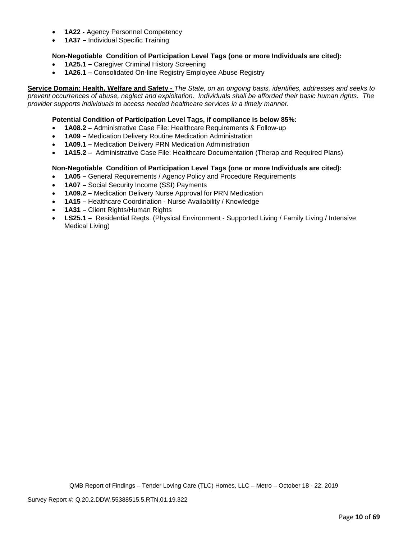- **1A22 -** Agency Personnel Competency
- **1A37 –** Individual Specific Training

## **Non-Negotiable Condition of Participation Level Tags (one or more Individuals are cited):**

- **1A25.1 –** Caregiver Criminal History Screening
- **1A26.1 –** Consolidated On-line Registry Employee Abuse Registry

**Service Domain: Health, Welfare and Safety -** *The State, on an ongoing basis, identifies, addresses and seeks to prevent occurrences of abuse, neglect and exploitation. Individuals shall be afforded their basic human rights. The provider supports individuals to access needed healthcare services in a timely manner.*

## **Potential Condition of Participation Level Tags, if compliance is below 85%:**

- **1A08.2 –** Administrative Case File: Healthcare Requirements & Follow-up
- **1A09 –** Medication Delivery Routine Medication Administration
- **1A09.1 –** Medication Delivery PRN Medication Administration
- **1A15.2 –** Administrative Case File: Healthcare Documentation (Therap and Required Plans)

#### **Non-Negotiable Condition of Participation Level Tags (one or more Individuals are cited):**

- **1A05 –** General Requirements / Agency Policy and Procedure Requirements
- **1A07 –** Social Security Income (SSI) Payments
- **1A09.2 –** Medication Delivery Nurse Approval for PRN Medication
- **1A15 –** Healthcare Coordination Nurse Availability / Knowledge
- **1A31 –** Client Rights/Human Rights
- **LS25.1** Residential Reqts. (Physical Environment Supported Living / Family Living / Intensive Medical Living)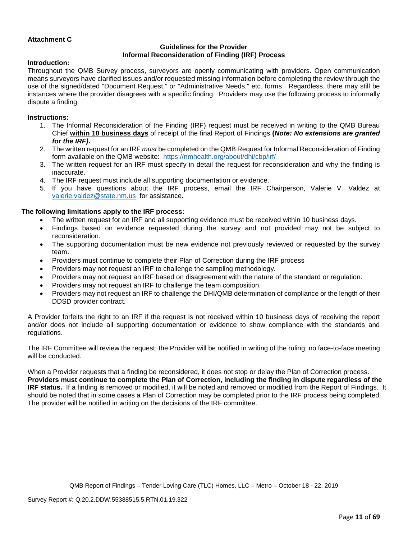## **Attachment C**

## **Guidelines for the Provider Informal Reconsideration of Finding (IRF) Process**

#### **Introduction:**

Throughout the QMB Survey process, surveyors are openly communicating with providers. Open communication means surveyors have clarified issues and/or requested missing information before completing the review through the use of the signed/dated "Document Request," or "Administrative Needs," etc. forms. Regardless, there may still be instances where the provider disagrees with a specific finding. Providers may use the following process to informally dispute a finding.

#### **Instructions:**

- 1. The Informal Reconsideration of the Finding (IRF) request must be received in writing to the QMB Bureau Chief **within 10 business days** of receipt of the final Report of Findings **(***Note: No extensions are granted for the IRF)***.**
- 2. The written request for an IRF *must* be completed on the QMB Request for Informal Reconsideration of Finding form available on the QMB website: <https://nmhealth.org/about/dhi/cbp/irf/>
- 3. The written request for an IRF must specify in detail the request for reconsideration and why the finding is inaccurate.
- 4. The IRF request must include all supporting documentation or evidence.
- 5. If you have questions about the IRF process, email the IRF Chairperson, Valerie V. Valdez at [valerie.valdez@state.nm.us](mailto:valerie.valdez@state.nm.us) for assistance.

#### **The following limitations apply to the IRF process:**

- The written request for an IRF and all supporting evidence must be received within 10 business days.
- Findings based on evidence requested during the survey and not provided may not be subject to reconsideration.
- The supporting documentation must be new evidence not previously reviewed or requested by the survey team.
- Providers must continue to complete their Plan of Correction during the IRF process
- Providers may not request an IRF to challenge the sampling methodology.
- Providers may not request an IRF based on disagreement with the nature of the standard or regulation.
- Providers may not request an IRF to challenge the team composition.
- Providers may not request an IRF to challenge the DHI/QMB determination of compliance or the length of their DDSD provider contract.

A Provider forfeits the right to an IRF if the request is not received within 10 business days of receiving the report and/or does not include all supporting documentation or evidence to show compliance with the standards and regulations.

The IRF Committee will review the request; the Provider will be notified in writing of the ruling; no face-to-face meeting will be conducted.

When a Provider requests that a finding be reconsidered, it does not stop or delay the Plan of Correction process. **Providers must continue to complete the Plan of Correction, including the finding in dispute regardless of the IRF status.** If a finding is removed or modified, it will be noted and removed or modified from the Report of Findings. It should be noted that in some cases a Plan of Correction may be completed prior to the IRF process being completed. The provider will be notified in writing on the decisions of the IRF committee.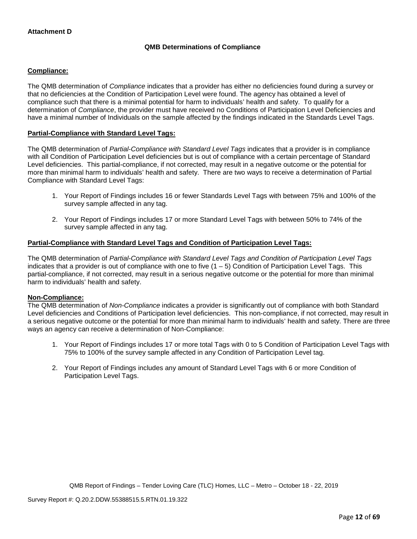# **QMB Determinations of Compliance**

## **Compliance:**

The QMB determination of *Compliance* indicates that a provider has either no deficiencies found during a survey or that no deficiencies at the Condition of Participation Level were found. The agency has obtained a level of compliance such that there is a minimal potential for harm to individuals' health and safety. To qualify for a determination of *Compliance*, the provider must have received no Conditions of Participation Level Deficiencies and have a minimal number of Individuals on the sample affected by the findings indicated in the Standards Level Tags.

## **Partial-Compliance with Standard Level Tags:**

The QMB determination of *Partial-Compliance with Standard Level Tags* indicates that a provider is in compliance with all Condition of Participation Level deficiencies but is out of compliance with a certain percentage of Standard Level deficiencies. This partial-compliance, if not corrected, may result in a negative outcome or the potential for more than minimal harm to individuals' health and safety. There are two ways to receive a determination of Partial Compliance with Standard Level Tags:

- 1. Your Report of Findings includes 16 or fewer Standards Level Tags with between 75% and 100% of the survey sample affected in any tag.
- 2. Your Report of Findings includes 17 or more Standard Level Tags with between 50% to 74% of the survey sample affected in any tag.

#### **Partial-Compliance with Standard Level Tags and Condition of Participation Level Tags:**

The QMB determination of *Partial-Compliance with Standard Level Tags and Condition of Participation Level Tags*  indicates that a provider is out of compliance with one to five  $(1 - 5)$  Condition of Participation Level Tags. This partial-compliance, if not corrected, may result in a serious negative outcome or the potential for more than minimal harm to individuals' health and safety.

#### **Non-Compliance:**

The QMB determination of *Non-Compliance* indicates a provider is significantly out of compliance with both Standard Level deficiencies and Conditions of Participation level deficiencies. This non-compliance, if not corrected, may result in a serious negative outcome or the potential for more than minimal harm to individuals' health and safety. There are three ways an agency can receive a determination of Non-Compliance:

- 1. Your Report of Findings includes 17 or more total Tags with 0 to 5 Condition of Participation Level Tags with 75% to 100% of the survey sample affected in any Condition of Participation Level tag.
- 2. Your Report of Findings includes any amount of Standard Level Tags with 6 or more Condition of Participation Level Tags.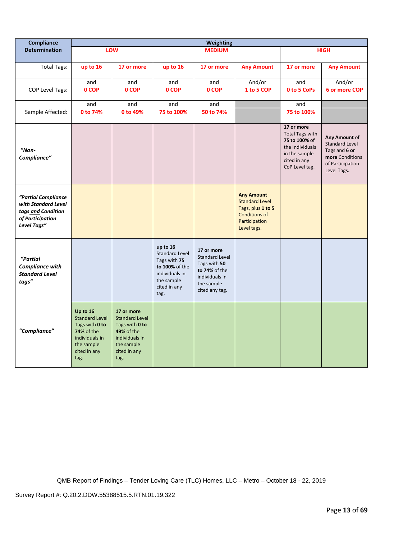| Compliance                                                                                          | <b>Weighting</b>                                                                                                                 |                                                                                                                             |                                                                                                                             |                                                                                                                        |                                                                                                                         |                                                                                                                             |                                                                                                               |
|-----------------------------------------------------------------------------------------------------|----------------------------------------------------------------------------------------------------------------------------------|-----------------------------------------------------------------------------------------------------------------------------|-----------------------------------------------------------------------------------------------------------------------------|------------------------------------------------------------------------------------------------------------------------|-------------------------------------------------------------------------------------------------------------------------|-----------------------------------------------------------------------------------------------------------------------------|---------------------------------------------------------------------------------------------------------------|
| <b>Determination</b>                                                                                |                                                                                                                                  | <b>LOW</b>                                                                                                                  |                                                                                                                             | <b>MEDIUM</b>                                                                                                          |                                                                                                                         |                                                                                                                             | <b>HIGH</b>                                                                                                   |
| Total Tags:                                                                                         | up to 16                                                                                                                         | 17 or more                                                                                                                  | up to 16                                                                                                                    | 17 or more                                                                                                             | <b>Any Amount</b>                                                                                                       | 17 or more                                                                                                                  | <b>Any Amount</b>                                                                                             |
|                                                                                                     | and                                                                                                                              | and                                                                                                                         | and                                                                                                                         | and                                                                                                                    | And/or                                                                                                                  | and                                                                                                                         | And/or                                                                                                        |
| COP Level Tags:                                                                                     | 0 COP                                                                                                                            | 0 COP                                                                                                                       | 0 COP                                                                                                                       | 0 COP                                                                                                                  | 1 to 5 COP                                                                                                              | 0 to 5 CoPs                                                                                                                 | 6 or more COP                                                                                                 |
|                                                                                                     | and                                                                                                                              | and                                                                                                                         | and                                                                                                                         | and                                                                                                                    |                                                                                                                         | and                                                                                                                         |                                                                                                               |
| Sample Affected:                                                                                    | 0 to 74%                                                                                                                         | 0 to 49%                                                                                                                    | 75 to 100%                                                                                                                  | 50 to 74%                                                                                                              |                                                                                                                         | 75 to 100%                                                                                                                  |                                                                                                               |
| $"Non-$<br>Compliance"                                                                              |                                                                                                                                  |                                                                                                                             |                                                                                                                             |                                                                                                                        |                                                                                                                         | 17 or more<br><b>Total Tags with</b><br>75 to 100% of<br>the Individuals<br>in the sample<br>cited in any<br>CoP Level tag. | Any Amount of<br><b>Standard Level</b><br>Tags and 6 or<br>more Conditions<br>of Participation<br>Level Tags. |
| "Partial Compliance<br>with Standard Level<br>tags and Condition<br>of Participation<br>Level Tags" |                                                                                                                                  |                                                                                                                             |                                                                                                                             |                                                                                                                        | <b>Any Amount</b><br><b>Standard Level</b><br>Tags, plus 1 to 5<br><b>Conditions of</b><br>Participation<br>Level tags. |                                                                                                                             |                                                                                                               |
| "Partial<br><b>Compliance with</b><br><b>Standard Level</b><br>tags"                                |                                                                                                                                  |                                                                                                                             | up to 16<br><b>Standard Level</b><br>Tags with 75<br>to 100% of the<br>individuals in<br>the sample<br>cited in any<br>tag. | 17 or more<br><b>Standard Level</b><br>Tags with 50<br>to 74% of the<br>individuals in<br>the sample<br>cited any tag. |                                                                                                                         |                                                                                                                             |                                                                                                               |
| "Compliance"                                                                                        | Up to 16<br><b>Standard Level</b><br>Tags with 0 to<br><b>74% of the</b><br>individuals in<br>the sample<br>cited in any<br>tag. | 17 or more<br><b>Standard Level</b><br>Tags with 0 to<br>49% of the<br>individuals in<br>the sample<br>cited in any<br>tag. |                                                                                                                             |                                                                                                                        |                                                                                                                         |                                                                                                                             |                                                                                                               |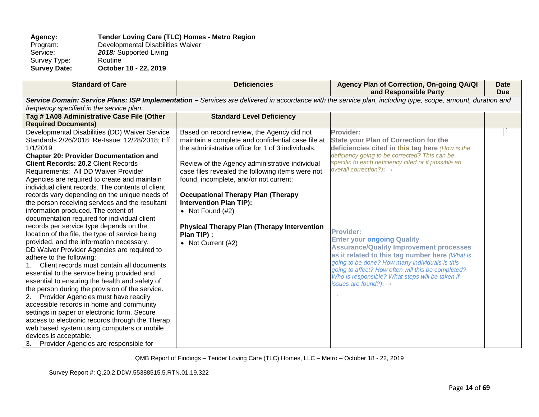## **Agency: Tender Loving Care (TLC) Homes - Metro Region** Program: Developmental Disabilities Waiver<br>Service: 2018: Supported Living 2018: Supported Living<br>Routine Survey Type:<br>Survey Date: **Survey Date: October 18 - 22, 2019**

| <b>Standard of Care</b>                                              | <b>Deficiencies</b>                                                                                                                                         | Agency Plan of Correction, On-going QA/QI<br>and Responsible Party | Date<br><b>Due</b> |  |  |  |  |
|----------------------------------------------------------------------|-------------------------------------------------------------------------------------------------------------------------------------------------------------|--------------------------------------------------------------------|--------------------|--|--|--|--|
|                                                                      | Service Domain: Service Plans: ISP Implementation - Services are delivered in accordance with the service plan, including type, scope, amount, duration and |                                                                    |                    |  |  |  |  |
| frequency specified in the service plan.                             |                                                                                                                                                             |                                                                    |                    |  |  |  |  |
| Tag #1A08 Administrative Case File (Other                            | <b>Standard Level Deficiency</b>                                                                                                                            |                                                                    |                    |  |  |  |  |
| <b>Required Documents)</b>                                           |                                                                                                                                                             |                                                                    |                    |  |  |  |  |
| Developmental Disabilities (DD) Waiver Service                       | Based on record review, the Agency did not                                                                                                                  | Provider:                                                          |                    |  |  |  |  |
| Standards 2/26/2018; Re-Issue: 12/28/2018; Eff                       | maintain a complete and confidential case file at                                                                                                           | <b>State your Plan of Correction for the</b>                       |                    |  |  |  |  |
| 1/1/2019                                                             | the administrative office for 1 of 3 individuals.                                                                                                           | deficiencies cited in this tag here (How is the                    |                    |  |  |  |  |
| <b>Chapter 20: Provider Documentation and</b>                        |                                                                                                                                                             | deficiency going to be corrected? This can be                      |                    |  |  |  |  |
| <b>Client Records: 20.2 Client Records</b>                           | Review of the Agency administrative individual                                                                                                              | specific to each deficiency cited or if possible an                |                    |  |  |  |  |
| Requirements: All DD Waiver Provider                                 | case files revealed the following items were not                                                                                                            | overall correction?): $\rightarrow$                                |                    |  |  |  |  |
| Agencies are required to create and maintain                         | found, incomplete, and/or not current:                                                                                                                      |                                                                    |                    |  |  |  |  |
| individual client records. The contents of client                    |                                                                                                                                                             |                                                                    |                    |  |  |  |  |
| records vary depending on the unique needs of                        | <b>Occupational Therapy Plan (Therapy</b>                                                                                                                   |                                                                    |                    |  |  |  |  |
| the person receiving services and the resultant                      | <b>Intervention Plan TIP):</b>                                                                                                                              |                                                                    |                    |  |  |  |  |
| information produced. The extent of                                  | • Not Found $(H2)$                                                                                                                                          |                                                                    |                    |  |  |  |  |
| documentation required for individual client                         |                                                                                                                                                             |                                                                    |                    |  |  |  |  |
| records per service type depends on the                              | <b>Physical Therapy Plan (Therapy Intervention)</b>                                                                                                         | <b>Provider:</b>                                                   |                    |  |  |  |  |
| location of the file, the type of service being                      | Plan TIP) :                                                                                                                                                 | <b>Enter your ongoing Quality</b>                                  |                    |  |  |  |  |
| provided, and the information necessary.                             | • Not Current (#2)                                                                                                                                          | <b>Assurance/Quality Improvement processes</b>                     |                    |  |  |  |  |
| DD Waiver Provider Agencies are required to                          |                                                                                                                                                             | as it related to this tag number here (What is                     |                    |  |  |  |  |
| adhere to the following:                                             |                                                                                                                                                             | going to be done? How many individuals is this                     |                    |  |  |  |  |
| Client records must contain all documents                            |                                                                                                                                                             | going to affect? How often will this be completed?                 |                    |  |  |  |  |
| essential to the service being provided and                          |                                                                                                                                                             | Who is responsible? What steps will be taken if                    |                    |  |  |  |  |
| essential to ensuring the health and safety of                       |                                                                                                                                                             | issues are found?): $\rightarrow$                                  |                    |  |  |  |  |
| the person during the provision of the service.                      |                                                                                                                                                             |                                                                    |                    |  |  |  |  |
| Provider Agencies must have readily<br>2.                            |                                                                                                                                                             |                                                                    |                    |  |  |  |  |
| accessible records in home and community                             |                                                                                                                                                             |                                                                    |                    |  |  |  |  |
| settings in paper or electronic form. Secure                         |                                                                                                                                                             |                                                                    |                    |  |  |  |  |
| access to electronic records through the Therap                      |                                                                                                                                                             |                                                                    |                    |  |  |  |  |
| web based system using computers or mobile<br>devices is acceptable. |                                                                                                                                                             |                                                                    |                    |  |  |  |  |
| Provider Agencies are responsible for<br>3.                          |                                                                                                                                                             |                                                                    |                    |  |  |  |  |
|                                                                      |                                                                                                                                                             |                                                                    |                    |  |  |  |  |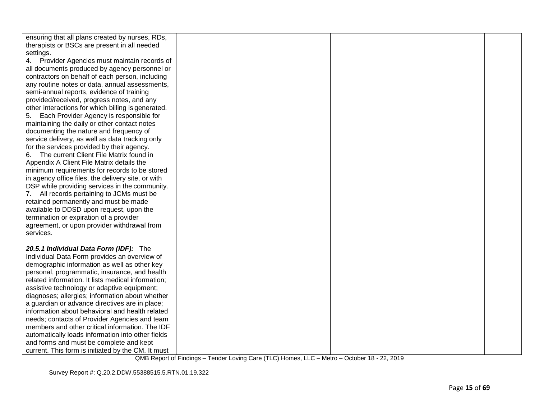| ensuring that all plans created by nurses, RDs,    |  |  |
|----------------------------------------------------|--|--|
| therapists or BSCs are present in all needed       |  |  |
| settings.                                          |  |  |
| 4. Provider Agencies must maintain records of      |  |  |
| all documents produced by agency personnel or      |  |  |
| contractors on behalf of each person, including    |  |  |
| any routine notes or data, annual assessments,     |  |  |
| semi-annual reports, evidence of training          |  |  |
| provided/received, progress notes, and any         |  |  |
| other interactions for which billing is generated. |  |  |
| Each Provider Agency is responsible for<br>5.      |  |  |
| maintaining the daily or other contact notes       |  |  |
| documenting the nature and frequency of            |  |  |
| service delivery, as well as data tracking only    |  |  |
| for the services provided by their agency.         |  |  |
| 6. The current Client File Matrix found in         |  |  |
| Appendix A Client File Matrix details the          |  |  |
| minimum requirements for records to be stored      |  |  |
| in agency office files, the delivery site, or with |  |  |
| DSP while providing services in the community.     |  |  |
| 7. All records pertaining to JCMs must be          |  |  |
| retained permanently and must be made              |  |  |
| available to DDSD upon request, upon the           |  |  |
| termination or expiration of a provider            |  |  |
| agreement, or upon provider withdrawal from        |  |  |
| services.                                          |  |  |
|                                                    |  |  |
| 20.5.1 Individual Data Form (IDF): The             |  |  |
| Individual Data Form provides an overview of       |  |  |
| demographic information as well as other key       |  |  |
| personal, programmatic, insurance, and health      |  |  |
| related information. It lists medical information; |  |  |
| assistive technology or adaptive equipment;        |  |  |
| diagnoses; allergies; information about whether    |  |  |
| a guardian or advance directives are in place;     |  |  |
| information about behavioral and health related    |  |  |
| needs; contacts of Provider Agencies and team      |  |  |
| members and other critical information. The IDF    |  |  |
| automatically loads information into other fields  |  |  |
| and forms and must be complete and kept            |  |  |
| current. This form is initiated by the CM. It must |  |  |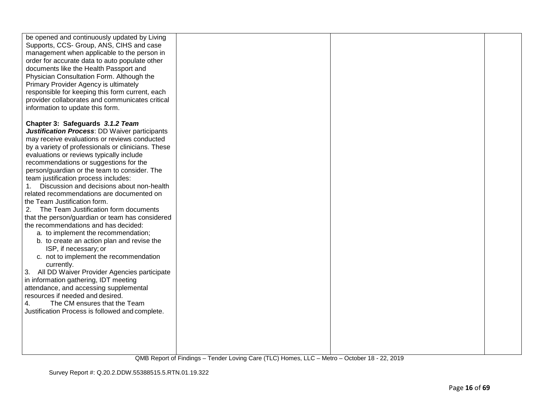| be opened and continuously updated by Living<br>Supports, CCS- Group, ANS, CIHS and case<br>management when applicable to the person in<br>order for accurate data to auto populate other<br>documents like the Health Passport and<br>Physician Consultation Form. Although the<br>Primary Provider Agency is ultimately<br>responsible for keeping this form current, each<br>provider collaborates and communicates critical<br>information to update this form. |  |  |
|---------------------------------------------------------------------------------------------------------------------------------------------------------------------------------------------------------------------------------------------------------------------------------------------------------------------------------------------------------------------------------------------------------------------------------------------------------------------|--|--|
|                                                                                                                                                                                                                                                                                                                                                                                                                                                                     |  |  |
| Chapter 3: Safeguards 3.1.2 Team                                                                                                                                                                                                                                                                                                                                                                                                                                    |  |  |
| <b>Justification Process: DD Waiver participants</b>                                                                                                                                                                                                                                                                                                                                                                                                                |  |  |
| may receive evaluations or reviews conducted                                                                                                                                                                                                                                                                                                                                                                                                                        |  |  |
| by a variety of professionals or clinicians. These                                                                                                                                                                                                                                                                                                                                                                                                                  |  |  |
| evaluations or reviews typically include                                                                                                                                                                                                                                                                                                                                                                                                                            |  |  |
| recommendations or suggestions for the                                                                                                                                                                                                                                                                                                                                                                                                                              |  |  |
| person/guardian or the team to consider. The                                                                                                                                                                                                                                                                                                                                                                                                                        |  |  |
| team justification process includes:                                                                                                                                                                                                                                                                                                                                                                                                                                |  |  |
| Discussion and decisions about non-health                                                                                                                                                                                                                                                                                                                                                                                                                           |  |  |
| related recommendations are documented on                                                                                                                                                                                                                                                                                                                                                                                                                           |  |  |
| the Team Justification form.                                                                                                                                                                                                                                                                                                                                                                                                                                        |  |  |
| 2.<br>The Team Justification form documents                                                                                                                                                                                                                                                                                                                                                                                                                         |  |  |
| that the person/guardian or team has considered                                                                                                                                                                                                                                                                                                                                                                                                                     |  |  |
| the recommendations and has decided:                                                                                                                                                                                                                                                                                                                                                                                                                                |  |  |
| a. to implement the recommendation;                                                                                                                                                                                                                                                                                                                                                                                                                                 |  |  |
| b. to create an action plan and revise the                                                                                                                                                                                                                                                                                                                                                                                                                          |  |  |
| ISP, if necessary; or                                                                                                                                                                                                                                                                                                                                                                                                                                               |  |  |
| c. not to implement the recommendation                                                                                                                                                                                                                                                                                                                                                                                                                              |  |  |
| currently.                                                                                                                                                                                                                                                                                                                                                                                                                                                          |  |  |
| All DD Waiver Provider Agencies participate<br>3.                                                                                                                                                                                                                                                                                                                                                                                                                   |  |  |
| in information gathering, IDT meeting                                                                                                                                                                                                                                                                                                                                                                                                                               |  |  |
|                                                                                                                                                                                                                                                                                                                                                                                                                                                                     |  |  |
| attendance, and accessing supplemental                                                                                                                                                                                                                                                                                                                                                                                                                              |  |  |
| resources if needed and desired.                                                                                                                                                                                                                                                                                                                                                                                                                                    |  |  |
| The CM ensures that the Team<br>4.                                                                                                                                                                                                                                                                                                                                                                                                                                  |  |  |
| Justification Process is followed and complete.                                                                                                                                                                                                                                                                                                                                                                                                                     |  |  |
|                                                                                                                                                                                                                                                                                                                                                                                                                                                                     |  |  |
|                                                                                                                                                                                                                                                                                                                                                                                                                                                                     |  |  |
|                                                                                                                                                                                                                                                                                                                                                                                                                                                                     |  |  |
|                                                                                                                                                                                                                                                                                                                                                                                                                                                                     |  |  |
|                                                                                                                                                                                                                                                                                                                                                                                                                                                                     |  |  |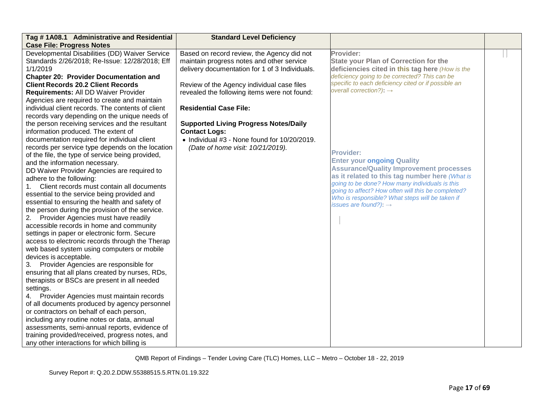| Tag #1A08.1 Administrative and Residential        | <b>Standard Level Deficiency</b>                     |                                                     |  |
|---------------------------------------------------|------------------------------------------------------|-----------------------------------------------------|--|
| <b>Case File: Progress Notes</b>                  |                                                      |                                                     |  |
| Developmental Disabilities (DD) Waiver Service    | Based on record review, the Agency did not           | Provider:                                           |  |
| Standards 2/26/2018; Re-Issue: 12/28/2018; Eff    | maintain progress notes and other service            | <b>State your Plan of Correction for the</b>        |  |
| 1/1/2019                                          | delivery documentation for 1 of 3 Individuals.       | deficiencies cited in this tag here (How is the     |  |
| <b>Chapter 20: Provider Documentation and</b>     |                                                      | deficiency going to be corrected? This can be       |  |
| <b>Client Records 20.2 Client Records</b>         | Review of the Agency individual case files           | specific to each deficiency cited or if possible an |  |
| Requirements: All DD Waiver Provider              | revealed the following items were not found:         | overall correction?): $\rightarrow$                 |  |
| Agencies are required to create and maintain      |                                                      |                                                     |  |
| individual client records. The contents of client | <b>Residential Case File:</b>                        |                                                     |  |
| records vary depending on the unique needs of     |                                                      |                                                     |  |
| the person receiving services and the resultant   | <b>Supported Living Progress Notes/Daily</b>         |                                                     |  |
| information produced. The extent of               | <b>Contact Logs:</b>                                 |                                                     |  |
| documentation required for individual client      | $\bullet$ Individual #3 - None found for 10/20/2019. |                                                     |  |
| records per service type depends on the location  | (Date of home visit: 10/21/2019).                    | <b>Provider:</b>                                    |  |
| of the file, the type of service being provided,  |                                                      | <b>Enter your ongoing Quality</b>                   |  |
| and the information necessary.                    |                                                      | <b>Assurance/Quality Improvement processes</b>      |  |
| DD Waiver Provider Agencies are required to       |                                                      | as it related to this tag number here (What is      |  |
| adhere to the following:                          |                                                      | going to be done? How many individuals is this      |  |
| Client records must contain all documents<br>1.   |                                                      | going to affect? How often will this be completed?  |  |
| essential to the service being provided and       |                                                      | Who is responsible? What steps will be taken if     |  |
| essential to ensuring the health and safety of    |                                                      | issues are found?): $\rightarrow$                   |  |
| the person during the provision of the service.   |                                                      |                                                     |  |
| Provider Agencies must have readily<br>2.         |                                                      |                                                     |  |
| accessible records in home and community          |                                                      |                                                     |  |
| settings in paper or electronic form. Secure      |                                                      |                                                     |  |
| access to electronic records through the Therap   |                                                      |                                                     |  |
| web based system using computers or mobile        |                                                      |                                                     |  |
| devices is acceptable.                            |                                                      |                                                     |  |
| 3.<br>Provider Agencies are responsible for       |                                                      |                                                     |  |
| ensuring that all plans created by nurses, RDs,   |                                                      |                                                     |  |
| therapists or BSCs are present in all needed      |                                                      |                                                     |  |
| settings.                                         |                                                      |                                                     |  |
| Provider Agencies must maintain records           |                                                      |                                                     |  |
| of all documents produced by agency personnel     |                                                      |                                                     |  |
| or contractors on behalf of each person,          |                                                      |                                                     |  |
| including any routine notes or data, annual       |                                                      |                                                     |  |
| assessments, semi-annual reports, evidence of     |                                                      |                                                     |  |
| training provided/received, progress notes, and   |                                                      |                                                     |  |
| any other interactions for which billing is       |                                                      |                                                     |  |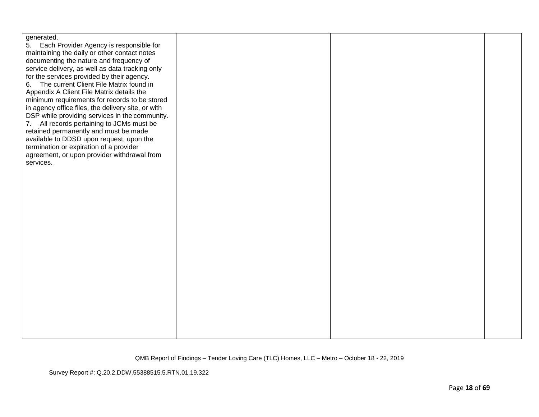| generated.<br>5.<br>Each Provider Agency is responsible for<br>maintaining the daily or other contact notes<br>documenting the nature and frequency of<br>service delivery, as well as data tracking only<br>for the services provided by their agency.<br>The current Client File Matrix found in<br>6.<br>Appendix A Client File Matrix details the<br>minimum requirements for records to be stored<br>in agency office files, the delivery site, or with<br>DSP while providing services in the community.<br>7. All records pertaining to JCMs must be<br>retained permanently and must be made<br>available to DDSD upon request, upon the<br>termination or expiration of a provider<br>agreement, or upon provider withdrawal from<br>services. |  |  |
|---------------------------------------------------------------------------------------------------------------------------------------------------------------------------------------------------------------------------------------------------------------------------------------------------------------------------------------------------------------------------------------------------------------------------------------------------------------------------------------------------------------------------------------------------------------------------------------------------------------------------------------------------------------------------------------------------------------------------------------------------------|--|--|
|                                                                                                                                                                                                                                                                                                                                                                                                                                                                                                                                                                                                                                                                                                                                                         |  |  |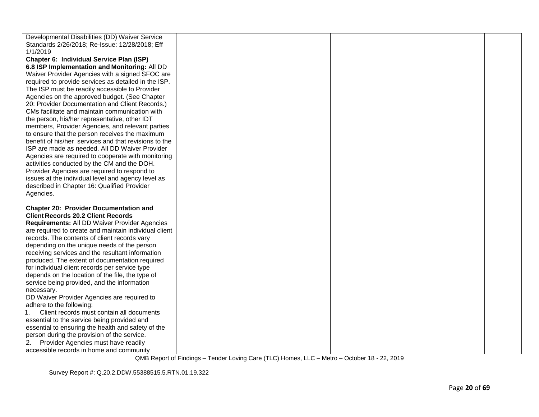| Developmental Disabilities (DD) Waiver Service        |  |
|-------------------------------------------------------|--|
|                                                       |  |
| Standards 2/26/2018; Re-Issue: 12/28/2018; Eff        |  |
| 1/1/2019                                              |  |
| Chapter 6: Individual Service Plan (ISP)              |  |
| 6.8 ISP Implementation and Monitoring: All DD         |  |
| Waiver Provider Agencies with a signed SFOC are       |  |
| required to provide services as detailed in the ISP.  |  |
| The ISP must be readily accessible to Provider        |  |
| Agencies on the approved budget. (See Chapter         |  |
| 20: Provider Documentation and Client Records.)       |  |
| CMs facilitate and maintain communication with        |  |
| the person, his/her representative, other IDT         |  |
| members, Provider Agencies, and relevant parties      |  |
| to ensure that the person receives the maximum        |  |
| benefit of his/her services and that revisions to the |  |
| ISP are made as needed. All DD Waiver Provider        |  |
| Agencies are required to cooperate with monitoring    |  |
| activities conducted by the CM and the DOH.           |  |
| Provider Agencies are required to respond to          |  |
| issues at the individual level and agency level as    |  |
| described in Chapter 16: Qualified Provider           |  |
| Agencies.                                             |  |
|                                                       |  |
| <b>Chapter 20: Provider Documentation and</b>         |  |
| <b>Client Records 20.2 Client Records</b>             |  |
| Requirements: All DD Waiver Provider Agencies         |  |
| are required to create and maintain individual client |  |
| records. The contents of client records vary          |  |
| depending on the unique needs of the person           |  |
| receiving services and the resultant information      |  |
| produced. The extent of documentation required        |  |
| for individual client records per service type        |  |
| depends on the location of the file, the type of      |  |
| service being provided, and the information           |  |
| necessary.                                            |  |
| DD Waiver Provider Agencies are required to           |  |
| adhere to the following:                              |  |
| Client records must contain all documents             |  |
| essential to the service being provided and           |  |
| essential to ensuring the health and safety of the    |  |
| person during the provision of the service.           |  |
| Provider Agencies must have readily<br>2.             |  |
| accessible records in home and community              |  |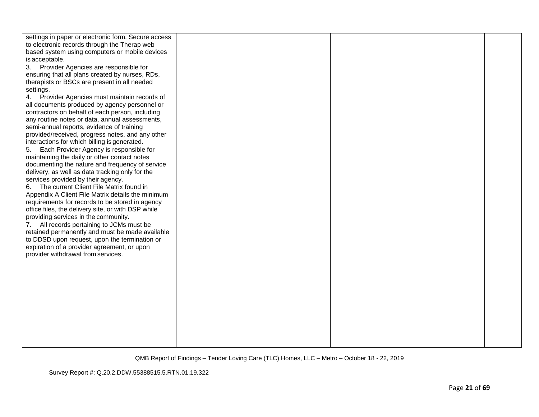| settings in paper or electronic form. Secure access |  |  |
|-----------------------------------------------------|--|--|
| to electronic records through the Therap web        |  |  |
| based system using computers or mobile devices      |  |  |
| is acceptable.                                      |  |  |
| Provider Agencies are responsible for<br>3.         |  |  |
| ensuring that all plans created by nurses, RDs,     |  |  |
| therapists or BSCs are present in all needed        |  |  |
| settings.                                           |  |  |
| 4. Provider Agencies must maintain records of       |  |  |
| all documents produced by agency personnel or       |  |  |
| contractors on behalf of each person, including     |  |  |
| any routine notes or data, annual assessments,      |  |  |
| semi-annual reports, evidence of training           |  |  |
| provided/received, progress notes, and any other    |  |  |
| interactions for which billing is generated.        |  |  |
| Each Provider Agency is responsible for<br>5.       |  |  |
| maintaining the daily or other contact notes        |  |  |
| documenting the nature and frequency of service     |  |  |
| delivery, as well as data tracking only for the     |  |  |
| services provided by their agency.                  |  |  |
| The current Client File Matrix found in<br>6.       |  |  |
| Appendix A Client File Matrix details the minimum   |  |  |
| requirements for records to be stored in agency     |  |  |
| office files, the delivery site, or with DSP while  |  |  |
| providing services in the community.                |  |  |
| 7. All records pertaining to JCMs must be           |  |  |
| retained permanently and must be made available     |  |  |
| to DDSD upon request, upon the termination or       |  |  |
| expiration of a provider agreement, or upon         |  |  |
| provider withdrawal from services.                  |  |  |
|                                                     |  |  |
|                                                     |  |  |
|                                                     |  |  |
|                                                     |  |  |
|                                                     |  |  |
|                                                     |  |  |
|                                                     |  |  |
|                                                     |  |  |
|                                                     |  |  |
|                                                     |  |  |
|                                                     |  |  |
|                                                     |  |  |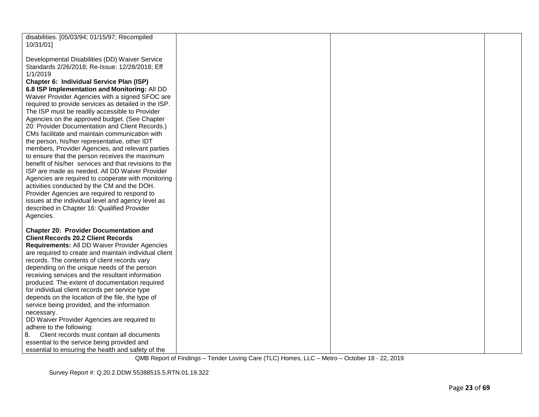| disabilities. [05/03/94; 01/15/97; Recompiled<br>10/31/01]                                                   |  |  |
|--------------------------------------------------------------------------------------------------------------|--|--|
| Developmental Disabilities (DD) Waiver Service<br>Standards 2/26/2018; Re-Issue: 12/28/2018; Eff<br>1/1/2019 |  |  |
| Chapter 6: Individual Service Plan (ISP)                                                                     |  |  |
| 6.8 ISP Implementation and Monitoring: All DD                                                                |  |  |
| Waiver Provider Agencies with a signed SFOC are                                                              |  |  |
| required to provide services as detailed in the ISP.                                                         |  |  |
| The ISP must be readily accessible to Provider                                                               |  |  |
| Agencies on the approved budget. (See Chapter                                                                |  |  |
| 20: Provider Documentation and Client Records.)<br>CMs facilitate and maintain communication with            |  |  |
| the person, his/her representative, other IDT                                                                |  |  |
| members, Provider Agencies, and relevant parties                                                             |  |  |
| to ensure that the person receives the maximum                                                               |  |  |
| benefit of his/her services and that revisions to the                                                        |  |  |
| ISP are made as needed. All DD Waiver Provider                                                               |  |  |
| Agencies are required to cooperate with monitoring<br>activities conducted by the CM and the DOH.            |  |  |
| Provider Agencies are required to respond to                                                                 |  |  |
| issues at the individual level and agency level as                                                           |  |  |
| described in Chapter 16: Qualified Provider                                                                  |  |  |
| Agencies.                                                                                                    |  |  |
| <b>Chapter 20: Provider Documentation and</b>                                                                |  |  |
| <b>Client Records 20.2 Client Records</b>                                                                    |  |  |
| Requirements: All DD Waiver Provider Agencies                                                                |  |  |
| are required to create and maintain individual client                                                        |  |  |
| records. The contents of client records vary                                                                 |  |  |
| depending on the unique needs of the person                                                                  |  |  |
| receiving services and the resultant information<br>produced. The extent of documentation required           |  |  |
| for individual client records per service type                                                               |  |  |
| depends on the location of the file, the type of                                                             |  |  |
| service being provided, and the information                                                                  |  |  |
| necessary.                                                                                                   |  |  |
| DD Waiver Provider Agencies are required to<br>adhere to the following:                                      |  |  |
| 8.<br>Client records must contain all documents                                                              |  |  |
| essential to the service being provided and                                                                  |  |  |
| essential to ensuring the health and safety of the                                                           |  |  |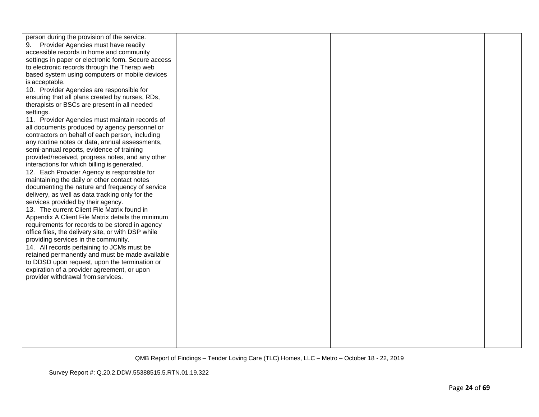| person during the provision of the service.<br>Provider Agencies must have readily<br>9.<br>accessible records in home and community<br>settings in paper or electronic form. Secure access<br>to electronic records through the Therap web<br>based system using computers or mobile devices<br>is acceptable.<br>10. Provider Agencies are responsible for<br>ensuring that all plans created by nurses, RDs,<br>therapists or BSCs are present in all needed<br>settings.<br>11. Provider Agencies must maintain records of<br>all documents produced by agency personnel or<br>contractors on behalf of each person, including<br>any routine notes or data, annual assessments,<br>semi-annual reports, evidence of training<br>provided/received, progress notes, and any other<br>interactions for which billing is generated.<br>12. Each Provider Agency is responsible for<br>maintaining the daily or other contact notes<br>documenting the nature and frequency of service<br>delivery, as well as data tracking only for the<br>services provided by their agency.<br>13. The current Client File Matrix found in<br>Appendix A Client File Matrix details the minimum<br>requirements for records to be stored in agency<br>office files, the delivery site, or with DSP while<br>providing services in the community.<br>14. All records pertaining to JCMs must be<br>retained permanently and must be made available<br>to DDSD upon request, upon the termination or<br>expiration of a provider agreement, or upon<br>provider withdrawal from services. |  |  |
|------------------------------------------------------------------------------------------------------------------------------------------------------------------------------------------------------------------------------------------------------------------------------------------------------------------------------------------------------------------------------------------------------------------------------------------------------------------------------------------------------------------------------------------------------------------------------------------------------------------------------------------------------------------------------------------------------------------------------------------------------------------------------------------------------------------------------------------------------------------------------------------------------------------------------------------------------------------------------------------------------------------------------------------------------------------------------------------------------------------------------------------------------------------------------------------------------------------------------------------------------------------------------------------------------------------------------------------------------------------------------------------------------------------------------------------------------------------------------------------------------------------------------------------------------------------------------|--|--|
|                                                                                                                                                                                                                                                                                                                                                                                                                                                                                                                                                                                                                                                                                                                                                                                                                                                                                                                                                                                                                                                                                                                                                                                                                                                                                                                                                                                                                                                                                                                                                                              |  |  |
|                                                                                                                                                                                                                                                                                                                                                                                                                                                                                                                                                                                                                                                                                                                                                                                                                                                                                                                                                                                                                                                                                                                                                                                                                                                                                                                                                                                                                                                                                                                                                                              |  |  |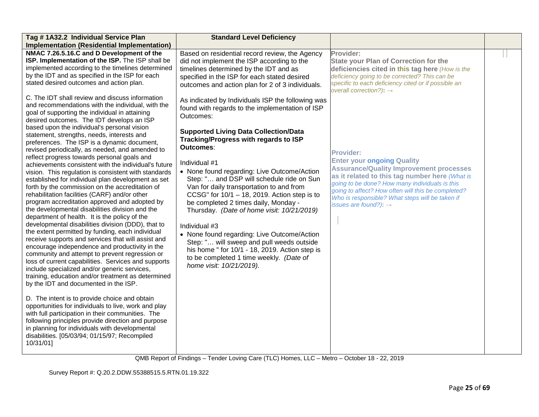| Tag #1A32.2 Individual Service Plan                                                                                                                                                                                                                                                                                                                                                                                                                                                                                                                                                                                                                                                                                                                                                                                                                                                                   | <b>Standard Level Deficiency</b>                                                                                                                                                                                                                                                                                                                                                                                                                                                                                                     |                                                                                                                                                                                                                                                                                                  |  |
|-------------------------------------------------------------------------------------------------------------------------------------------------------------------------------------------------------------------------------------------------------------------------------------------------------------------------------------------------------------------------------------------------------------------------------------------------------------------------------------------------------------------------------------------------------------------------------------------------------------------------------------------------------------------------------------------------------------------------------------------------------------------------------------------------------------------------------------------------------------------------------------------------------|--------------------------------------------------------------------------------------------------------------------------------------------------------------------------------------------------------------------------------------------------------------------------------------------------------------------------------------------------------------------------------------------------------------------------------------------------------------------------------------------------------------------------------------|--------------------------------------------------------------------------------------------------------------------------------------------------------------------------------------------------------------------------------------------------------------------------------------------------|--|
| <b>Implementation (Residential Implementation)</b>                                                                                                                                                                                                                                                                                                                                                                                                                                                                                                                                                                                                                                                                                                                                                                                                                                                    |                                                                                                                                                                                                                                                                                                                                                                                                                                                                                                                                      |                                                                                                                                                                                                                                                                                                  |  |
| NMAC 7.26.5.16.C and D Development of the<br>ISP. Implementation of the ISP. The ISP shall be<br>implemented according to the timelines determined<br>by the IDT and as specified in the ISP for each<br>stated desired outcomes and action plan.                                                                                                                                                                                                                                                                                                                                                                                                                                                                                                                                                                                                                                                     | Based on residential record review, the Agency<br>did not implement the ISP according to the<br>timelines determined by the IDT and as<br>specified in the ISP for each stated desired<br>outcomes and action plan for 2 of 3 individuals.                                                                                                                                                                                                                                                                                           | Provider:<br><b>State your Plan of Correction for the</b><br>deficiencies cited in this tag here (How is the<br>deficiency going to be corrected? This can be<br>specific to each deficiency cited or if possible an<br>overall correction?): $\rightarrow$                                      |  |
| C. The IDT shall review and discuss information<br>and recommendations with the individual, with the<br>goal of supporting the individual in attaining<br>desired outcomes. The IDT develops an ISP<br>based upon the individual's personal vision                                                                                                                                                                                                                                                                                                                                                                                                                                                                                                                                                                                                                                                    | As indicated by Individuals ISP the following was<br>found with regards to the implementation of ISP<br>Outcomes:                                                                                                                                                                                                                                                                                                                                                                                                                    |                                                                                                                                                                                                                                                                                                  |  |
| statement, strengths, needs, interests and<br>preferences. The ISP is a dynamic document,<br>revised periodically, as needed, and amended to<br>reflect progress towards personal goals and                                                                                                                                                                                                                                                                                                                                                                                                                                                                                                                                                                                                                                                                                                           | <b>Supported Living Data Collection/Data</b><br>Tracking/Progress with regards to ISP<br>Outcomes:                                                                                                                                                                                                                                                                                                                                                                                                                                   | <b>Provider:</b><br><b>Enter your ongoing Quality</b>                                                                                                                                                                                                                                            |  |
| achievements consistent with the individual's future<br>vision. This regulation is consistent with standards<br>established for individual plan development as set<br>forth by the commission on the accreditation of<br>rehabilitation facilities (CARF) and/or other<br>program accreditation approved and adopted by<br>the developmental disabilities division and the<br>department of health. It is the policy of the<br>developmental disabilities division (DDD), that to<br>the extent permitted by funding, each individual<br>receive supports and services that will assist and<br>encourage independence and productivity in the<br>community and attempt to prevent regression or<br>loss of current capabilities. Services and supports<br>include specialized and/or generic services,<br>training, education and/or treatment as determined<br>by the IDT and documented in the ISP. | Individual #1<br>• None found regarding: Live Outcome/Action<br>Step: " and DSP will schedule ride on Sun<br>Van for daily transportation to and from<br>CCSG" for $10/1 - 18$ , 2019. Action step is to<br>be completed 2 times daily, Monday -<br>Thursday. (Date of home visit: 10/21/2019)<br>Individual #3<br>• None found regarding: Live Outcome/Action<br>Step: " will sweep and pull weeds outside<br>his home " for 10/1 - 18, 2019. Action step is<br>to be completed 1 time weekly. (Date of<br>home visit: 10/21/2019). | <b>Assurance/Quality Improvement processes</b><br>as it related to this tag number here (What is<br>going to be done? How many individuals is this<br>going to affect? How often will this be completed?<br>Who is responsible? What steps will be taken if<br>issues are found?): $\rightarrow$ |  |
| D. The intent is to provide choice and obtain<br>opportunities for individuals to live, work and play<br>with full participation in their communities. The<br>following principles provide direction and purpose<br>in planning for individuals with developmental<br>disabilities. [05/03/94; 01/15/97; Recompiled<br>10/31/01]                                                                                                                                                                                                                                                                                                                                                                                                                                                                                                                                                                      |                                                                                                                                                                                                                                                                                                                                                                                                                                                                                                                                      |                                                                                                                                                                                                                                                                                                  |  |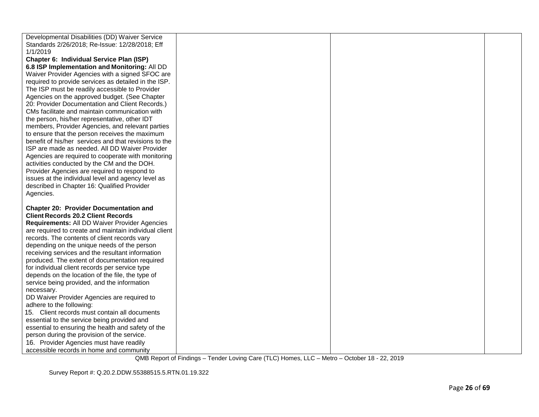| Developmental Disabilities (DD) Waiver Service        |  |  |
|-------------------------------------------------------|--|--|
| Standards 2/26/2018; Re-Issue: 12/28/2018; Eff        |  |  |
| 1/1/2019                                              |  |  |
| Chapter 6: Individual Service Plan (ISP)              |  |  |
| 6.8 ISP Implementation and Monitoring: All DD         |  |  |
| Waiver Provider Agencies with a signed SFOC are       |  |  |
| required to provide services as detailed in the ISP.  |  |  |
| The ISP must be readily accessible to Provider        |  |  |
| Agencies on the approved budget. (See Chapter         |  |  |
| 20: Provider Documentation and Client Records.)       |  |  |
| CMs facilitate and maintain communication with        |  |  |
|                                                       |  |  |
| the person, his/her representative, other IDT         |  |  |
| members, Provider Agencies, and relevant parties      |  |  |
| to ensure that the person receives the maximum        |  |  |
| benefit of his/her services and that revisions to the |  |  |
| ISP are made as needed. All DD Waiver Provider        |  |  |
| Agencies are required to cooperate with monitoring    |  |  |
| activities conducted by the CM and the DOH.           |  |  |
| Provider Agencies are required to respond to          |  |  |
| issues at the individual level and agency level as    |  |  |
| described in Chapter 16: Qualified Provider           |  |  |
| Agencies.                                             |  |  |
|                                                       |  |  |
| <b>Chapter 20: Provider Documentation and</b>         |  |  |
| <b>Client Records 20.2 Client Records</b>             |  |  |
| Requirements: All DD Waiver Provider Agencies         |  |  |
| are required to create and maintain individual client |  |  |
| records. The contents of client records vary          |  |  |
| depending on the unique needs of the person           |  |  |
| receiving services and the resultant information      |  |  |
| produced. The extent of documentation required        |  |  |
| for individual client records per service type        |  |  |
| depends on the location of the file, the type of      |  |  |
| service being provided, and the information           |  |  |
| necessary.                                            |  |  |
| DD Waiver Provider Agencies are required to           |  |  |
| adhere to the following:                              |  |  |
| 15. Client records must contain all documents         |  |  |
| essential to the service being provided and           |  |  |
| essential to ensuring the health and safety of the    |  |  |
| person during the provision of the service.           |  |  |
| 16. Provider Agencies must have readily               |  |  |
| accessible records in home and community              |  |  |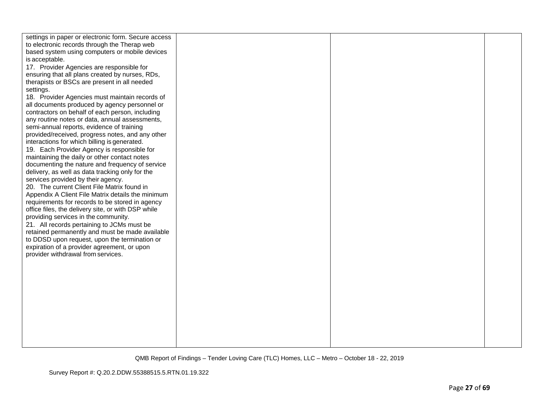| settings in paper or electronic form. Secure access |  |  |
|-----------------------------------------------------|--|--|
| to electronic records through the Therap web        |  |  |
| based system using computers or mobile devices      |  |  |
| is acceptable.                                      |  |  |
|                                                     |  |  |
| 17. Provider Agencies are responsible for           |  |  |
| ensuring that all plans created by nurses, RDs,     |  |  |
| therapists or BSCs are present in all needed        |  |  |
| settings.                                           |  |  |
| 18. Provider Agencies must maintain records of      |  |  |
| all documents produced by agency personnel or       |  |  |
| contractors on behalf of each person, including     |  |  |
| any routine notes or data, annual assessments,      |  |  |
| semi-annual reports, evidence of training           |  |  |
| provided/received, progress notes, and any other    |  |  |
| interactions for which billing is generated.        |  |  |
| 19. Each Provider Agency is responsible for         |  |  |
| maintaining the daily or other contact notes        |  |  |
| documenting the nature and frequency of service     |  |  |
| delivery, as well as data tracking only for the     |  |  |
| services provided by their agency.                  |  |  |
| 20. The current Client File Matrix found in         |  |  |
| Appendix A Client File Matrix details the minimum   |  |  |
| requirements for records to be stored in agency     |  |  |
| office files, the delivery site, or with DSP while  |  |  |
| providing services in the community.                |  |  |
| 21. All records pertaining to JCMs must be          |  |  |
| retained permanently and must be made available     |  |  |
| to DDSD upon request, upon the termination or       |  |  |
| expiration of a provider agreement, or upon         |  |  |
| provider withdrawal from services.                  |  |  |
|                                                     |  |  |
|                                                     |  |  |
|                                                     |  |  |
|                                                     |  |  |
|                                                     |  |  |
|                                                     |  |  |
|                                                     |  |  |
|                                                     |  |  |
|                                                     |  |  |
|                                                     |  |  |
|                                                     |  |  |
|                                                     |  |  |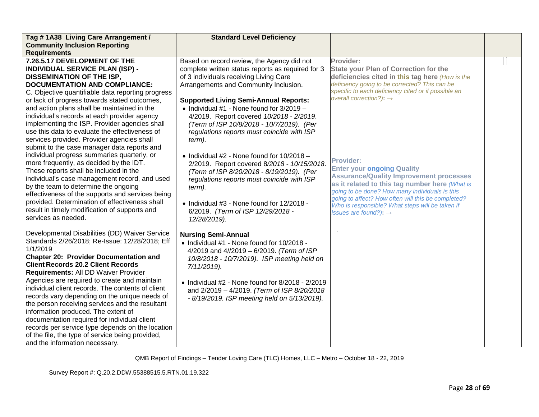| Tag #1A38 Living Care Arrangement /               | <b>Standard Level Deficiency</b>                   |                                                     |  |
|---------------------------------------------------|----------------------------------------------------|-----------------------------------------------------|--|
| <b>Community Inclusion Reporting</b>              |                                                    |                                                     |  |
| <b>Requirements</b>                               |                                                    |                                                     |  |
| 7.26.5.17 DEVELOPMENT OF THE                      | Based on record review, the Agency did not         | Provider:                                           |  |
| <b>INDIVIDUAL SERVICE PLAN (ISP) -</b>            | complete written status reports as required for 3  | <b>State your Plan of Correction for the</b>        |  |
| <b>DISSEMINATION OF THE ISP,</b>                  | of 3 individuals receiving Living Care             | deficiencies cited in this tag here (How is the     |  |
| <b>DOCUMENTATION AND COMPLIANCE:</b>              | Arrangements and Community Inclusion.              | deficiency going to be corrected? This can be       |  |
| C. Objective quantifiable data reporting progress |                                                    | specific to each deficiency cited or if possible an |  |
| or lack of progress towards stated outcomes,      | <b>Supported Living Semi-Annual Reports:</b>       | overall correction?): $\rightarrow$                 |  |
| and action plans shall be maintained in the       | • Individual $#1$ - None found for $3/2019 -$      |                                                     |  |
| individual's records at each provider agency      | 4/2019. Report covered 10/2018 - 2/2019.           |                                                     |  |
| implementing the ISP. Provider agencies shall     | (Term of ISP 10/8/2018 - 10/7/2019). (Per          |                                                     |  |
| use this data to evaluate the effectiveness of    | regulations reports must coincide with ISP         |                                                     |  |
| services provided. Provider agencies shall        | term).                                             |                                                     |  |
| submit to the case manager data reports and       |                                                    |                                                     |  |
| individual progress summaries quarterly, or       | • Individual #2 - None found for $10/2018 -$       | <b>Provider:</b>                                    |  |
| more frequently, as decided by the IDT.           | 2/2019. Report covered 8/2018 - 10/15/2018.        | <b>Enter your ongoing Quality</b>                   |  |
| These reports shall be included in the            | (Term of ISP 8/20/2018 - 8/19/2019). (Per          | <b>Assurance/Quality Improvement processes</b>      |  |
| individual's case management record, and used     | regulations reports must coincide with ISP         | as it related to this tag number here (What is      |  |
| by the team to determine the ongoing              | term).                                             | going to be done? How many individuals is this      |  |
| effectiveness of the supports and services being  |                                                    | going to affect? How often will this be completed?  |  |
| provided. Determination of effectiveness shall    | • Individual #3 - None found for 12/2018 -         | Who is responsible? What steps will be taken if     |  |
| result in timely modification of supports and     | 6/2019. (Term of ISP 12/29/2018 -                  | issues are found?): $\rightarrow$                   |  |
| services as needed.                               | 12/28/2019).                                       |                                                     |  |
| Developmental Disabilities (DD) Waiver Service    |                                                    |                                                     |  |
| Standards 2/26/2018; Re-Issue: 12/28/2018; Eff    | <b>Nursing Semi-Annual</b>                         |                                                     |  |
| 1/1/2019                                          | • Individual #1 - None found for 10/2018 -         |                                                     |  |
| <b>Chapter 20: Provider Documentation and</b>     | 4/2019 and 4//2019 - 6/2019. (Term of ISP          |                                                     |  |
| <b>Client Records 20.2 Client Records</b>         | 10/8/2018 - 10/7/2019). ISP meeting held on        |                                                     |  |
| Requirements: All DD Waiver Provider              | 7/11/2019).                                        |                                                     |  |
| Agencies are required to create and maintain      |                                                    |                                                     |  |
| individual client records. The contents of client | • Individual #2 - None found for $8/2018 - 2/2019$ |                                                     |  |
| records vary depending on the unique needs of     | and 2/2019 - 4/2019. (Term of ISP 8/20/2018        |                                                     |  |
| the person receiving services and the resultant   | - 8/19/2019. ISP meeting held on 5/13/2019).       |                                                     |  |
| information produced. The extent of               |                                                    |                                                     |  |
| documentation required for individual client      |                                                    |                                                     |  |
| records per service type depends on the location  |                                                    |                                                     |  |
| of the file, the type of service being provided,  |                                                    |                                                     |  |
| and the information necessary.                    |                                                    |                                                     |  |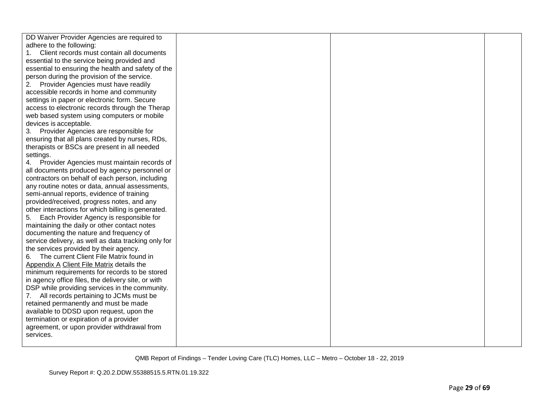| DD Waiver Provider Agencies are required to         |  |  |
|-----------------------------------------------------|--|--|
| adhere to the following:                            |  |  |
| Client records must contain all documents           |  |  |
| essential to the service being provided and         |  |  |
| essential to ensuring the health and safety of the  |  |  |
| person during the provision of the service.         |  |  |
| Provider Agencies must have readily<br>2.           |  |  |
| accessible records in home and community            |  |  |
| settings in paper or electronic form. Secure        |  |  |
| access to electronic records through the Therap     |  |  |
| web based system using computers or mobile          |  |  |
| devices is acceptable.                              |  |  |
| 3. Provider Agencies are responsible for            |  |  |
| ensuring that all plans created by nurses, RDs,     |  |  |
| therapists or BSCs are present in all needed        |  |  |
| settings.                                           |  |  |
| 4. Provider Agencies must maintain records of       |  |  |
| all documents produced by agency personnel or       |  |  |
| contractors on behalf of each person, including     |  |  |
| any routine notes or data, annual assessments,      |  |  |
| semi-annual reports, evidence of training           |  |  |
| provided/received, progress notes, and any          |  |  |
| other interactions for which billing is generated.  |  |  |
| 5. Each Provider Agency is responsible for          |  |  |
| maintaining the daily or other contact notes        |  |  |
| documenting the nature and frequency of             |  |  |
| service delivery, as well as data tracking only for |  |  |
| the services provided by their agency.              |  |  |
| The current Client File Matrix found in<br>6.       |  |  |
| Appendix A Client File Matrix details the           |  |  |
| minimum requirements for records to be stored       |  |  |
| in agency office files, the delivery site, or with  |  |  |
| DSP while providing services in the community.      |  |  |
| 7. All records pertaining to JCMs must be           |  |  |
| retained permanently and must be made               |  |  |
| available to DDSD upon request, upon the            |  |  |
| termination or expiration of a provider             |  |  |
| agreement, or upon provider withdrawal from         |  |  |
| services.                                           |  |  |
|                                                     |  |  |
|                                                     |  |  |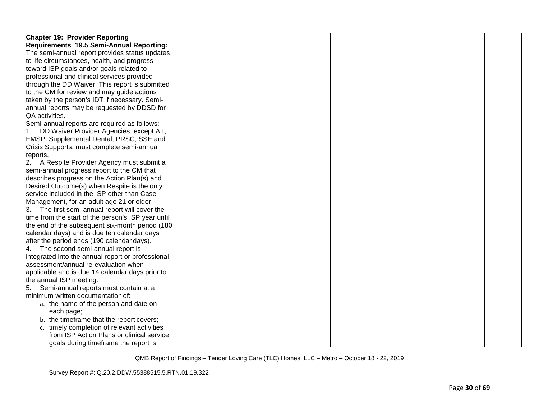| <b>Chapter 19: Provider Reporting</b>              |  |  |
|----------------------------------------------------|--|--|
| Requirements 19.5 Semi-Annual Reporting:           |  |  |
| The semi-annual report provides status updates     |  |  |
| to life circumstances, health, and progress        |  |  |
| toward ISP goals and/or goals related to           |  |  |
| professional and clinical services provided        |  |  |
| through the DD Waiver. This report is submitted    |  |  |
| to the CM for review and may guide actions         |  |  |
| taken by the person's IDT if necessary. Semi-      |  |  |
| annual reports may be requested by DDSD for        |  |  |
| QA activities.                                     |  |  |
| Semi-annual reports are required as follows:       |  |  |
| DD Waiver Provider Agencies, except AT,            |  |  |
| EMSP, Supplemental Dental, PRSC, SSE and           |  |  |
| Crisis Supports, must complete semi-annual         |  |  |
| reports.                                           |  |  |
| 2. A Respite Provider Agency must submit a         |  |  |
| semi-annual progress report to the CM that         |  |  |
| describes progress on the Action Plan(s) and       |  |  |
| Desired Outcome(s) when Respite is the only        |  |  |
| service included in the ISP other than Case        |  |  |
| Management, for an adult age 21 or older.          |  |  |
| 3. The first semi-annual report will cover the     |  |  |
| time from the start of the person's ISP year until |  |  |
| the end of the subsequent six-month period (180)   |  |  |
| calendar days) and is due ten calendar days        |  |  |
| after the period ends (190 calendar days).         |  |  |
| 4. The second semi-annual report is                |  |  |
| integrated into the annual report or professional  |  |  |
| assessment/annual re-evaluation when               |  |  |
| applicable and is due 14 calendar days prior to    |  |  |
| the annual ISP meeting.                            |  |  |
| Semi-annual reports must contain at a<br>5.        |  |  |
| minimum written documentation of:                  |  |  |
| a. the name of the person and date on              |  |  |
| each page;                                         |  |  |
| b. the timeframe that the report covers;           |  |  |
| c. timely completion of relevant activities        |  |  |
| from ISP Action Plans or clinical service          |  |  |
| goals during timeframe the report is               |  |  |
|                                                    |  |  |

Survey Report #: Q.20.2.DDW.55388515.5.RTN.01.19.322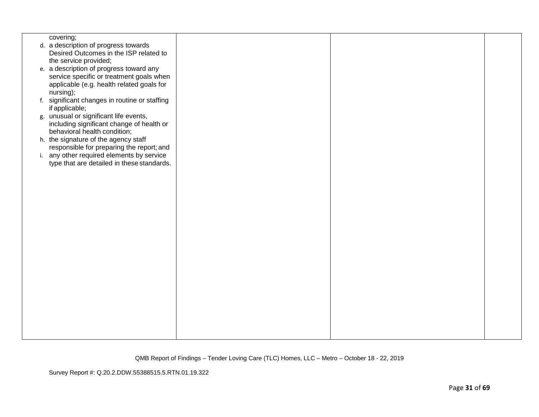| covering;                                     |  |  |
|-----------------------------------------------|--|--|
| d. a description of progress towards          |  |  |
| Desired Outcomes in the ISP related to        |  |  |
| the service provided;                         |  |  |
|                                               |  |  |
| e. a description of progress toward any       |  |  |
| service specific or treatment goals when      |  |  |
| applicable (e.g. health related goals for     |  |  |
| nursing);                                     |  |  |
| f. significant changes in routine or staffing |  |  |
| if applicable;                                |  |  |
| g. unusual or significant life events,        |  |  |
|                                               |  |  |
| including significant change of health or     |  |  |
| behavioral health condition;                  |  |  |
| h. the signature of the agency staff          |  |  |
| responsible for preparing the report; and     |  |  |
| i. any other required elements by service     |  |  |
| type that are detailed in these standards.    |  |  |
|                                               |  |  |
|                                               |  |  |
|                                               |  |  |
|                                               |  |  |
|                                               |  |  |
|                                               |  |  |
|                                               |  |  |
|                                               |  |  |
|                                               |  |  |
|                                               |  |  |
|                                               |  |  |
|                                               |  |  |
|                                               |  |  |
|                                               |  |  |
|                                               |  |  |
|                                               |  |  |
|                                               |  |  |
|                                               |  |  |
|                                               |  |  |
|                                               |  |  |
|                                               |  |  |
|                                               |  |  |
|                                               |  |  |
|                                               |  |  |
|                                               |  |  |

Survey Report #: Q.20.2.DDW.55388515.5.RTN.01.19.322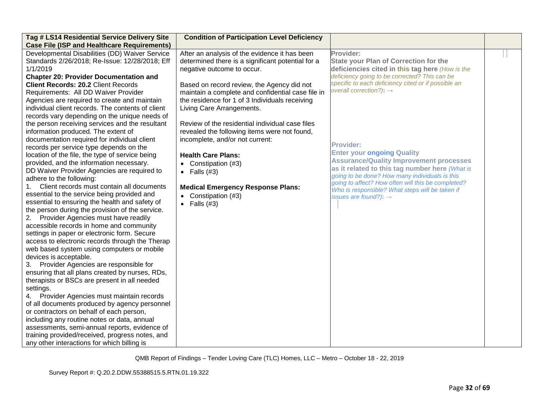| Tag # LS14 Residential Service Delivery Site       | <b>Condition of Participation Level Deficiency</b> |                                                                                                       |  |
|----------------------------------------------------|----------------------------------------------------|-------------------------------------------------------------------------------------------------------|--|
| <b>Case File (ISP and Healthcare Requirements)</b> |                                                    |                                                                                                       |  |
| Developmental Disabilities (DD) Waiver Service     | After an analysis of the evidence it has been      | Provider:                                                                                             |  |
| Standards 2/26/2018; Re-Issue: 12/28/2018; Eff     | determined there is a significant potential for a  | <b>State your Plan of Correction for the</b>                                                          |  |
| 1/1/2019                                           | negative outcome to occur.                         | deficiencies cited in this tag here (How is the                                                       |  |
| <b>Chapter 20: Provider Documentation and</b>      |                                                    | deficiency going to be corrected? This can be                                                         |  |
| <b>Client Records: 20.2 Client Records</b>         | Based on record review, the Agency did not         | specific to each deficiency cited or if possible an                                                   |  |
| Requirements: All DD Waiver Provider               | maintain a complete and confidential case file in  | overall correction?): $\rightarrow$                                                                   |  |
| Agencies are required to create and maintain       | the residence for 1 of 3 Individuals receiving     |                                                                                                       |  |
| individual client records. The contents of client  | Living Care Arrangements.                          |                                                                                                       |  |
| records vary depending on the unique needs of      |                                                    |                                                                                                       |  |
| the person receiving services and the resultant    | Review of the residential individual case files    |                                                                                                       |  |
| information produced. The extent of                | revealed the following items were not found,       |                                                                                                       |  |
| documentation required for individual client       | incomplete, and/or not current:                    |                                                                                                       |  |
| records per service type depends on the            |                                                    | <b>Provider:</b>                                                                                      |  |
| location of the file, the type of service being    | <b>Health Care Plans:</b>                          | <b>Enter your ongoing Quality</b>                                                                     |  |
| provided, and the information necessary.           | • Constipation $(#3)$                              | <b>Assurance/Quality Improvement processes</b>                                                        |  |
| DD Waiver Provider Agencies are required to        | • Falls $(#3)$                                     | as it related to this tag number here (What is                                                        |  |
| adhere to the following:                           |                                                    | going to be done? How many individuals is this                                                        |  |
| Client records must contain all documents<br>1.    | <b>Medical Emergency Response Plans:</b>           | going to affect? How often will this be completed?<br>Who is responsible? What steps will be taken if |  |
| essential to the service being provided and        | • Constipation (#3)                                | issues are found?): $\rightarrow$                                                                     |  |
| essential to ensuring the health and safety of     | • Falls $(#3)$                                     |                                                                                                       |  |
| the person during the provision of the service.    |                                                    |                                                                                                       |  |
| Provider Agencies must have readily<br>2.          |                                                    |                                                                                                       |  |
| accessible records in home and community           |                                                    |                                                                                                       |  |
| settings in paper or electronic form. Secure       |                                                    |                                                                                                       |  |
| access to electronic records through the Therap    |                                                    |                                                                                                       |  |
| web based system using computers or mobile         |                                                    |                                                                                                       |  |
| devices is acceptable.                             |                                                    |                                                                                                       |  |
| Provider Agencies are responsible for<br>3.        |                                                    |                                                                                                       |  |
| ensuring that all plans created by nurses, RDs,    |                                                    |                                                                                                       |  |
| therapists or BSCs are present in all needed       |                                                    |                                                                                                       |  |
| settings.                                          |                                                    |                                                                                                       |  |
| Provider Agencies must maintain records<br>4.      |                                                    |                                                                                                       |  |
| of all documents produced by agency personnel      |                                                    |                                                                                                       |  |
| or contractors on behalf of each person,           |                                                    |                                                                                                       |  |
| including any routine notes or data, annual        |                                                    |                                                                                                       |  |
| assessments, semi-annual reports, evidence of      |                                                    |                                                                                                       |  |
| training provided/received, progress notes, and    |                                                    |                                                                                                       |  |
| any other interactions for which billing is        |                                                    |                                                                                                       |  |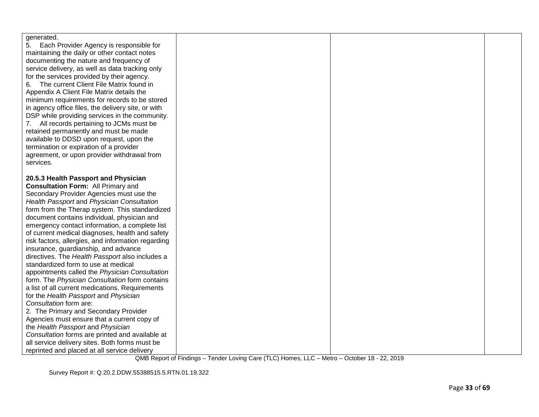| generated.                                         |  |  |
|----------------------------------------------------|--|--|
| 5. Each Provider Agency is responsible for         |  |  |
| maintaining the daily or other contact notes       |  |  |
| documenting the nature and frequency of            |  |  |
| service delivery, as well as data tracking only    |  |  |
| for the services provided by their agency.         |  |  |
| The current Client File Matrix found in<br>6.      |  |  |
| Appendix A Client File Matrix details the          |  |  |
| minimum requirements for records to be stored      |  |  |
| in agency office files, the delivery site, or with |  |  |
| DSP while providing services in the community.     |  |  |
| 7. All records pertaining to JCMs must be          |  |  |
| retained permanently and must be made              |  |  |
| available to DDSD upon request, upon the           |  |  |
| termination or expiration of a provider            |  |  |
| agreement, or upon provider withdrawal from        |  |  |
| services.                                          |  |  |
|                                                    |  |  |
| 20.5.3 Health Passport and Physician               |  |  |
| <b>Consultation Form: All Primary and</b>          |  |  |
| Secondary Provider Agencies must use the           |  |  |
| Health Passport and Physician Consultation         |  |  |
| form from the Therap system. This standardized     |  |  |
| document contains individual, physician and        |  |  |
| emergency contact information, a complete list     |  |  |
| of current medical diagnoses, health and safety    |  |  |
| risk factors, allergies, and information regarding |  |  |
| insurance, guardianship, and advance               |  |  |
| directives. The Health Passport also includes a    |  |  |
| standardized form to use at medical                |  |  |
| appointments called the Physician Consultation     |  |  |
| form. The Physician Consultation form contains     |  |  |
| a list of all current medications. Requirements    |  |  |
| for the Health Passport and Physician              |  |  |
| Consultation form are:                             |  |  |
| 2. The Primary and Secondary Provider              |  |  |
| Agencies must ensure that a current copy of        |  |  |
| the Health Passport and Physician                  |  |  |
| Consultation forms are printed and available at    |  |  |
| all service delivery sites. Both forms must be     |  |  |
| reprinted and placed at all service delivery       |  |  |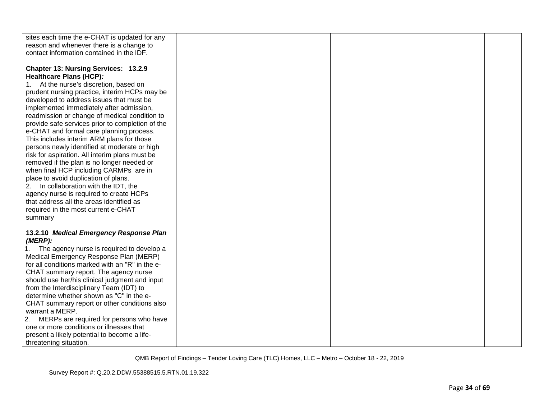| sites each time the e-CHAT is updated for any    |  |  |
|--------------------------------------------------|--|--|
| reason and whenever there is a change to         |  |  |
| contact information contained in the IDF.        |  |  |
|                                                  |  |  |
| Chapter 13: Nursing Services: 13.2.9             |  |  |
| Healthcare Plans (HCP):                          |  |  |
| At the nurse's discretion, based on<br>1.        |  |  |
| prudent nursing practice, interim HCPs may be    |  |  |
| developed to address issues that must be         |  |  |
| implemented immediately after admission,         |  |  |
| readmission or change of medical condition to    |  |  |
| provide safe services prior to completion of the |  |  |
| e-CHAT and formal care planning process.         |  |  |
| This includes interim ARM plans for those        |  |  |
| persons newly identified at moderate or high     |  |  |
| risk for aspiration. All interim plans must be   |  |  |
|                                                  |  |  |
| removed if the plan is no longer needed or       |  |  |
| when final HCP including CARMPs are in           |  |  |
| place to avoid duplication of plans.             |  |  |
| 2. In collaboration with the IDT, the            |  |  |
| agency nurse is required to create HCPs          |  |  |
| that address all the areas identified as         |  |  |
| required in the most current e-CHAT              |  |  |
| summary                                          |  |  |
|                                                  |  |  |
| 13.2.10 Medical Emergency Response Plan          |  |  |
| (MERP):                                          |  |  |
| 1. The agency nurse is required to develop a     |  |  |
| Medical Emergency Response Plan (MERP)           |  |  |
| for all conditions marked with an "R" in the e-  |  |  |
| CHAT summary report. The agency nurse            |  |  |
| should use her/his clinical judgment and input   |  |  |
| from the Interdisciplinary Team (IDT) to         |  |  |
| determine whether shown as "C" in the e-         |  |  |
| CHAT summary report or other conditions also     |  |  |
| warrant a MERP.                                  |  |  |
| MERPs are required for persons who have<br>2.    |  |  |
| one or more conditions or illnesses that         |  |  |
| present a likely potential to become a life-     |  |  |
| threatening situation.                           |  |  |
|                                                  |  |  |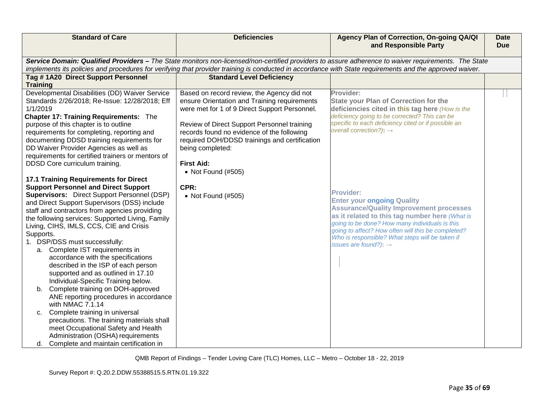| <b>Standard of Care</b>                            | <b>Deficiencies</b>                                                                                                                                     | Agency Plan of Correction, On-going QA/QI<br>and Responsible Party                                                                                  | <b>Date</b><br><b>Due</b> |
|----------------------------------------------------|---------------------------------------------------------------------------------------------------------------------------------------------------------|-----------------------------------------------------------------------------------------------------------------------------------------------------|---------------------------|
|                                                    |                                                                                                                                                         | Service Domain: Qualified Providers - The State monitors non-licensed/non-certified providers to assure adherence to waiver requirements. The State |                           |
|                                                    | implements its policies and procedures for verifying that provider training is conducted in accordance with State requirements and the approved waiver. |                                                                                                                                                     |                           |
| Tag #1A20 Direct Support Personnel                 | <b>Standard Level Deficiency</b>                                                                                                                        |                                                                                                                                                     |                           |
| <b>Training</b>                                    |                                                                                                                                                         |                                                                                                                                                     |                           |
| Developmental Disabilities (DD) Waiver Service     | Based on record review, the Agency did not                                                                                                              | Provider:                                                                                                                                           |                           |
| Standards 2/26/2018; Re-Issue: 12/28/2018; Eff     | ensure Orientation and Training requirements                                                                                                            | <b>State your Plan of Correction for the</b>                                                                                                        |                           |
| 1/1/2019                                           | were met for 1 of 9 Direct Support Personnel.                                                                                                           | deficiencies cited in this tag here (How is the                                                                                                     |                           |
| <b>Chapter 17: Training Requirements: The</b>      |                                                                                                                                                         | deficiency going to be corrected? This can be                                                                                                       |                           |
| purpose of this chapter is to outline              | Review of Direct Support Personnel training                                                                                                             | specific to each deficiency cited or if possible an                                                                                                 |                           |
| requirements for completing, reporting and         | records found no evidence of the following                                                                                                              | overall correction?): $\rightarrow$                                                                                                                 |                           |
| documenting DDSD training requirements for         | required DOH/DDSD trainings and certification                                                                                                           |                                                                                                                                                     |                           |
| DD Waiver Provider Agencies as well as             | being completed:                                                                                                                                        |                                                                                                                                                     |                           |
| requirements for certified trainers or mentors of  |                                                                                                                                                         |                                                                                                                                                     |                           |
| DDSD Core curriculum training.                     | <b>First Aid:</b>                                                                                                                                       |                                                                                                                                                     |                           |
|                                                    | • Not Found (#505)                                                                                                                                      |                                                                                                                                                     |                           |
| <b>17.1 Training Requirements for Direct</b>       |                                                                                                                                                         |                                                                                                                                                     |                           |
| <b>Support Personnel and Direct Support</b>        | CPR:                                                                                                                                                    |                                                                                                                                                     |                           |
| <b>Supervisors:</b> Direct Support Personnel (DSP) | • Not Found (#505)                                                                                                                                      | <b>Provider:</b>                                                                                                                                    |                           |
| and Direct Support Supervisors (DSS) include       |                                                                                                                                                         | <b>Enter your ongoing Quality</b>                                                                                                                   |                           |
| staff and contractors from agencies providing      |                                                                                                                                                         | <b>Assurance/Quality Improvement processes</b>                                                                                                      |                           |
| the following services: Supported Living, Family   |                                                                                                                                                         | as it related to this tag number here (What is                                                                                                      |                           |
| Living, CIHS, IMLS, CCS, CIE and Crisis            |                                                                                                                                                         | going to be done? How many individuals is this                                                                                                      |                           |
| Supports.                                          |                                                                                                                                                         | going to affect? How often will this be completed?                                                                                                  |                           |
| 1. DSP/DSS must successfully:                      |                                                                                                                                                         | Who is responsible? What steps will be taken if                                                                                                     |                           |
| a. Complete IST requirements in                    |                                                                                                                                                         | issues are found?): $\rightarrow$                                                                                                                   |                           |
| accordance with the specifications                 |                                                                                                                                                         |                                                                                                                                                     |                           |
| described in the ISP of each person                |                                                                                                                                                         |                                                                                                                                                     |                           |
| supported and as outlined in 17.10                 |                                                                                                                                                         |                                                                                                                                                     |                           |
| Individual-Specific Training below.                |                                                                                                                                                         |                                                                                                                                                     |                           |
| b. Complete training on DOH-approved               |                                                                                                                                                         |                                                                                                                                                     |                           |
| ANE reporting procedures in accordance             |                                                                                                                                                         |                                                                                                                                                     |                           |
| with NMAC 7.1.14                                   |                                                                                                                                                         |                                                                                                                                                     |                           |
| Complete training in universal<br>c.               |                                                                                                                                                         |                                                                                                                                                     |                           |
| precautions. The training materials shall          |                                                                                                                                                         |                                                                                                                                                     |                           |
| meet Occupational Safety and Health                |                                                                                                                                                         |                                                                                                                                                     |                           |
| Administration (OSHA) requirements                 |                                                                                                                                                         |                                                                                                                                                     |                           |
| d. Complete and maintain certification in          |                                                                                                                                                         |                                                                                                                                                     |                           |
|                                                    |                                                                                                                                                         |                                                                                                                                                     |                           |

Survey Report #: Q.20.2.DDW.55388515.5.RTN.01.19.322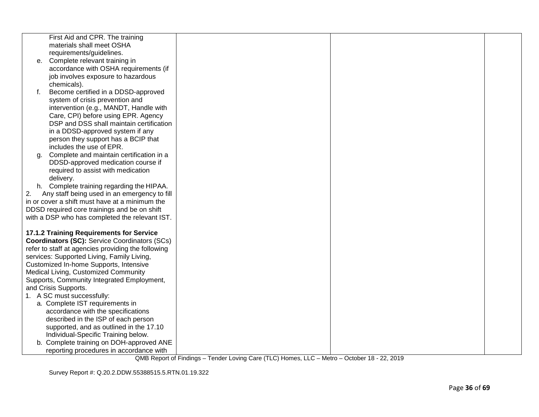|    | First Aid and CPR. The training                                      |  |  |
|----|----------------------------------------------------------------------|--|--|
|    | materials shall meet OSHA                                            |  |  |
|    | requirements/guidelines.                                             |  |  |
| e. | Complete relevant training in                                        |  |  |
|    | accordance with OSHA requirements (if                                |  |  |
|    | job involves exposure to hazardous                                   |  |  |
|    | chemicals).                                                          |  |  |
| f. | Become certified in a DDSD-approved                                  |  |  |
|    | system of crisis prevention and                                      |  |  |
|    | intervention (e.g., MANDT, Handle with                               |  |  |
|    | Care, CPI) before using EPR. Agency                                  |  |  |
|    | DSP and DSS shall maintain certification                             |  |  |
|    | in a DDSD-approved system if any                                     |  |  |
|    | person they support has a BCIP that                                  |  |  |
|    | includes the use of EPR.<br>Complete and maintain certification in a |  |  |
| g. | DDSD-approved medication course if                                   |  |  |
|    | required to assist with medication                                   |  |  |
|    | delivery.                                                            |  |  |
|    | h. Complete training regarding the HIPAA.                            |  |  |
| 2. | Any staff being used in an emergency to fill                         |  |  |
|    | in or cover a shift must have at a minimum the                       |  |  |
|    | DDSD required core trainings and be on shift                         |  |  |
|    | with a DSP who has completed the relevant IST.                       |  |  |
|    |                                                                      |  |  |
|    | 17.1.2 Training Requirements for Service                             |  |  |
|    | <b>Coordinators (SC): Service Coordinators (SCs)</b>                 |  |  |
|    | refer to staff at agencies providing the following                   |  |  |
|    | services: Supported Living, Family Living,                           |  |  |
|    | Customized In-home Supports, Intensive                               |  |  |
|    | Medical Living, Customized Community                                 |  |  |
|    | Supports, Community Integrated Employment,                           |  |  |
|    | and Crisis Supports.                                                 |  |  |
|    | 1. A SC must successfully:                                           |  |  |
|    | a. Complete IST requirements in                                      |  |  |
|    | accordance with the specifications                                   |  |  |
|    | described in the ISP of each person                                  |  |  |
|    | supported, and as outlined in the 17.10                              |  |  |
|    | Individual-Specific Training below.                                  |  |  |
|    | b. Complete training on DOH-approved ANE                             |  |  |
|    | reporting procedures in accordance with                              |  |  |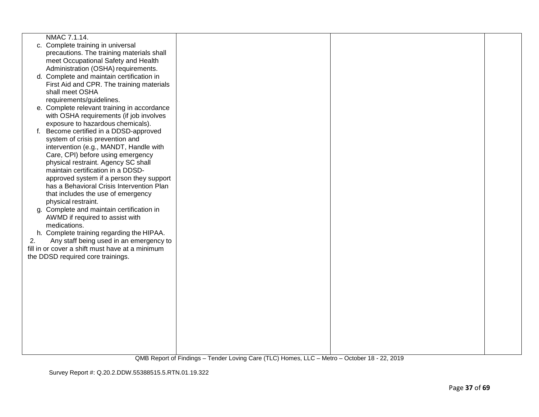|    | NMAC 7.1.14.                                    |  |  |
|----|-------------------------------------------------|--|--|
|    | c. Complete training in universal               |  |  |
|    | precautions. The training materials shall       |  |  |
|    | meet Occupational Safety and Health             |  |  |
|    | Administration (OSHA) requirements.             |  |  |
|    | d. Complete and maintain certification in       |  |  |
|    | First Aid and CPR. The training materials       |  |  |
|    | shall meet OSHA                                 |  |  |
|    | requirements/guidelines.                        |  |  |
|    | e. Complete relevant training in accordance     |  |  |
|    | with OSHA requirements (if job involves         |  |  |
|    | exposure to hazardous chemicals).               |  |  |
|    | f. Become certified in a DDSD-approved          |  |  |
|    | system of crisis prevention and                 |  |  |
|    | intervention (e.g., MANDT, Handle with          |  |  |
|    | Care, CPI) before using emergency               |  |  |
|    | physical restraint. Agency SC shall             |  |  |
|    | maintain certification in a DDSD-               |  |  |
|    | approved system if a person they support        |  |  |
|    | has a Behavioral Crisis Intervention Plan       |  |  |
|    | that includes the use of emergency              |  |  |
|    | physical restraint.                             |  |  |
|    | g. Complete and maintain certification in       |  |  |
|    | AWMD if required to assist with                 |  |  |
|    | medications.                                    |  |  |
|    | h. Complete training regarding the HIPAA.       |  |  |
| 2. | Any staff being used in an emergency to         |  |  |
|    | fill in or cover a shift must have at a minimum |  |  |
|    | the DDSD required core trainings.               |  |  |
|    |                                                 |  |  |
|    |                                                 |  |  |
|    |                                                 |  |  |
|    |                                                 |  |  |
|    |                                                 |  |  |
|    |                                                 |  |  |
|    |                                                 |  |  |
|    |                                                 |  |  |
|    |                                                 |  |  |
|    |                                                 |  |  |
|    |                                                 |  |  |
|    |                                                 |  |  |
|    |                                                 |  |  |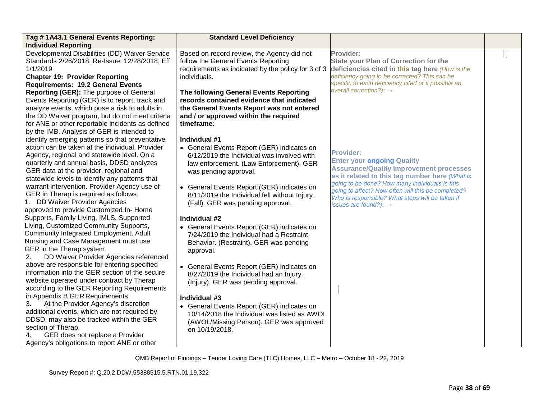| Tag # 1A43.1 General Events Reporting:                                                | <b>Standard Level Deficiency</b>                                                           |                                                                                                      |  |
|---------------------------------------------------------------------------------------|--------------------------------------------------------------------------------------------|------------------------------------------------------------------------------------------------------|--|
| <b>Individual Reporting</b>                                                           |                                                                                            |                                                                                                      |  |
| Developmental Disabilities (DD) Waiver Service                                        | Based on record review, the Agency did not                                                 | Provider:                                                                                            |  |
| Standards 2/26/2018; Re-Issue: 12/28/2018; Eff                                        | follow the General Events Reporting                                                        | <b>State your Plan of Correction for the</b>                                                         |  |
| 1/1/2019                                                                              | requirements as indicated by the policy for 3 of 3                                         | deficiencies cited in this tag here (How is the                                                      |  |
| <b>Chapter 19: Provider Reporting</b>                                                 | individuals.                                                                               | deficiency going to be corrected? This can be<br>specific to each deficiency cited or if possible an |  |
| <b>Requirements: 19.2 General Events</b>                                              |                                                                                            | overall correction?): $\rightarrow$                                                                  |  |
| Reporting (GER): The purpose of General                                               | The following General Events Reporting                                                     |                                                                                                      |  |
| Events Reporting (GER) is to report, track and                                        | records contained evidence that indicated                                                  |                                                                                                      |  |
| analyze events, which pose a risk to adults in                                        | the General Events Report was not entered                                                  |                                                                                                      |  |
| the DD Waiver program, but do not meet criteria                                       | and / or approved within the required                                                      |                                                                                                      |  |
| for ANE or other reportable incidents as defined                                      | timeframe:                                                                                 |                                                                                                      |  |
| by the IMB. Analysis of GER is intended to                                            |                                                                                            |                                                                                                      |  |
| identify emerging patterns so that preventative                                       | Individual #1                                                                              |                                                                                                      |  |
| action can be taken at the individual, Provider                                       | • General Events Report (GER) indicates on                                                 | <b>Provider:</b>                                                                                     |  |
| Agency, regional and statewide level. On a                                            | 6/12/2019 the Individual was involved with                                                 | <b>Enter your ongoing Quality</b>                                                                    |  |
| quarterly and annual basis, DDSD analyzes                                             | law enforcement. (Law Enforcement). GER                                                    | <b>Assurance/Quality Improvement processes</b>                                                       |  |
| GER data at the provider, regional and                                                | was pending approval.                                                                      | as it related to this tag number here (What is                                                       |  |
| statewide levels to identify any patterns that                                        |                                                                                            | going to be done? How many individuals is this                                                       |  |
| warrant intervention. Provider Agency use of<br>GER in Therap is required as follows: | • General Events Report (GER) indicates on                                                 | going to affect? How often will this be completed?                                                   |  |
|                                                                                       | 8/11/2019 the Individual fell without Injury.                                              | Who is responsible? What steps will be taken if                                                      |  |
| 1. DD Waiver Provider Agencies<br>approved to provide Customized In-Home              | (Fall). GER was pending approval.                                                          | issues are found?): $\rightarrow$                                                                    |  |
| Supports, Family Living, IMLS, Supported                                              |                                                                                            |                                                                                                      |  |
| Living, Customized Community Supports,                                                | Individual #2                                                                              |                                                                                                      |  |
| Community Integrated Employment, Adult                                                | • General Events Report (GER) indicates on                                                 |                                                                                                      |  |
| Nursing and Case Management must use                                                  | 7/24/2019 the Individual had a Restraint                                                   |                                                                                                      |  |
| GER in the Therap system.                                                             | Behavior. (Restraint). GER was pending                                                     |                                                                                                      |  |
| DD Waiver Provider Agencies referenced<br>2.                                          | approval.                                                                                  |                                                                                                      |  |
| above are responsible for entering specified                                          |                                                                                            |                                                                                                      |  |
| information into the GER section of the secure                                        | • General Events Report (GER) indicates on                                                 |                                                                                                      |  |
| website operated under contract by Therap                                             | 8/27/2019 the Individual had an Injury.<br>(Injury). GER was pending approval.             |                                                                                                      |  |
| according to the GER Reporting Requirements                                           |                                                                                            |                                                                                                      |  |
| in Appendix B GER Requirements.                                                       | Individual #3                                                                              |                                                                                                      |  |
| At the Provider Agency's discretion<br>3.                                             |                                                                                            |                                                                                                      |  |
| additional events, which are not required by                                          | • General Events Report (GER) indicates on<br>10/14/2018 the Individual was listed as AWOL |                                                                                                      |  |
| DDSD, may also be tracked within the GER                                              | (AWOL/Missing Person). GER was approved                                                    |                                                                                                      |  |
| section of Therap.                                                                    | on 10/19/2018.                                                                             |                                                                                                      |  |
| GER does not replace a Provider<br>4.                                                 |                                                                                            |                                                                                                      |  |
| Agency's obligations to report ANE or other                                           |                                                                                            |                                                                                                      |  |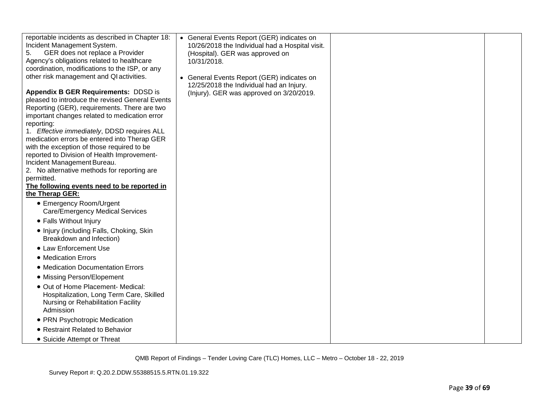| reportable incidents as described in Chapter 18:<br>Incident Management System.<br>GER does not replace a Provider<br>5.<br>Agency's obligations related to healthcare<br>coordination, modifications to the ISP, or any<br>other risk management and QI activities.<br>Appendix B GER Requirements: DDSD is<br>pleased to introduce the revised General Events<br>Reporting (GER), requirements. There are two<br>important changes related to medication error<br>reporting:<br>1. Effective immediately, DDSD requires ALL<br>medication errors be entered into Therap GER<br>with the exception of those required to be<br>reported to Division of Health Improvement-<br>Incident Management Bureau.<br>2. No alternative methods for reporting are<br>permitted.<br>The following events need to be reported in<br>the Therap GER:<br>• Emergency Room/Urgent<br><b>Care/Emergency Medical Services</b><br>• Falls Without Injury<br>• Injury (including Falls, Choking, Skin<br>Breakdown and Infection)<br>• Law Enforcement Use<br>• Medication Errors<br>• Medication Documentation Errors<br>• Missing Person/Elopement<br>• Out of Home Placement- Medical:<br>Hospitalization, Long Term Care, Skilled<br>Nursing or Rehabilitation Facility<br>Admission | • General Events Report (GER) indicates on<br>10/26/2018 the Individual had a Hospital visit.<br>(Hospital). GER was approved on<br>10/31/2018.<br>• General Events Report (GER) indicates on<br>12/25/2018 the Individual had an Injury.<br>(Injury). GER was approved on 3/20/2019. |  |
|------------------------------------------------------------------------------------------------------------------------------------------------------------------------------------------------------------------------------------------------------------------------------------------------------------------------------------------------------------------------------------------------------------------------------------------------------------------------------------------------------------------------------------------------------------------------------------------------------------------------------------------------------------------------------------------------------------------------------------------------------------------------------------------------------------------------------------------------------------------------------------------------------------------------------------------------------------------------------------------------------------------------------------------------------------------------------------------------------------------------------------------------------------------------------------------------------------------------------------------------------------------------|---------------------------------------------------------------------------------------------------------------------------------------------------------------------------------------------------------------------------------------------------------------------------------------|--|
| • PRN Psychotropic Medication<br>• Restraint Related to Behavior                                                                                                                                                                                                                                                                                                                                                                                                                                                                                                                                                                                                                                                                                                                                                                                                                                                                                                                                                                                                                                                                                                                                                                                                       |                                                                                                                                                                                                                                                                                       |  |
| • Suicide Attempt or Threat                                                                                                                                                                                                                                                                                                                                                                                                                                                                                                                                                                                                                                                                                                                                                                                                                                                                                                                                                                                                                                                                                                                                                                                                                                            |                                                                                                                                                                                                                                                                                       |  |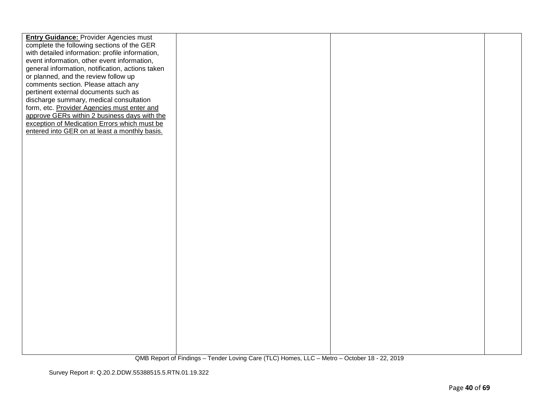| <b>Entry Guidance: Provider Agencies must</b><br>complete the following sections of the GER |  |  |
|---------------------------------------------------------------------------------------------|--|--|
| with detailed information: profile information,                                             |  |  |
| event information, other event information,                                                 |  |  |
| general information, notification, actions taken                                            |  |  |
| or planned, and the review follow up                                                        |  |  |
| comments section. Please attach any                                                         |  |  |
| pertinent external documents such as                                                        |  |  |
| discharge summary, medical consultation                                                     |  |  |
| form, etc. Provider Agencies must enter and                                                 |  |  |
| approve GERs within 2 business days with the                                                |  |  |
| exception of Medication Errors which must be                                                |  |  |
| entered into GER on at least a monthly basis.                                               |  |  |
|                                                                                             |  |  |
|                                                                                             |  |  |
|                                                                                             |  |  |
|                                                                                             |  |  |
|                                                                                             |  |  |
|                                                                                             |  |  |
|                                                                                             |  |  |
|                                                                                             |  |  |
|                                                                                             |  |  |
|                                                                                             |  |  |
|                                                                                             |  |  |
|                                                                                             |  |  |
|                                                                                             |  |  |
|                                                                                             |  |  |
|                                                                                             |  |  |
|                                                                                             |  |  |
|                                                                                             |  |  |
|                                                                                             |  |  |
|                                                                                             |  |  |
|                                                                                             |  |  |
|                                                                                             |  |  |
|                                                                                             |  |  |
|                                                                                             |  |  |
|                                                                                             |  |  |
|                                                                                             |  |  |
|                                                                                             |  |  |
|                                                                                             |  |  |
|                                                                                             |  |  |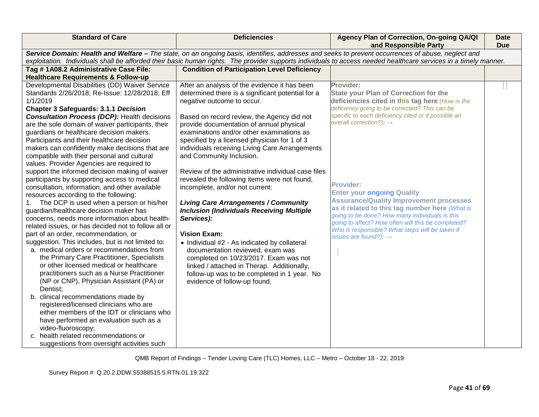| <b>Standard of Care</b>                             | <b>Deficiencies</b>                                                                                                                               | Agency Plan of Correction, On-going QA/QI<br>and Responsible Party                                                                                               | <b>Date</b><br><b>Due</b> |
|-----------------------------------------------------|---------------------------------------------------------------------------------------------------------------------------------------------------|------------------------------------------------------------------------------------------------------------------------------------------------------------------|---------------------------|
|                                                     | Service Domain: Health and Welfare - The state, on an ongoing basis, identifies, addresses and seeks to prevent occurrences of abuse, neglect and |                                                                                                                                                                  |                           |
|                                                     |                                                                                                                                                   | exploitation. Individuals shall be afforded their basic human rights. The provider supports individuals to access needed healthcare services in a timely manner. |                           |
| Tag #1A08.2 Administrative Case File:               | <b>Condition of Participation Level Deficiency</b>                                                                                                |                                                                                                                                                                  |                           |
| <b>Healthcare Requirements &amp; Follow-up</b>      |                                                                                                                                                   |                                                                                                                                                                  |                           |
| Developmental Disabilities (DD) Waiver Service      | After an analysis of the evidence it has been                                                                                                     | Provider:                                                                                                                                                        |                           |
| Standards 2/26/2018; Re-Issue: 12/28/2018; Eff      | determined there is a significant potential for a                                                                                                 | <b>State your Plan of Correction for the</b>                                                                                                                     |                           |
| 1/1/2019                                            | negative outcome to occur.                                                                                                                        | deficiencies cited in this tag here (How is the                                                                                                                  |                           |
| <b>Chapter 3 Safeguards: 3.1.1 Decision</b>         |                                                                                                                                                   | deficiency going to be corrected? This can be                                                                                                                    |                           |
| <b>Consultation Process (DCP): Health decisions</b> | Based on record review, the Agency did not                                                                                                        | specific to each deficiency cited or if possible an                                                                                                              |                           |
| are the sole domain of waiver participants, their   | provide documentation of annual physical                                                                                                          | overall correction?): $\rightarrow$                                                                                                                              |                           |
| guardians or healthcare decision makers.            | examinations and/or other examinations as                                                                                                         |                                                                                                                                                                  |                           |
| Participants and their healthcare decision          | specified by a licensed physician for 1 of 3                                                                                                      |                                                                                                                                                                  |                           |
| makers can confidently make decisions that are      | individuals receiving Living Care Arrangements                                                                                                    |                                                                                                                                                                  |                           |
| compatible with their personal and cultural         | and Community Inclusion.                                                                                                                          |                                                                                                                                                                  |                           |
| values. Provider Agencies are required to           |                                                                                                                                                   |                                                                                                                                                                  |                           |
| support the informed decision making of waiver      | Review of the administrative individual case files                                                                                                |                                                                                                                                                                  |                           |
| participants by supporting access to medical        | revealed the following items were not found,                                                                                                      | <b>Provider:</b>                                                                                                                                                 |                           |
| consultation, information, and other available      | incomplete, and/or not current:                                                                                                                   | <b>Enter your ongoing Quality</b>                                                                                                                                |                           |
| resources according to the following:               |                                                                                                                                                   | <b>Assurance/Quality Improvement processes</b>                                                                                                                   |                           |
| The DCP is used when a person or his/her<br>1.      | <b>Living Care Arrangements / Community</b>                                                                                                       | as it related to this tag number here (What is                                                                                                                   |                           |
| guardian/healthcare decision maker has              | <b>Inclusion (Individuals Receiving Multiple</b>                                                                                                  | going to be done? How many individuals is this                                                                                                                   |                           |
| concerns, needs more information about health-      | Services):                                                                                                                                        | going to affect? How often will this be completed?                                                                                                               |                           |
| related issues, or has decided not to follow all or |                                                                                                                                                   | Who is responsible? What steps will be taken if                                                                                                                  |                           |
| part of an order, recommendation, or                | <b>Vision Exam:</b>                                                                                                                               | issues are found?): $\rightarrow$                                                                                                                                |                           |
| suggestion. This includes, but is not limited to:   | • Individual #2 - As indicated by collateral                                                                                                      |                                                                                                                                                                  |                           |
| a. medical orders or recommendations from           | documentation reviewed, exam was                                                                                                                  |                                                                                                                                                                  |                           |
| the Primary Care Practitioner, Specialists          | completed on 10/23/2017. Exam was not                                                                                                             |                                                                                                                                                                  |                           |
| or other licensed medical or healthcare             | linked / attached in Therap. Additionally,                                                                                                        |                                                                                                                                                                  |                           |
| practitioners such as a Nurse Practitioner          | follow-up was to be completed in 1 year. No                                                                                                       |                                                                                                                                                                  |                           |
| (NP or CNP), Physician Assistant (PA) or            | evidence of follow-up found.                                                                                                                      |                                                                                                                                                                  |                           |
| Dentist:                                            |                                                                                                                                                   |                                                                                                                                                                  |                           |
| b. clinical recommendations made by                 |                                                                                                                                                   |                                                                                                                                                                  |                           |
| registered/licensed clinicians who are              |                                                                                                                                                   |                                                                                                                                                                  |                           |
| either members of the IDT or clinicians who         |                                                                                                                                                   |                                                                                                                                                                  |                           |
| have performed an evaluation such as a              |                                                                                                                                                   |                                                                                                                                                                  |                           |
| video-fluoroscopy;                                  |                                                                                                                                                   |                                                                                                                                                                  |                           |
| health related recommendations or<br>$\mathsf{C}$   |                                                                                                                                                   |                                                                                                                                                                  |                           |
| suggestions from oversight activities such          |                                                                                                                                                   |                                                                                                                                                                  |                           |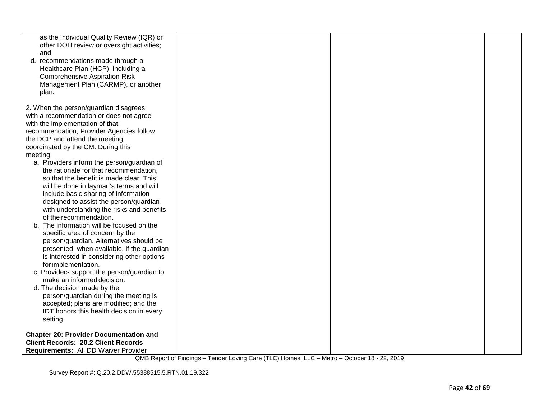| as the Individual Quality Review (IQR) or<br>other DOH review or oversight activities;<br>and |  |  |
|-----------------------------------------------------------------------------------------------|--|--|
| d. recommendations made through a                                                             |  |  |
| Healthcare Plan (HCP), including a                                                            |  |  |
| <b>Comprehensive Aspiration Risk</b>                                                          |  |  |
| Management Plan (CARMP), or another<br>plan.                                                  |  |  |
|                                                                                               |  |  |
| 2. When the person/guardian disagrees                                                         |  |  |
| with a recommendation or does not agree                                                       |  |  |
| with the implementation of that                                                               |  |  |
| recommendation, Provider Agencies follow                                                      |  |  |
| the DCP and attend the meeting<br>coordinated by the CM. During this                          |  |  |
| meeting:                                                                                      |  |  |
| a. Providers inform the person/guardian of                                                    |  |  |
| the rationale for that recommendation,                                                        |  |  |
| so that the benefit is made clear. This                                                       |  |  |
| will be done in layman's terms and will                                                       |  |  |
| include basic sharing of information                                                          |  |  |
| designed to assist the person/guardian                                                        |  |  |
| with understanding the risks and benefits                                                     |  |  |
| of the recommendation.<br>b. The information will be focused on the                           |  |  |
| specific area of concern by the                                                               |  |  |
| person/guardian. Alternatives should be                                                       |  |  |
| presented, when available, if the guardian                                                    |  |  |
| is interested in considering other options                                                    |  |  |
| for implementation.                                                                           |  |  |
| c. Providers support the person/guardian to                                                   |  |  |
| make an informed decision.                                                                    |  |  |
| d. The decision made by the<br>person/guardian during the meeting is                          |  |  |
| accepted; plans are modified; and the                                                         |  |  |
| IDT honors this health decision in every                                                      |  |  |
| setting.                                                                                      |  |  |
|                                                                                               |  |  |
| <b>Chapter 20: Provider Documentation and</b>                                                 |  |  |
| <b>Client Records: 20.2 Client Records</b>                                                    |  |  |
| Requirements: All DD Waiver Provider                                                          |  |  |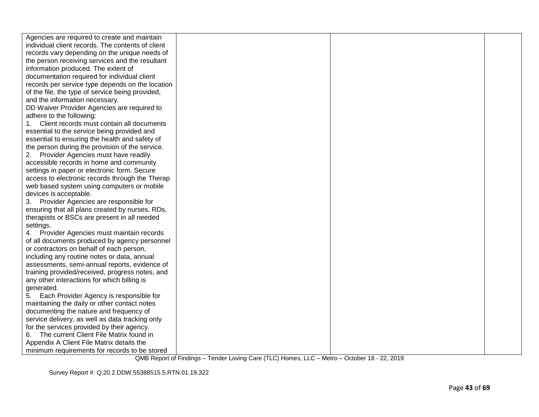| Agencies are required to create and maintain      |  |  |
|---------------------------------------------------|--|--|
| individual client records. The contents of client |  |  |
| records vary depending on the unique needs of     |  |  |
| the person receiving services and the resultant   |  |  |
| information produced. The extent of               |  |  |
| documentation required for individual client      |  |  |
| records per service type depends on the location  |  |  |
| of the file, the type of service being provided,  |  |  |
| and the information necessary.                    |  |  |
| DD Waiver Provider Agencies are required to       |  |  |
| adhere to the following:                          |  |  |
| Client records must contain all documents         |  |  |
| essential to the service being provided and       |  |  |
| essential to ensuring the health and safety of    |  |  |
| the person during the provision of the service.   |  |  |
| 2. Provider Agencies must have readily            |  |  |
| accessible records in home and community          |  |  |
| settings in paper or electronic form. Secure      |  |  |
| access to electronic records through the Therap   |  |  |
| web based system using computers or mobile        |  |  |
| devices is acceptable.                            |  |  |
| 3. Provider Agencies are responsible for          |  |  |
| ensuring that all plans created by nurses, RDs,   |  |  |
| therapists or BSCs are present in all needed      |  |  |
| settings.                                         |  |  |
| 4. Provider Agencies must maintain records        |  |  |
| of all documents produced by agency personnel     |  |  |
| or contractors on behalf of each person,          |  |  |
| including any routine notes or data, annual       |  |  |
| assessments, semi-annual reports, evidence of     |  |  |
| training provided/received, progress notes, and   |  |  |
| any other interactions for which billing is       |  |  |
| generated.                                        |  |  |
| Each Provider Agency is responsible for<br>5.     |  |  |
| maintaining the daily or other contact notes      |  |  |
| documenting the nature and frequency of           |  |  |
| service delivery, as well as data tracking only   |  |  |
| for the services provided by their agency.        |  |  |
| 6. The current Client File Matrix found in        |  |  |
| Appendix A Client File Matrix details the         |  |  |
| minimum requirements for records to be stored     |  |  |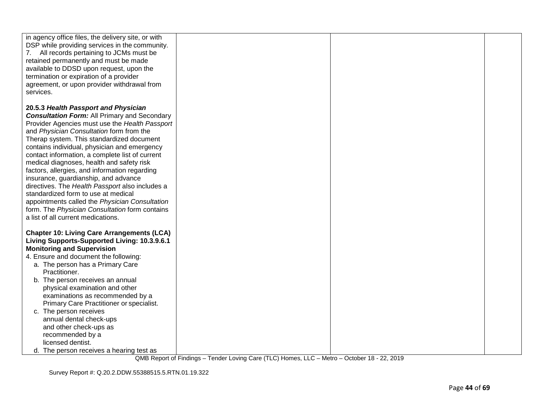| in agency office files, the delivery site, or with<br>DSP while providing services in the community.<br>All records pertaining to JCMs must be<br>7.<br>retained permanently and must be made<br>available to DDSD upon request, upon the<br>termination or expiration of a provider<br>agreement, or upon provider withdrawal from<br>services. |  |  |
|--------------------------------------------------------------------------------------------------------------------------------------------------------------------------------------------------------------------------------------------------------------------------------------------------------------------------------------------------|--|--|
| 20.5.3 Health Passport and Physician                                                                                                                                                                                                                                                                                                             |  |  |
| <b>Consultation Form:</b> All Primary and Secondary                                                                                                                                                                                                                                                                                              |  |  |
| Provider Agencies must use the Health Passport                                                                                                                                                                                                                                                                                                   |  |  |
| and Physician Consultation form from the                                                                                                                                                                                                                                                                                                         |  |  |
| Therap system. This standardized document                                                                                                                                                                                                                                                                                                        |  |  |
| contains individual, physician and emergency                                                                                                                                                                                                                                                                                                     |  |  |
| contact information, a complete list of current                                                                                                                                                                                                                                                                                                  |  |  |
| medical diagnoses, health and safety risk                                                                                                                                                                                                                                                                                                        |  |  |
| factors, allergies, and information regarding                                                                                                                                                                                                                                                                                                    |  |  |
| insurance, guardianship, and advance                                                                                                                                                                                                                                                                                                             |  |  |
| directives. The Health Passport also includes a                                                                                                                                                                                                                                                                                                  |  |  |
| standardized form to use at medical                                                                                                                                                                                                                                                                                                              |  |  |
| appointments called the Physician Consultation<br>form. The Physician Consultation form contains                                                                                                                                                                                                                                                 |  |  |
| a list of all current medications.                                                                                                                                                                                                                                                                                                               |  |  |
|                                                                                                                                                                                                                                                                                                                                                  |  |  |
| <b>Chapter 10: Living Care Arrangements (LCA)</b>                                                                                                                                                                                                                                                                                                |  |  |
| Living Supports-Supported Living: 10.3.9.6.1                                                                                                                                                                                                                                                                                                     |  |  |
| <b>Monitoring and Supervision</b>                                                                                                                                                                                                                                                                                                                |  |  |
| 4. Ensure and document the following:                                                                                                                                                                                                                                                                                                            |  |  |
| a. The person has a Primary Care                                                                                                                                                                                                                                                                                                                 |  |  |
| Practitioner.                                                                                                                                                                                                                                                                                                                                    |  |  |
| b. The person receives an annual                                                                                                                                                                                                                                                                                                                 |  |  |
| physical examination and other<br>examinations as recommended by a                                                                                                                                                                                                                                                                               |  |  |
| Primary Care Practitioner or specialist.                                                                                                                                                                                                                                                                                                         |  |  |
| c. The person receives                                                                                                                                                                                                                                                                                                                           |  |  |
| annual dental check-ups                                                                                                                                                                                                                                                                                                                          |  |  |
| and other check-ups as                                                                                                                                                                                                                                                                                                                           |  |  |
| recommended by a                                                                                                                                                                                                                                                                                                                                 |  |  |
| licensed dentist.                                                                                                                                                                                                                                                                                                                                |  |  |
| d. The person receives a hearing test as                                                                                                                                                                                                                                                                                                         |  |  |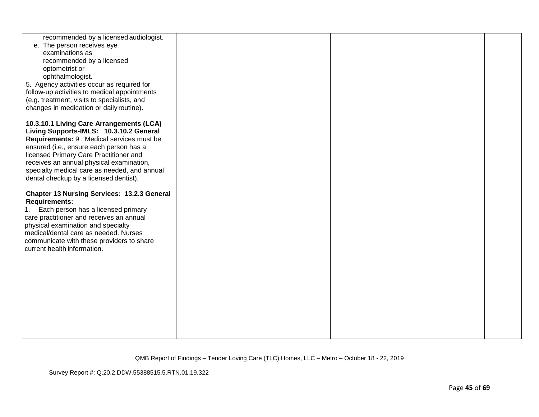| recommended by a licensed audiologist.<br>e. The person receives eye<br>examinations as                                                 |  |  |
|-----------------------------------------------------------------------------------------------------------------------------------------|--|--|
| recommended by a licensed<br>optometrist or                                                                                             |  |  |
| ophthalmologist.<br>5. Agency activities occur as required for                                                                          |  |  |
| follow-up activities to medical appointments<br>(e.g. treatment, visits to specialists, and<br>changes in medication or daily routine). |  |  |
| 10.3.10.1 Living Care Arrangements (LCA)<br>Living Supports-IMLS: 10.3.10.2 General                                                     |  |  |
| Requirements: 9 . Medical services must be<br>ensured (i.e., ensure each person has a<br>licensed Primary Care Practitioner and         |  |  |
| receives an annual physical examination,<br>specialty medical care as needed, and annual<br>dental checkup by a licensed dentist).      |  |  |
| <b>Chapter 13 Nursing Services: 13.2.3 General</b><br><b>Requirements:</b>                                                              |  |  |
| Each person has a licensed primary<br>care practitioner and receives an annual                                                          |  |  |
| physical examination and specialty<br>medical/dental care as needed. Nurses<br>communicate with these providers to share                |  |  |
| current health information.                                                                                                             |  |  |
|                                                                                                                                         |  |  |
|                                                                                                                                         |  |  |
|                                                                                                                                         |  |  |
|                                                                                                                                         |  |  |
|                                                                                                                                         |  |  |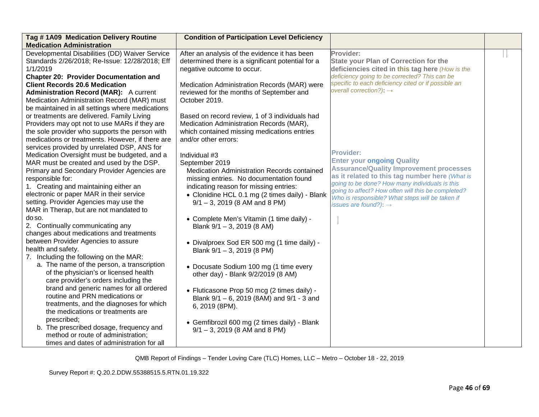| Tag #1A09 Medication Delivery Routine<br><b>Medication Administration</b>                                                                                                                                                                                                                              | <b>Condition of Participation Level Deficiency</b>                                                                                                                                                                                            |                                                                                                                                                                                                                                                             |  |
|--------------------------------------------------------------------------------------------------------------------------------------------------------------------------------------------------------------------------------------------------------------------------------------------------------|-----------------------------------------------------------------------------------------------------------------------------------------------------------------------------------------------------------------------------------------------|-------------------------------------------------------------------------------------------------------------------------------------------------------------------------------------------------------------------------------------------------------------|--|
| Developmental Disabilities (DD) Waiver Service<br>Standards 2/26/2018; Re-Issue: 12/28/2018; Eff<br>1/1/2019<br><b>Chapter 20: Provider Documentation and</b><br><b>Client Records 20.6 Medication</b><br><b>Administration Record (MAR):</b> A current<br>Medication Administration Record (MAR) must | After an analysis of the evidence it has been<br>determined there is a significant potential for a<br>negative outcome to occur.<br>Medication Administration Records (MAR) were<br>reviewed for the months of September and<br>October 2019. | Provider:<br><b>State your Plan of Correction for the</b><br>deficiencies cited in this tag here (How is the<br>deficiency going to be corrected? This can be<br>specific to each deficiency cited or if possible an<br>overall correction?): $\rightarrow$ |  |
| be maintained in all settings where medications<br>or treatments are delivered. Family Living<br>Providers may opt not to use MARs if they are<br>the sole provider who supports the person with<br>medications or treatments. However, if there are<br>services provided by unrelated DSP, ANS for    | Based on record review, 1 of 3 individuals had<br>Medication Administration Records (MAR),<br>which contained missing medications entries<br>and/or other errors:                                                                             |                                                                                                                                                                                                                                                             |  |
| Medication Oversight must be budgeted, and a                                                                                                                                                                                                                                                           | Individual #3                                                                                                                                                                                                                                 | <b>Provider:</b><br><b>Enter your ongoing Quality</b>                                                                                                                                                                                                       |  |
| MAR must be created and used by the DSP.                                                                                                                                                                                                                                                               | September 2019                                                                                                                                                                                                                                | <b>Assurance/Quality Improvement processes</b>                                                                                                                                                                                                              |  |
| Primary and Secondary Provider Agencies are<br>responsible for:                                                                                                                                                                                                                                        | Medication Administration Records contained<br>missing entries. No documentation found                                                                                                                                                        | as it related to this tag number here (What is                                                                                                                                                                                                              |  |
| 1. Creating and maintaining either an                                                                                                                                                                                                                                                                  | indicating reason for missing entries:                                                                                                                                                                                                        | going to be done? How many individuals is this                                                                                                                                                                                                              |  |
| electronic or paper MAR in their service                                                                                                                                                                                                                                                               | • Clonidine HCL 0.1 mg (2 times daily) - Blank                                                                                                                                                                                                | going to affect? How often will this be completed?                                                                                                                                                                                                          |  |
| setting. Provider Agencies may use the                                                                                                                                                                                                                                                                 | $9/1 - 3$ , 2019 (8 AM and 8 PM)                                                                                                                                                                                                              | Who is responsible? What steps will be taken if<br>issues are found?): $\rightarrow$                                                                                                                                                                        |  |
| MAR in Therap, but are not mandated to                                                                                                                                                                                                                                                                 |                                                                                                                                                                                                                                               |                                                                                                                                                                                                                                                             |  |
| do so.                                                                                                                                                                                                                                                                                                 | • Complete Men's Vitamin (1 time daily) -                                                                                                                                                                                                     |                                                                                                                                                                                                                                                             |  |
| 2. Continually communicating any                                                                                                                                                                                                                                                                       | Blank $9/1 - 3$ , 2019 (8 AM)                                                                                                                                                                                                                 |                                                                                                                                                                                                                                                             |  |
| changes about medications and treatments                                                                                                                                                                                                                                                               |                                                                                                                                                                                                                                               |                                                                                                                                                                                                                                                             |  |
| between Provider Agencies to assure                                                                                                                                                                                                                                                                    | • Divalproex Sod ER 500 mg (1 time daily) -                                                                                                                                                                                                   |                                                                                                                                                                                                                                                             |  |
| health and safety.                                                                                                                                                                                                                                                                                     | Blank 9/1 - 3, 2019 (8 PM)                                                                                                                                                                                                                    |                                                                                                                                                                                                                                                             |  |
| 7. Including the following on the MAR:                                                                                                                                                                                                                                                                 |                                                                                                                                                                                                                                               |                                                                                                                                                                                                                                                             |  |
| a. The name of the person, a transcription<br>of the physician's or licensed health                                                                                                                                                                                                                    | • Docusate Sodium 100 mg (1 time every                                                                                                                                                                                                        |                                                                                                                                                                                                                                                             |  |
| care provider's orders including the                                                                                                                                                                                                                                                                   | other day) - Blank 9/2/2019 (8 AM)                                                                                                                                                                                                            |                                                                                                                                                                                                                                                             |  |
| brand and generic names for all ordered                                                                                                                                                                                                                                                                |                                                                                                                                                                                                                                               |                                                                                                                                                                                                                                                             |  |
| routine and PRN medications or                                                                                                                                                                                                                                                                         | • Fluticasone Prop 50 mcg (2 times daily) -<br>Blank 9/1 - 6, 2019 (8AM) and 9/1 - 3 and                                                                                                                                                      |                                                                                                                                                                                                                                                             |  |
| treatments, and the diagnoses for which                                                                                                                                                                                                                                                                | 6, 2019 (8PM).                                                                                                                                                                                                                                |                                                                                                                                                                                                                                                             |  |
| the medications or treatments are                                                                                                                                                                                                                                                                      |                                                                                                                                                                                                                                               |                                                                                                                                                                                                                                                             |  |
| prescribed;                                                                                                                                                                                                                                                                                            | • Gemfibrozil 600 mg (2 times daily) - Blank                                                                                                                                                                                                  |                                                                                                                                                                                                                                                             |  |
| b. The prescribed dosage, frequency and                                                                                                                                                                                                                                                                | $9/1 - 3$ , 2019 (8 AM and 8 PM)                                                                                                                                                                                                              |                                                                                                                                                                                                                                                             |  |
| method or route of administration;                                                                                                                                                                                                                                                                     |                                                                                                                                                                                                                                               |                                                                                                                                                                                                                                                             |  |
| times and dates of administration for all                                                                                                                                                                                                                                                              |                                                                                                                                                                                                                                               |                                                                                                                                                                                                                                                             |  |

Survey Report #: Q.20.2.DDW.55388515.5.RTN.01.19.322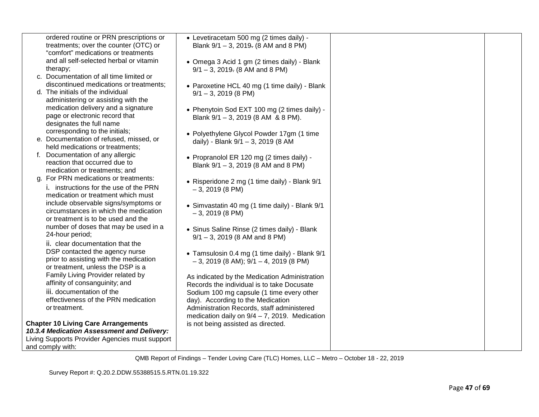|    | ordered routine or PRN prescriptions or        | • Levetiracetam 500 mg (2 times daily) -                                                    |  |
|----|------------------------------------------------|---------------------------------------------------------------------------------------------|--|
|    | treatments; over the counter (OTC) or          | Blank 9/1 - 3, 2019. (8 AM and 8 PM)                                                        |  |
|    | "comfort" medications or treatments            |                                                                                             |  |
|    | and all self-selected herbal or vitamin        | • Omega 3 Acid 1 gm (2 times daily) - Blank                                                 |  |
|    | therapy;                                       | $9/1 - 3$ , 2019. (8 AM and 8 PM)                                                           |  |
|    | c. Documentation of all time limited or        |                                                                                             |  |
|    | discontinued medications or treatments;        | • Paroxetine HCL 40 mg (1 time daily) - Blank                                               |  |
|    | d. The initials of the individual              | $9/1 - 3$ , 2019 (8 PM)                                                                     |  |
|    | administering or assisting with the            |                                                                                             |  |
|    | medication delivery and a signature            | • Phenytoin Sod EXT 100 mg (2 times daily) -                                                |  |
|    | page or electronic record that                 | Blank $9/1 - 3$ , 2019 (8 AM & 8 PM).                                                       |  |
|    | designates the full name                       |                                                                                             |  |
|    | corresponding to the initials;                 | • Polyethylene Glycol Powder 17gm (1 time                                                   |  |
|    | e. Documentation of refused, missed, or        | daily) - Blank 9/1 - 3, 2019 (8 AM                                                          |  |
|    | held medications or treatments;                |                                                                                             |  |
| f. | Documentation of any allergic                  | • Propranolol ER 120 mg (2 times daily) -                                                   |  |
|    | reaction that occurred due to                  | Blank $9/1 - 3$ , 2019 (8 AM and 8 PM)                                                      |  |
|    | medication or treatments; and                  |                                                                                             |  |
|    | g. For PRN medications or treatments:          | • Risperidone 2 mg (1 time daily) - Blank 9/1                                               |  |
|    | i. instructions for the use of the PRN         | $-3, 2019 (8 PM)$                                                                           |  |
|    | medication or treatment which must             |                                                                                             |  |
|    | include observable signs/symptoms or           | • Simvastatin 40 mg (1 time daily) - Blank 9/1                                              |  |
|    | circumstances in which the medication          | $-3, 2019 (8 PM)$                                                                           |  |
|    | or treatment is to be used and the             |                                                                                             |  |
|    | number of doses that may be used in a          |                                                                                             |  |
|    | 24-hour period;                                | • Sinus Saline Rinse (2 times daily) - Blank<br>$9/1 - 3$ , 2019 (8 AM and 8 PM)            |  |
|    | ii. clear documentation that the               |                                                                                             |  |
|    | DSP contacted the agency nurse                 |                                                                                             |  |
|    | prior to assisting with the medication         | • Tamsulosin 0.4 mg (1 time daily) - Blank 9/1                                              |  |
|    | or treatment, unless the DSP is a              | $-3$ , 2019 (8 AM); 9/1 $-4$ , 2019 (8 PM)                                                  |  |
|    | Family Living Provider related by              |                                                                                             |  |
|    | affinity of consanguinity; and                 | As indicated by the Medication Administration<br>Records the individual is to take Docusate |  |
|    | iii. documentation of the                      | Sodium 100 mg capsule (1 time every other                                                   |  |
|    | effectiveness of the PRN medication            | day). According to the Medication                                                           |  |
|    | or treatment.                                  | Administration Records, staff administered                                                  |  |
|    |                                                | medication daily on $9/4 - 7$ , 2019. Medication                                            |  |
|    | <b>Chapter 10 Living Care Arrangements</b>     | is not being assisted as directed.                                                          |  |
|    | 10.3.4 Medication Assessment and Delivery:     |                                                                                             |  |
|    | Living Supports Provider Agencies must support |                                                                                             |  |
|    | and comply with:                               |                                                                                             |  |
|    |                                                |                                                                                             |  |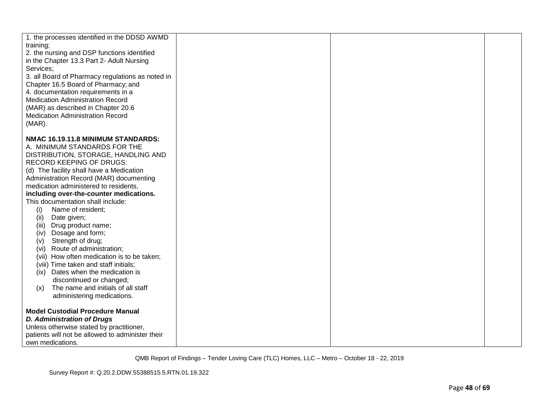| 1. the processes identified in the DDSD AWMD                                            |  |  |
|-----------------------------------------------------------------------------------------|--|--|
| training;                                                                               |  |  |
| 2. the nursing and DSP functions identified                                             |  |  |
| in the Chapter 13.3 Part 2- Adult Nursing                                               |  |  |
| Services;                                                                               |  |  |
| 3. all Board of Pharmacy regulations as noted in<br>Chapter 16.5 Board of Pharmacy; and |  |  |
| 4. documentation requirements in a                                                      |  |  |
| <b>Medication Administration Record</b>                                                 |  |  |
| (MAR) as described in Chapter 20.6                                                      |  |  |
| <b>Medication Administration Record</b>                                                 |  |  |
| $(MAR)$ .                                                                               |  |  |
|                                                                                         |  |  |
| NMAC 16.19.11.8 MINIMUM STANDARDS:                                                      |  |  |
| A. MINIMUM STANDARDS FOR THE                                                            |  |  |
| DISTRIBUTION, STORAGE, HANDLING AND                                                     |  |  |
| <b>RECORD KEEPING OF DRUGS:</b>                                                         |  |  |
| (d) The facility shall have a Medication                                                |  |  |
| Administration Record (MAR) documenting                                                 |  |  |
| medication administered to residents,<br>including over-the-counter medications.        |  |  |
| This documentation shall include:                                                       |  |  |
| Name of resident;<br>(i)                                                                |  |  |
| Date given;<br>(ii)                                                                     |  |  |
| Drug product name;<br>(iii)                                                             |  |  |
| (iv) Dosage and form;                                                                   |  |  |
| Strength of drug;<br>(v)                                                                |  |  |
| Route of administration;<br>(vi)                                                        |  |  |
| (vii) How often medication is to be taken;                                              |  |  |
| (viii) Time taken and staff initials;                                                   |  |  |
| Dates when the medication is<br>(ix)                                                    |  |  |
| discontinued or changed;                                                                |  |  |
| The name and initials of all staff<br>(x)                                               |  |  |
| administering medications.                                                              |  |  |
| <b>Model Custodial Procedure Manual</b>                                                 |  |  |
| <b>D. Administration of Drugs</b>                                                       |  |  |
| Unless otherwise stated by practitioner,                                                |  |  |
| patients will not be allowed to administer their                                        |  |  |
| own medications.                                                                        |  |  |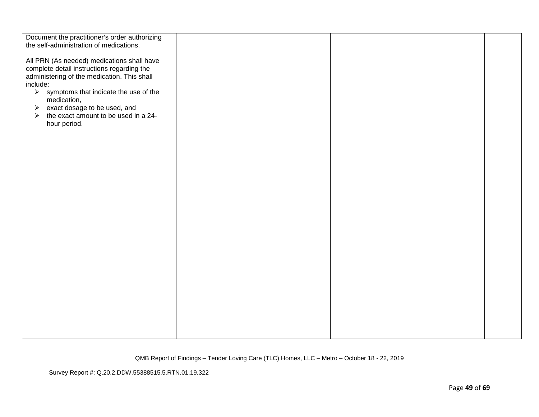| Document the practitioner's order authorizing<br>the self-administration of medications.                                                            |  |  |
|-----------------------------------------------------------------------------------------------------------------------------------------------------|--|--|
| All PRN (As needed) medications shall have<br>complete detail instructions regarding the<br>administering of the medication. This shall<br>include: |  |  |
| $\triangleright$ symptoms that indicate the use of the<br>medication,<br>$\triangleright$ exact dosage to be used, and                              |  |  |
| the exact amount to be used in a 24-<br>$\blacktriangleright$<br>hour period.                                                                       |  |  |
|                                                                                                                                                     |  |  |
|                                                                                                                                                     |  |  |
|                                                                                                                                                     |  |  |
|                                                                                                                                                     |  |  |
|                                                                                                                                                     |  |  |
|                                                                                                                                                     |  |  |
|                                                                                                                                                     |  |  |
|                                                                                                                                                     |  |  |

Survey Report #: Q.20.2.DDW.55388515.5.RTN.01.19.322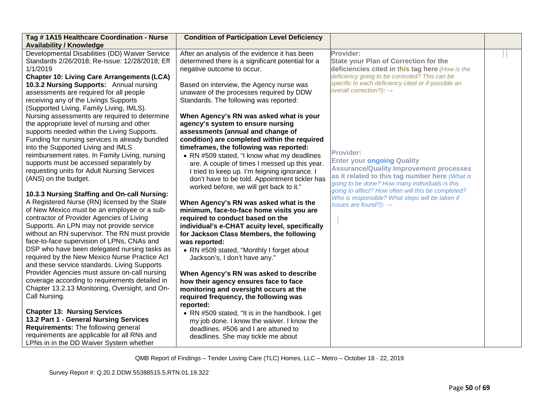| Tag # 1A15 Healthcare Coordination - Nurse                                                    | <b>Condition of Participation Level Deficiency</b>                            |                                                     |  |
|-----------------------------------------------------------------------------------------------|-------------------------------------------------------------------------------|-----------------------------------------------------|--|
| <b>Availability / Knowledge</b><br>Developmental Disabilities (DD) Waiver Service             | After an analysis of the evidence it has been                                 | Provider:                                           |  |
| Standards 2/26/2018; Re-Issue: 12/28/2018; Eff                                                | determined there is a significant potential for a                             | <b>State your Plan of Correction for the</b>        |  |
| 1/1/2019                                                                                      | negative outcome to occur.                                                    | deficiencies cited in this tag here (How is the     |  |
| <b>Chapter 10: Living Care Arrangements (LCA)</b>                                             |                                                                               | deficiency going to be corrected? This can be       |  |
| 10.3.2 Nursing Supports: Annual nursing                                                       | Based on interview, the Agency nurse was                                      | specific to each deficiency cited or if possible an |  |
| assessments are required for all people                                                       | unaware of the processes required by DDW                                      | overall correction?): $\rightarrow$                 |  |
| receiving any of the Livings Supports                                                         | Standards. The following was reported:                                        |                                                     |  |
| (Supported Living, Family Living, IMLS).                                                      |                                                                               |                                                     |  |
| Nursing assessments are required to determine                                                 | When Agency's RN was asked what is your                                       |                                                     |  |
| the appropriate level of nursing and other                                                    | agency's system to ensure nursing                                             |                                                     |  |
| supports needed within the Living Supports.                                                   | assessments (annual and change of                                             |                                                     |  |
| Funding for nursing services is already bundled                                               | condition) are completed within the required                                  |                                                     |  |
| into the Supported Living and IMLS                                                            | timeframes, the following was reported:                                       | <b>Provider:</b>                                    |  |
| reimbursement rates. In Family Living, nursing                                                | • RN #509 stated, "I know what my deadlines                                   | <b>Enter your ongoing Quality</b>                   |  |
| supports must be accessed separately by                                                       | are. A couple of times I messed up this year.                                 | <b>Assurance/Quality Improvement processes</b>      |  |
| requesting units for Adult Nursing Services                                                   | I tried to keep up. I'm feigning ignorance. I                                 | as it related to this tag number here (What is      |  |
| (ANS) on the budget.                                                                          | don't have to be told. Appointment tickler has                                | going to be done? How many individuals is this      |  |
|                                                                                               | worked before, we will get back to it."                                       | going to affect? How often will this be completed?  |  |
| 10.3.3 Nursing Staffing and On-call Nursing:<br>A Registered Nurse (RN) licensed by the State |                                                                               | Who is responsible? What steps will be taken if     |  |
| of New Mexico must be an employee or a sub-                                                   | When Agency's RN was asked what is the                                        | issues are found?): $\rightarrow$                   |  |
| contractor of Provider Agencies of Living                                                     | minimum, face-to-face home visits you are<br>required to conduct based on the |                                                     |  |
| Supports. An LPN may not provide service                                                      | individual's e-CHAT acuity level, specifically                                |                                                     |  |
| without an RN supervisor. The RN must provide                                                 | for Jackson Class Members, the following                                      |                                                     |  |
| face-to-face supervision of LPNs, CNAs and                                                    | was reported:                                                                 |                                                     |  |
| DSP who have been delegated nursing tasks as                                                  | • RN #509 stated, "Monthly I forget about                                     |                                                     |  |
| required by the New Mexico Nurse Practice Act                                                 | Jackson's, I don't have any."                                                 |                                                     |  |
| and these service standards. Living Supports                                                  |                                                                               |                                                     |  |
| Provider Agencies must assure on-call nursing                                                 | When Agency's RN was asked to describe                                        |                                                     |  |
| coverage according to requirements detailed in                                                | how their agency ensures face to face                                         |                                                     |  |
| Chapter 13.2.13 Monitoring, Oversight, and On-                                                | monitoring and oversight occurs at the                                        |                                                     |  |
| Call Nursing.                                                                                 | required frequency, the following was                                         |                                                     |  |
|                                                                                               | reported:                                                                     |                                                     |  |
| <b>Chapter 13: Nursing Services</b>                                                           | • RN #509 stated, "It is in the handbook. I get                               |                                                     |  |
| 13.2 Part 1 - General Nursing Services                                                        | my job done. I know the waiver. I know the                                    |                                                     |  |
| Requirements: The following general                                                           | deadlines. #506 and I are attuned to                                          |                                                     |  |
| requirements are applicable for all RNs and                                                   | deadlines. She may tickle me about                                            |                                                     |  |
| LPNs in in the DD Waiver System whether                                                       |                                                                               |                                                     |  |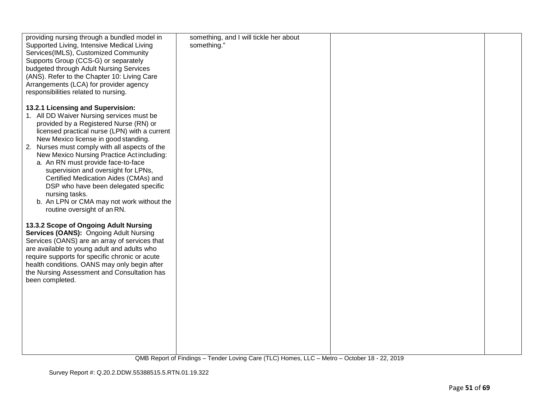| providing nursing through a bundled model in   | something, and I will tickle her about |  |
|------------------------------------------------|----------------------------------------|--|
| Supported Living, Intensive Medical Living     | something."                            |  |
| Services(IMLS), Customized Community           |                                        |  |
| Supports Group (CCS-G) or separately           |                                        |  |
|                                                |                                        |  |
| budgeted through Adult Nursing Services        |                                        |  |
| (ANS). Refer to the Chapter 10: Living Care    |                                        |  |
| Arrangements (LCA) for provider agency         |                                        |  |
| responsibilities related to nursing.           |                                        |  |
|                                                |                                        |  |
| 13.2.1 Licensing and Supervision:              |                                        |  |
| 1. All DD Waiver Nursing services must be      |                                        |  |
| provided by a Registered Nurse (RN) or         |                                        |  |
|                                                |                                        |  |
| licensed practical nurse (LPN) with a current  |                                        |  |
| New Mexico license in good standing.           |                                        |  |
| 2. Nurses must comply with all aspects of the  |                                        |  |
| New Mexico Nursing Practice Act including:     |                                        |  |
| a. An RN must provide face-to-face             |                                        |  |
| supervision and oversight for LPNs,            |                                        |  |
| Certified Medication Aides (CMAs) and          |                                        |  |
| DSP who have been delegated specific           |                                        |  |
| nursing tasks.                                 |                                        |  |
| b. An LPN or CMA may not work without the      |                                        |  |
|                                                |                                        |  |
| routine oversight of an RN.                    |                                        |  |
|                                                |                                        |  |
| 13.3.2 Scope of Ongoing Adult Nursing          |                                        |  |
| Services (OANS): Ongoing Adult Nursing         |                                        |  |
| Services (OANS) are an array of services that  |                                        |  |
| are available to young adult and adults who    |                                        |  |
| require supports for specific chronic or acute |                                        |  |
| health conditions. OANS may only begin after   |                                        |  |
| the Nursing Assessment and Consultation has    |                                        |  |
| been completed.                                |                                        |  |
|                                                |                                        |  |
|                                                |                                        |  |
|                                                |                                        |  |
|                                                |                                        |  |
|                                                |                                        |  |
|                                                |                                        |  |
|                                                |                                        |  |
|                                                |                                        |  |
|                                                |                                        |  |
|                                                |                                        |  |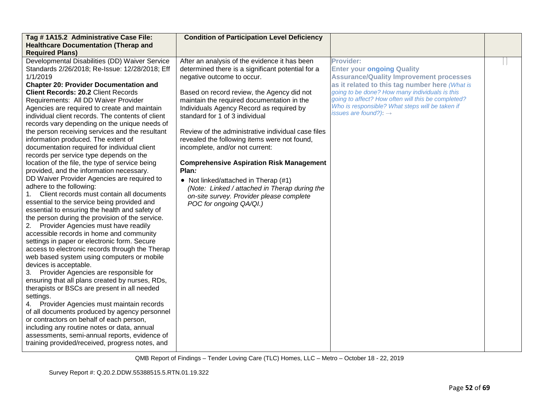| Tag #1A15.2 Administrative Case File:<br><b>Healthcare Documentation (Therap and</b><br><b>Required Plans)</b>                                                                                                                                                                                                                                                                                                                                                                                                                                                                                                                                                                                                                                                                                                                                                                                                                                                                                                                                                                                                                                                                                                                                                                                                                                                                                                                                                                                                                                                                                                                                                                                          | <b>Condition of Participation Level Deficiency</b>                                                                                                                                                                                                                                                                                                                                                                                                                                                                                                                                                                                                                              |                                                                                                                                                                                                                                                                                                                                                    |  |
|---------------------------------------------------------------------------------------------------------------------------------------------------------------------------------------------------------------------------------------------------------------------------------------------------------------------------------------------------------------------------------------------------------------------------------------------------------------------------------------------------------------------------------------------------------------------------------------------------------------------------------------------------------------------------------------------------------------------------------------------------------------------------------------------------------------------------------------------------------------------------------------------------------------------------------------------------------------------------------------------------------------------------------------------------------------------------------------------------------------------------------------------------------------------------------------------------------------------------------------------------------------------------------------------------------------------------------------------------------------------------------------------------------------------------------------------------------------------------------------------------------------------------------------------------------------------------------------------------------------------------------------------------------------------------------------------------------|---------------------------------------------------------------------------------------------------------------------------------------------------------------------------------------------------------------------------------------------------------------------------------------------------------------------------------------------------------------------------------------------------------------------------------------------------------------------------------------------------------------------------------------------------------------------------------------------------------------------------------------------------------------------------------|----------------------------------------------------------------------------------------------------------------------------------------------------------------------------------------------------------------------------------------------------------------------------------------------------------------------------------------------------|--|
| Developmental Disabilities (DD) Waiver Service<br>Standards 2/26/2018; Re-Issue: 12/28/2018; Eff<br>1/1/2019<br><b>Chapter 20: Provider Documentation and</b><br><b>Client Records: 20.2 Client Records</b><br>Requirements: All DD Waiver Provider<br>Agencies are required to create and maintain<br>individual client records. The contents of client<br>records vary depending on the unique needs of<br>the person receiving services and the resultant<br>information produced. The extent of<br>documentation required for individual client<br>records per service type depends on the<br>location of the file, the type of service being<br>provided, and the information necessary.<br>DD Waiver Provider Agencies are required to<br>adhere to the following:<br>Client records must contain all documents<br>essential to the service being provided and<br>essential to ensuring the health and safety of<br>the person during the provision of the service.<br>2. Provider Agencies must have readily<br>accessible records in home and community<br>settings in paper or electronic form. Secure<br>access to electronic records through the Therap<br>web based system using computers or mobile<br>devices is acceptable.<br>Provider Agencies are responsible for<br>3.<br>ensuring that all plans created by nurses, RDs,<br>therapists or BSCs are present in all needed<br>settings.<br>4. Provider Agencies must maintain records<br>of all documents produced by agency personnel<br>or contractors on behalf of each person,<br>including any routine notes or data, annual<br>assessments, semi-annual reports, evidence of<br>training provided/received, progress notes, and | After an analysis of the evidence it has been<br>determined there is a significant potential for a<br>negative outcome to occur.<br>Based on record review, the Agency did not<br>maintain the required documentation in the<br>Individuals Agency Record as required by<br>standard for 1 of 3 individual<br>Review of the administrative individual case files<br>revealed the following items were not found,<br>incomplete, and/or not current:<br><b>Comprehensive Aspiration Risk Management</b><br>Plan:<br>• Not linked/attached in Therap (#1)<br>(Note: Linked / attached in Therap during the<br>on-site survey. Provider please complete<br>POC for ongoing QA/QI.) | Provider:<br><b>Enter your ongoing Quality</b><br><b>Assurance/Quality Improvement processes</b><br>as it related to this tag number here (What is<br>going to be done? How many individuals is this<br>going to affect? How often will this be completed?<br>Who is responsible? What steps will be taken if<br>issues are found?): $\rightarrow$ |  |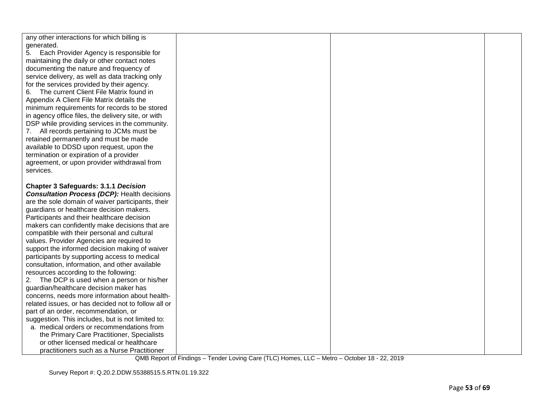| any other interactions for which billing is<br>generated.<br>5. Each Provider Agency is responsible for<br>maintaining the daily or other contact notes<br>documenting the nature and frequency of<br>service delivery, as well as data tracking only<br>for the services provided by their agency.<br>The current Client File Matrix found in<br>6.<br>Appendix A Client File Matrix details the<br>minimum requirements for records to be stored<br>in agency office files, the delivery site, or with<br>DSP while providing services in the community.<br>7. All records pertaining to JCMs must be<br>retained permanently and must be made<br>available to DDSD upon request, upon the<br>termination or expiration of a provider<br>agreement, or upon provider withdrawal from<br>services. |  |  |
|-----------------------------------------------------------------------------------------------------------------------------------------------------------------------------------------------------------------------------------------------------------------------------------------------------------------------------------------------------------------------------------------------------------------------------------------------------------------------------------------------------------------------------------------------------------------------------------------------------------------------------------------------------------------------------------------------------------------------------------------------------------------------------------------------------|--|--|
| <b>Chapter 3 Safeguards: 3.1.1 Decision</b><br><b>Consultation Process (DCP): Health decisions</b><br>are the sole domain of waiver participants, their<br>guardians or healthcare decision makers.<br>Participants and their healthcare decision<br>makers can confidently make decisions that are<br>compatible with their personal and cultural<br>values. Provider Agencies are required to<br>support the informed decision making of waiver<br>participants by supporting access to medical<br>consultation, information, and other available                                                                                                                                                                                                                                                 |  |  |
| resources according to the following:<br>2.<br>The DCP is used when a person or his/her<br>guardian/healthcare decision maker has<br>concerns, needs more information about health-<br>related issues, or has decided not to follow all or<br>part of an order, recommendation, or<br>suggestion. This includes, but is not limited to:<br>a. medical orders or recommendations from<br>the Primary Care Practitioner, Specialists<br>or other licensed medical or healthcare<br>practitioners such as a Nurse Practitioner                                                                                                                                                                                                                                                                         |  |  |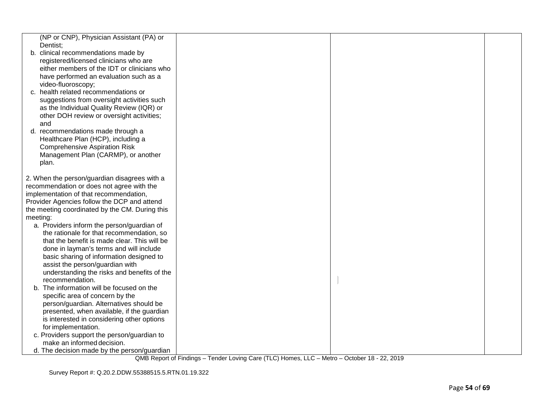| (NP or CNP), Physician Assistant (PA) or<br>Dentist;<br>b. clinical recommendations made by<br>registered/licensed clinicians who are<br>either members of the IDT or clinicians who<br>have performed an evaluation such as a<br>video-fluoroscopy;<br>c. health related recommendations or<br>suggestions from oversight activities such<br>as the Individual Quality Review (IQR) or<br>other DOH review or oversight activities;<br>and<br>d. recommendations made through a<br>Healthcare Plan (HCP), including a<br><b>Comprehensive Aspiration Risk</b><br>Management Plan (CARMP), or another<br>plan.<br>2. When the person/guardian disagrees with a<br>recommendation or does not agree with the<br>implementation of that recommendation,<br>Provider Agencies follow the DCP and attend<br>the meeting coordinated by the CM. During this<br>meeting:<br>a. Providers inform the person/guardian of<br>the rationale for that recommendation, so<br>that the benefit is made clear. This will be<br>done in layman's terms and will include<br>basic sharing of information designed to<br>assist the person/guardian with<br>understanding the risks and benefits of the<br>recommendation.<br>b. The information will be focused on the<br>specific area of concern by the<br>person/guardian. Alternatives should be<br>presented, when available, if the guardian<br>is interested in considering other options<br>for implementation.<br>c. Providers support the person/guardian to<br>make an informed decision.<br>d. The decision made by the person/guardian |  |  |
|-------------------------------------------------------------------------------------------------------------------------------------------------------------------------------------------------------------------------------------------------------------------------------------------------------------------------------------------------------------------------------------------------------------------------------------------------------------------------------------------------------------------------------------------------------------------------------------------------------------------------------------------------------------------------------------------------------------------------------------------------------------------------------------------------------------------------------------------------------------------------------------------------------------------------------------------------------------------------------------------------------------------------------------------------------------------------------------------------------------------------------------------------------------------------------------------------------------------------------------------------------------------------------------------------------------------------------------------------------------------------------------------------------------------------------------------------------------------------------------------------------------------------------------------------------------------------------------|--|--|
|                                                                                                                                                                                                                                                                                                                                                                                                                                                                                                                                                                                                                                                                                                                                                                                                                                                                                                                                                                                                                                                                                                                                                                                                                                                                                                                                                                                                                                                                                                                                                                                     |  |  |
|                                                                                                                                                                                                                                                                                                                                                                                                                                                                                                                                                                                                                                                                                                                                                                                                                                                                                                                                                                                                                                                                                                                                                                                                                                                                                                                                                                                                                                                                                                                                                                                     |  |  |
|                                                                                                                                                                                                                                                                                                                                                                                                                                                                                                                                                                                                                                                                                                                                                                                                                                                                                                                                                                                                                                                                                                                                                                                                                                                                                                                                                                                                                                                                                                                                                                                     |  |  |
|                                                                                                                                                                                                                                                                                                                                                                                                                                                                                                                                                                                                                                                                                                                                                                                                                                                                                                                                                                                                                                                                                                                                                                                                                                                                                                                                                                                                                                                                                                                                                                                     |  |  |
|                                                                                                                                                                                                                                                                                                                                                                                                                                                                                                                                                                                                                                                                                                                                                                                                                                                                                                                                                                                                                                                                                                                                                                                                                                                                                                                                                                                                                                                                                                                                                                                     |  |  |
|                                                                                                                                                                                                                                                                                                                                                                                                                                                                                                                                                                                                                                                                                                                                                                                                                                                                                                                                                                                                                                                                                                                                                                                                                                                                                                                                                                                                                                                                                                                                                                                     |  |  |
|                                                                                                                                                                                                                                                                                                                                                                                                                                                                                                                                                                                                                                                                                                                                                                                                                                                                                                                                                                                                                                                                                                                                                                                                                                                                                                                                                                                                                                                                                                                                                                                     |  |  |
|                                                                                                                                                                                                                                                                                                                                                                                                                                                                                                                                                                                                                                                                                                                                                                                                                                                                                                                                                                                                                                                                                                                                                                                                                                                                                                                                                                                                                                                                                                                                                                                     |  |  |
|                                                                                                                                                                                                                                                                                                                                                                                                                                                                                                                                                                                                                                                                                                                                                                                                                                                                                                                                                                                                                                                                                                                                                                                                                                                                                                                                                                                                                                                                                                                                                                                     |  |  |
|                                                                                                                                                                                                                                                                                                                                                                                                                                                                                                                                                                                                                                                                                                                                                                                                                                                                                                                                                                                                                                                                                                                                                                                                                                                                                                                                                                                                                                                                                                                                                                                     |  |  |
|                                                                                                                                                                                                                                                                                                                                                                                                                                                                                                                                                                                                                                                                                                                                                                                                                                                                                                                                                                                                                                                                                                                                                                                                                                                                                                                                                                                                                                                                                                                                                                                     |  |  |
|                                                                                                                                                                                                                                                                                                                                                                                                                                                                                                                                                                                                                                                                                                                                                                                                                                                                                                                                                                                                                                                                                                                                                                                                                                                                                                                                                                                                                                                                                                                                                                                     |  |  |
|                                                                                                                                                                                                                                                                                                                                                                                                                                                                                                                                                                                                                                                                                                                                                                                                                                                                                                                                                                                                                                                                                                                                                                                                                                                                                                                                                                                                                                                                                                                                                                                     |  |  |
|                                                                                                                                                                                                                                                                                                                                                                                                                                                                                                                                                                                                                                                                                                                                                                                                                                                                                                                                                                                                                                                                                                                                                                                                                                                                                                                                                                                                                                                                                                                                                                                     |  |  |
|                                                                                                                                                                                                                                                                                                                                                                                                                                                                                                                                                                                                                                                                                                                                                                                                                                                                                                                                                                                                                                                                                                                                                                                                                                                                                                                                                                                                                                                                                                                                                                                     |  |  |
|                                                                                                                                                                                                                                                                                                                                                                                                                                                                                                                                                                                                                                                                                                                                                                                                                                                                                                                                                                                                                                                                                                                                                                                                                                                                                                                                                                                                                                                                                                                                                                                     |  |  |
|                                                                                                                                                                                                                                                                                                                                                                                                                                                                                                                                                                                                                                                                                                                                                                                                                                                                                                                                                                                                                                                                                                                                                                                                                                                                                                                                                                                                                                                                                                                                                                                     |  |  |
|                                                                                                                                                                                                                                                                                                                                                                                                                                                                                                                                                                                                                                                                                                                                                                                                                                                                                                                                                                                                                                                                                                                                                                                                                                                                                                                                                                                                                                                                                                                                                                                     |  |  |
|                                                                                                                                                                                                                                                                                                                                                                                                                                                                                                                                                                                                                                                                                                                                                                                                                                                                                                                                                                                                                                                                                                                                                                                                                                                                                                                                                                                                                                                                                                                                                                                     |  |  |
|                                                                                                                                                                                                                                                                                                                                                                                                                                                                                                                                                                                                                                                                                                                                                                                                                                                                                                                                                                                                                                                                                                                                                                                                                                                                                                                                                                                                                                                                                                                                                                                     |  |  |
|                                                                                                                                                                                                                                                                                                                                                                                                                                                                                                                                                                                                                                                                                                                                                                                                                                                                                                                                                                                                                                                                                                                                                                                                                                                                                                                                                                                                                                                                                                                                                                                     |  |  |
|                                                                                                                                                                                                                                                                                                                                                                                                                                                                                                                                                                                                                                                                                                                                                                                                                                                                                                                                                                                                                                                                                                                                                                                                                                                                                                                                                                                                                                                                                                                                                                                     |  |  |
|                                                                                                                                                                                                                                                                                                                                                                                                                                                                                                                                                                                                                                                                                                                                                                                                                                                                                                                                                                                                                                                                                                                                                                                                                                                                                                                                                                                                                                                                                                                                                                                     |  |  |
|                                                                                                                                                                                                                                                                                                                                                                                                                                                                                                                                                                                                                                                                                                                                                                                                                                                                                                                                                                                                                                                                                                                                                                                                                                                                                                                                                                                                                                                                                                                                                                                     |  |  |
|                                                                                                                                                                                                                                                                                                                                                                                                                                                                                                                                                                                                                                                                                                                                                                                                                                                                                                                                                                                                                                                                                                                                                                                                                                                                                                                                                                                                                                                                                                                                                                                     |  |  |
|                                                                                                                                                                                                                                                                                                                                                                                                                                                                                                                                                                                                                                                                                                                                                                                                                                                                                                                                                                                                                                                                                                                                                                                                                                                                                                                                                                                                                                                                                                                                                                                     |  |  |
|                                                                                                                                                                                                                                                                                                                                                                                                                                                                                                                                                                                                                                                                                                                                                                                                                                                                                                                                                                                                                                                                                                                                                                                                                                                                                                                                                                                                                                                                                                                                                                                     |  |  |
|                                                                                                                                                                                                                                                                                                                                                                                                                                                                                                                                                                                                                                                                                                                                                                                                                                                                                                                                                                                                                                                                                                                                                                                                                                                                                                                                                                                                                                                                                                                                                                                     |  |  |
|                                                                                                                                                                                                                                                                                                                                                                                                                                                                                                                                                                                                                                                                                                                                                                                                                                                                                                                                                                                                                                                                                                                                                                                                                                                                                                                                                                                                                                                                                                                                                                                     |  |  |
|                                                                                                                                                                                                                                                                                                                                                                                                                                                                                                                                                                                                                                                                                                                                                                                                                                                                                                                                                                                                                                                                                                                                                                                                                                                                                                                                                                                                                                                                                                                                                                                     |  |  |
|                                                                                                                                                                                                                                                                                                                                                                                                                                                                                                                                                                                                                                                                                                                                                                                                                                                                                                                                                                                                                                                                                                                                                                                                                                                                                                                                                                                                                                                                                                                                                                                     |  |  |
|                                                                                                                                                                                                                                                                                                                                                                                                                                                                                                                                                                                                                                                                                                                                                                                                                                                                                                                                                                                                                                                                                                                                                                                                                                                                                                                                                                                                                                                                                                                                                                                     |  |  |
|                                                                                                                                                                                                                                                                                                                                                                                                                                                                                                                                                                                                                                                                                                                                                                                                                                                                                                                                                                                                                                                                                                                                                                                                                                                                                                                                                                                                                                                                                                                                                                                     |  |  |
|                                                                                                                                                                                                                                                                                                                                                                                                                                                                                                                                                                                                                                                                                                                                                                                                                                                                                                                                                                                                                                                                                                                                                                                                                                                                                                                                                                                                                                                                                                                                                                                     |  |  |
|                                                                                                                                                                                                                                                                                                                                                                                                                                                                                                                                                                                                                                                                                                                                                                                                                                                                                                                                                                                                                                                                                                                                                                                                                                                                                                                                                                                                                                                                                                                                                                                     |  |  |
|                                                                                                                                                                                                                                                                                                                                                                                                                                                                                                                                                                                                                                                                                                                                                                                                                                                                                                                                                                                                                                                                                                                                                                                                                                                                                                                                                                                                                                                                                                                                                                                     |  |  |
|                                                                                                                                                                                                                                                                                                                                                                                                                                                                                                                                                                                                                                                                                                                                                                                                                                                                                                                                                                                                                                                                                                                                                                                                                                                                                                                                                                                                                                                                                                                                                                                     |  |  |
|                                                                                                                                                                                                                                                                                                                                                                                                                                                                                                                                                                                                                                                                                                                                                                                                                                                                                                                                                                                                                                                                                                                                                                                                                                                                                                                                                                                                                                                                                                                                                                                     |  |  |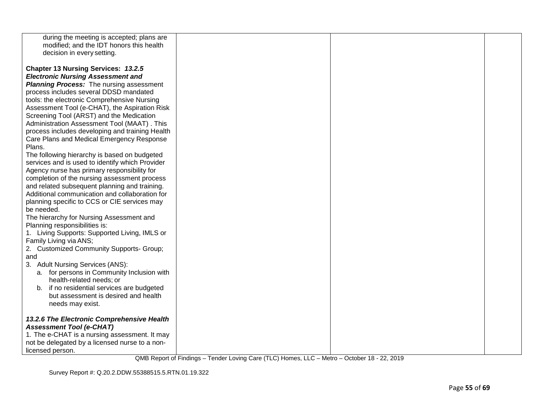| during the meeting is accepted; plans are<br>modified; and the IDT honors this health<br>decision in every setting.                                                                                                                                                                                                                                                                                                                                                                                                                                                                                                                                                                                                                                                                                                                                                                                                                                                                                                                                                                                                                                                                                                                                                                     |  |  |
|-----------------------------------------------------------------------------------------------------------------------------------------------------------------------------------------------------------------------------------------------------------------------------------------------------------------------------------------------------------------------------------------------------------------------------------------------------------------------------------------------------------------------------------------------------------------------------------------------------------------------------------------------------------------------------------------------------------------------------------------------------------------------------------------------------------------------------------------------------------------------------------------------------------------------------------------------------------------------------------------------------------------------------------------------------------------------------------------------------------------------------------------------------------------------------------------------------------------------------------------------------------------------------------------|--|--|
| Chapter 13 Nursing Services: 13.2.5<br><b>Electronic Nursing Assessment and</b><br><b>Planning Process:</b> The nursing assessment<br>process includes several DDSD mandated<br>tools: the electronic Comprehensive Nursing<br>Assessment Tool (e-CHAT), the Aspiration Risk<br>Screening Tool (ARST) and the Medication<br>Administration Assessment Tool (MAAT). This<br>process includes developing and training Health<br>Care Plans and Medical Emergency Response<br>Plans.<br>The following hierarchy is based on budgeted<br>services and is used to identify which Provider<br>Agency nurse has primary responsibility for<br>completion of the nursing assessment process<br>and related subsequent planning and training.<br>Additional communication and collaboration for<br>planning specific to CCS or CIE services may<br>be needed.<br>The hierarchy for Nursing Assessment and<br>Planning responsibilities is:<br>1. Living Supports: Supported Living, IMLS or<br>Family Living via ANS;<br>2. Customized Community Supports- Group;<br>and<br>3. Adult Nursing Services (ANS):<br>a. for persons in Community Inclusion with<br>health-related needs; or<br>b. if no residential services are budgeted<br>but assessment is desired and health<br>needs may exist. |  |  |
| 13.2.6 The Electronic Comprehensive Health<br><b>Assessment Tool (e-CHAT)</b><br>1. The e-CHAT is a nursing assessment. It may<br>not be delegated by a licensed nurse to a non-<br>licensed person.                                                                                                                                                                                                                                                                                                                                                                                                                                                                                                                                                                                                                                                                                                                                                                                                                                                                                                                                                                                                                                                                                    |  |  |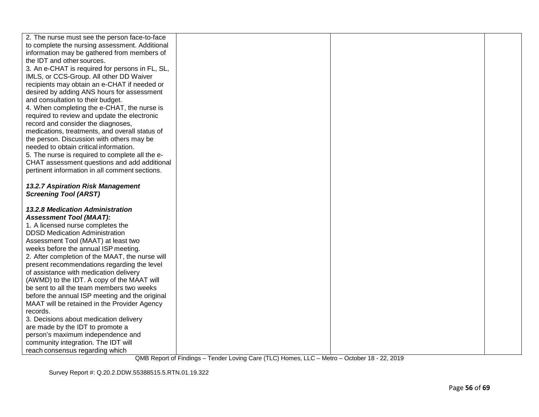| 2. The nurse must see the person face-to-face   |  |  |
|-------------------------------------------------|--|--|
| to complete the nursing assessment. Additional  |  |  |
| information may be gathered from members of     |  |  |
| the IDT and other sources.                      |  |  |
| 3. An e-CHAT is required for persons in FL, SL, |  |  |
| IMLS, or CCS-Group. All other DD Waiver         |  |  |
| recipients may obtain an e-CHAT if needed or    |  |  |
| desired by adding ANS hours for assessment      |  |  |
| and consultation to their budget.               |  |  |
| 4. When completing the e-CHAT, the nurse is     |  |  |
| required to review and update the electronic    |  |  |
| record and consider the diagnoses,              |  |  |
| medications, treatments, and overall status of  |  |  |
| the person. Discussion with others may be       |  |  |
| needed to obtain critical information.          |  |  |
| 5. The nurse is required to complete all the e- |  |  |
| CHAT assessment questions and add additional    |  |  |
| pertinent information in all comment sections.  |  |  |
|                                                 |  |  |
| <b>13.2.7 Aspiration Risk Management</b>        |  |  |
| <b>Screening Tool (ARST)</b>                    |  |  |
|                                                 |  |  |
| 13.2.8 Medication Administration                |  |  |
| <b>Assessment Tool (MAAT):</b>                  |  |  |
| 1. A licensed nurse completes the               |  |  |
| <b>DDSD Medication Administration</b>           |  |  |
| Assessment Tool (MAAT) at least two             |  |  |
| weeks before the annual ISP meeting.            |  |  |
| 2. After completion of the MAAT, the nurse will |  |  |
| present recommendations regarding the level     |  |  |
| of assistance with medication delivery          |  |  |
| (AWMD) to the IDT. A copy of the MAAT will      |  |  |
| be sent to all the team members two weeks       |  |  |
| before the annual ISP meeting and the original  |  |  |
| MAAT will be retained in the Provider Agency    |  |  |
| records.                                        |  |  |
| 3. Decisions about medication delivery          |  |  |
| are made by the IDT to promote a                |  |  |
| person's maximum independence and               |  |  |
| community integration. The IDT will             |  |  |
| reach consensus regarding which                 |  |  |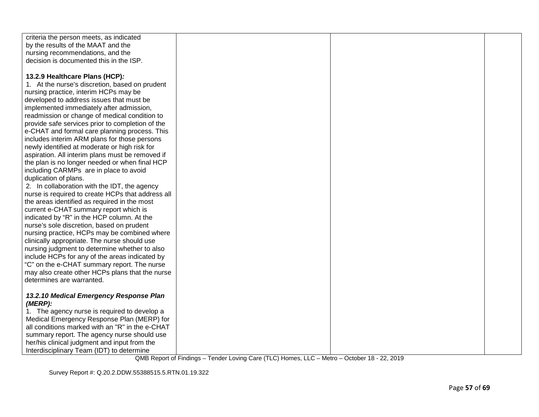| criteria the person meets, as indicated           |  |  |
|---------------------------------------------------|--|--|
| by the results of the MAAT and the                |  |  |
| nursing recommendations, and the                  |  |  |
| decision is documented this in the ISP.           |  |  |
|                                                   |  |  |
| 13.2.9 Healthcare Plans (HCP):                    |  |  |
| 1. At the nurse's discretion, based on prudent    |  |  |
| nursing practice, interim HCPs may be             |  |  |
| developed to address issues that must be          |  |  |
| implemented immediately after admission,          |  |  |
| readmission or change of medical condition to     |  |  |
| provide safe services prior to completion of the  |  |  |
| e-CHAT and formal care planning process. This     |  |  |
| includes interim ARM plans for those persons      |  |  |
| newly identified at moderate or high risk for     |  |  |
| aspiration. All interim plans must be removed if  |  |  |
| the plan is no longer needed or when final HCP    |  |  |
| including CARMPs are in place to avoid            |  |  |
| duplication of plans.                             |  |  |
| 2. In collaboration with the IDT, the agency      |  |  |
| nurse is required to create HCPs that address all |  |  |
| the areas identified as required in the most      |  |  |
| current e-CHAT summary report which is            |  |  |
| indicated by "R" in the HCP column. At the        |  |  |
| nurse's sole discretion, based on prudent         |  |  |
| nursing practice, HCPs may be combined where      |  |  |
| clinically appropriate. The nurse should use      |  |  |
| nursing judgment to determine whether to also     |  |  |
| include HCPs for any of the areas indicated by    |  |  |
| "C" on the e-CHAT summary report. The nurse       |  |  |
| may also create other HCPs plans that the nurse   |  |  |
| determines are warranted.                         |  |  |
|                                                   |  |  |
| 13.2.10 Medical Emergency Response Plan           |  |  |
| (MERP):                                           |  |  |
| 1. The agency nurse is required to develop a      |  |  |
| Medical Emergency Response Plan (MERP) for        |  |  |
| all conditions marked with an "R" in the e-CHAT   |  |  |
| summary report. The agency nurse should use       |  |  |
| her/his clinical judgment and input from the      |  |  |
| Interdisciplinary Team (IDT) to determine         |  |  |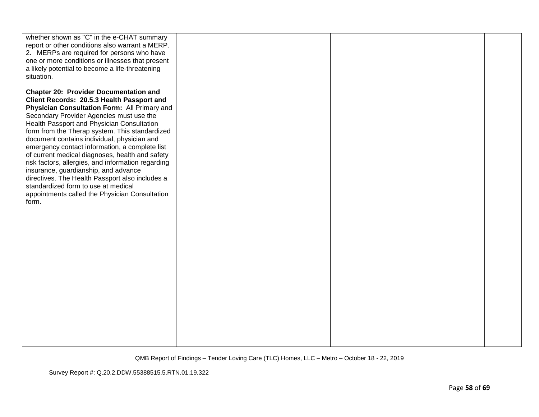| whether shown as "C" in the e-CHAT summary<br>report or other conditions also warrant a MERP.<br>2. MERPs are required for persons who have<br>one or more conditions or illnesses that present<br>a likely potential to become a life-threatening<br>situation.                                                                                                                                                                                                                                                                                                                                                                                                                               |  |  |
|------------------------------------------------------------------------------------------------------------------------------------------------------------------------------------------------------------------------------------------------------------------------------------------------------------------------------------------------------------------------------------------------------------------------------------------------------------------------------------------------------------------------------------------------------------------------------------------------------------------------------------------------------------------------------------------------|--|--|
| <b>Chapter 20: Provider Documentation and</b><br>Client Records: 20.5.3 Health Passport and<br>Physician Consultation Form: All Primary and<br>Secondary Provider Agencies must use the<br>Health Passport and Physician Consultation<br>form from the Therap system. This standardized<br>document contains individual, physician and<br>emergency contact information, a complete list<br>of current medical diagnoses, health and safety<br>risk factors, allergies, and information regarding<br>insurance, guardianship, and advance<br>directives. The Health Passport also includes a<br>standardized form to use at medical<br>appointments called the Physician Consultation<br>form. |  |  |
|                                                                                                                                                                                                                                                                                                                                                                                                                                                                                                                                                                                                                                                                                                |  |  |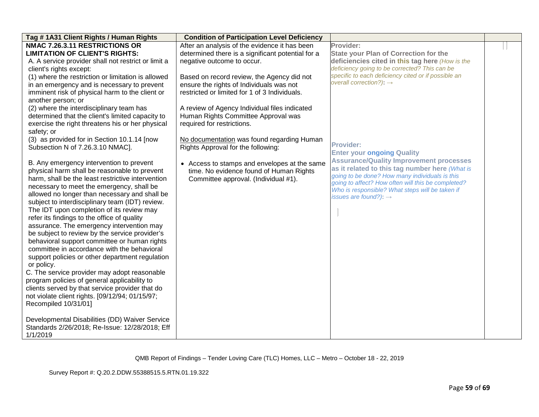| Tag #1A31 Client Rights / Human Rights              | <b>Condition of Participation Level Deficiency</b> |                                                                                      |  |
|-----------------------------------------------------|----------------------------------------------------|--------------------------------------------------------------------------------------|--|
| NMAC 7.26.3.11 RESTRICTIONS OR                      | After an analysis of the evidence it has been      | Provider:                                                                            |  |
| <b>LIMITATION OF CLIENT'S RIGHTS:</b>               | determined there is a significant potential for a  | <b>State your Plan of Correction for the</b>                                         |  |
| A. A service provider shall not restrict or limit a | negative outcome to occur.                         | deficiencies cited in this tag here (How is the                                      |  |
| client's rights except:                             |                                                    | deficiency going to be corrected? This can be                                        |  |
| (1) where the restriction or limitation is allowed  | Based on record review, the Agency did not         | specific to each deficiency cited or if possible an                                  |  |
| in an emergency and is necessary to prevent         | ensure the rights of Individuals was not           | overall correction?): $\rightarrow$                                                  |  |
| imminent risk of physical harm to the client or     | restricted or limited for 1 of 3 Individuals.      |                                                                                      |  |
| another person; or                                  |                                                    |                                                                                      |  |
| (2) where the interdisciplinary team has            | A review of Agency Individual files indicated      |                                                                                      |  |
| determined that the client's limited capacity to    | Human Rights Committee Approval was                |                                                                                      |  |
| exercise the right threatens his or her physical    | required for restrictions.                         |                                                                                      |  |
| safety; or                                          |                                                    |                                                                                      |  |
| (3) as provided for in Section 10.1.14 [now         | No documentation was found regarding Human         |                                                                                      |  |
| Subsection N of 7.26.3.10 NMAC].                    | Rights Approval for the following:                 | <b>Provider:</b>                                                                     |  |
|                                                     |                                                    | <b>Enter your ongoing Quality</b>                                                    |  |
| B. Any emergency intervention to prevent            | • Access to stamps and envelopes at the same       | <b>Assurance/Quality Improvement processes</b>                                       |  |
| physical harm shall be reasonable to prevent        | time. No evidence found of Human Rights            | as it related to this tag number here (What is                                       |  |
| harm, shall be the least restrictive intervention   | Committee approval. (Individual #1).               | going to be done? How many individuals is this                                       |  |
| necessary to meet the emergency, shall be           |                                                    | going to affect? How often will this be completed?                                   |  |
| allowed no longer than necessary and shall be       |                                                    | Who is responsible? What steps will be taken if<br>issues are found?): $\rightarrow$ |  |
| subject to interdisciplinary team (IDT) review.     |                                                    |                                                                                      |  |
| The IDT upon completion of its review may           |                                                    |                                                                                      |  |
| refer its findings to the office of quality         |                                                    |                                                                                      |  |
| assurance. The emergency intervention may           |                                                    |                                                                                      |  |
| be subject to review by the service provider's      |                                                    |                                                                                      |  |
| behavioral support committee or human rights        |                                                    |                                                                                      |  |
| committee in accordance with the behavioral         |                                                    |                                                                                      |  |
| support policies or other department regulation     |                                                    |                                                                                      |  |
| or policy.                                          |                                                    |                                                                                      |  |
| C. The service provider may adopt reasonable        |                                                    |                                                                                      |  |
| program policies of general applicability to        |                                                    |                                                                                      |  |
| clients served by that service provider that do     |                                                    |                                                                                      |  |
| not violate client rights. [09/12/94; 01/15/97;     |                                                    |                                                                                      |  |
| Recompiled 10/31/01]                                |                                                    |                                                                                      |  |
|                                                     |                                                    |                                                                                      |  |
| Developmental Disabilities (DD) Waiver Service      |                                                    |                                                                                      |  |
| Standards 2/26/2018; Re-Issue: 12/28/2018; Eff      |                                                    |                                                                                      |  |
| 1/1/2019                                            |                                                    |                                                                                      |  |
|                                                     |                                                    |                                                                                      |  |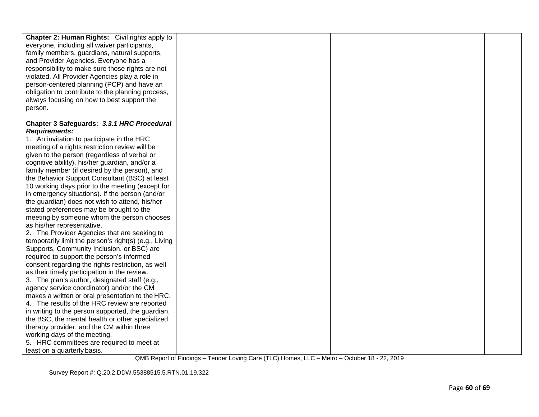| Chapter 2: Human Rights: Civil rights apply to        |  |  |
|-------------------------------------------------------|--|--|
| everyone, including all waiver participants,          |  |  |
| family members, guardians, natural supports,          |  |  |
| and Provider Agencies. Everyone has a                 |  |  |
| responsibility to make sure those rights are not      |  |  |
| violated. All Provider Agencies play a role in        |  |  |
| person-centered planning (PCP) and have an            |  |  |
| obligation to contribute to the planning process,     |  |  |
| always focusing on how to best support the            |  |  |
| person.                                               |  |  |
|                                                       |  |  |
| Chapter 3 Safeguards: 3.3.1 HRC Procedural            |  |  |
| <b>Requirements:</b>                                  |  |  |
| 1. An invitation to participate in the HRC            |  |  |
| meeting of a rights restriction review will be        |  |  |
| given to the person (regardless of verbal or          |  |  |
| cognitive ability), his/her guardian, and/or a        |  |  |
| family member (if desired by the person), and         |  |  |
| the Behavior Support Consultant (BSC) at least        |  |  |
| 10 working days prior to the meeting (except for      |  |  |
| in emergency situations). If the person (and/or       |  |  |
| the guardian) does not wish to attend, his/her        |  |  |
|                                                       |  |  |
| stated preferences may be brought to the              |  |  |
| meeting by someone whom the person chooses            |  |  |
| as his/her representative.                            |  |  |
| 2. The Provider Agencies that are seeking to          |  |  |
| temporarily limit the person's right(s) (e.g., Living |  |  |
| Supports, Community Inclusion, or BSC) are            |  |  |
| required to support the person's informed             |  |  |
| consent regarding the rights restriction, as well     |  |  |
| as their timely participation in the review.          |  |  |
| 3. The plan's author, designated staff (e.g.,         |  |  |
| agency service coordinator) and/or the CM             |  |  |
| makes a written or oral presentation to the HRC.      |  |  |
| 4. The results of the HRC review are reported         |  |  |
| in writing to the person supported, the guardian,     |  |  |
| the BSC, the mental health or other specialized       |  |  |
| therapy provider, and the CM within three             |  |  |
| working days of the meeting.                          |  |  |
| 5. HRC committees are required to meet at             |  |  |
| least on a quarterly basis.                           |  |  |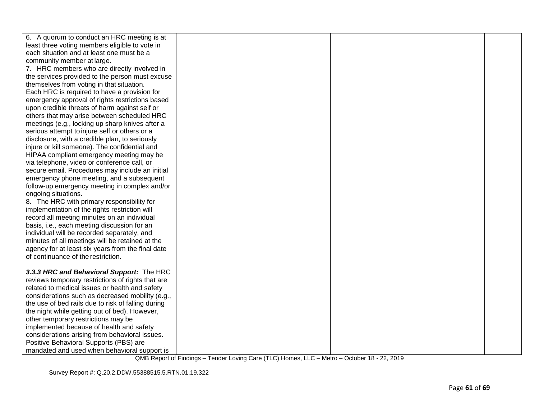| 6. A quorum to conduct an HRC meeting is at        |  |  |
|----------------------------------------------------|--|--|
| least three voting members eligible to vote in     |  |  |
| each situation and at least one must be a          |  |  |
| community member at large.                         |  |  |
| 7. HRC members who are directly involved in        |  |  |
| the services provided to the person must excuse    |  |  |
| themselves from voting in that situation.          |  |  |
| Each HRC is required to have a provision for       |  |  |
| emergency approval of rights restrictions based    |  |  |
| upon credible threats of harm against self or      |  |  |
| others that may arise between scheduled HRC        |  |  |
| meetings (e.g., locking up sharp knives after a    |  |  |
| serious attempt to injure self or others or a      |  |  |
| disclosure, with a credible plan, to seriously     |  |  |
| injure or kill someone). The confidential and      |  |  |
| HIPAA compliant emergency meeting may be           |  |  |
| via telephone, video or conference call, or        |  |  |
| secure email. Procedures may include an initial    |  |  |
| emergency phone meeting, and a subsequent          |  |  |
| follow-up emergency meeting in complex and/or      |  |  |
| ongoing situations.                                |  |  |
| 8. The HRC with primary responsibility for         |  |  |
| implementation of the rights restriction will      |  |  |
| record all meeting minutes on an individual        |  |  |
| basis, i.e., each meeting discussion for an        |  |  |
| individual will be recorded separately, and        |  |  |
| minutes of all meetings will be retained at the    |  |  |
| agency for at least six years from the final date  |  |  |
| of continuance of the restriction.                 |  |  |
|                                                    |  |  |
| 3.3.3 HRC and Behavioral Support: The HRC          |  |  |
| reviews temporary restrictions of rights that are  |  |  |
| related to medical issues or health and safety     |  |  |
| considerations such as decreased mobility (e.g.,   |  |  |
| the use of bed rails due to risk of falling during |  |  |
| the night while getting out of bed). However,      |  |  |
| other temporary restrictions may be                |  |  |
| implemented because of health and safety           |  |  |
| considerations arising from behavioral issues.     |  |  |
| Positive Behavioral Supports (PBS) are             |  |  |
| mandated and used when behavioral support is       |  |  |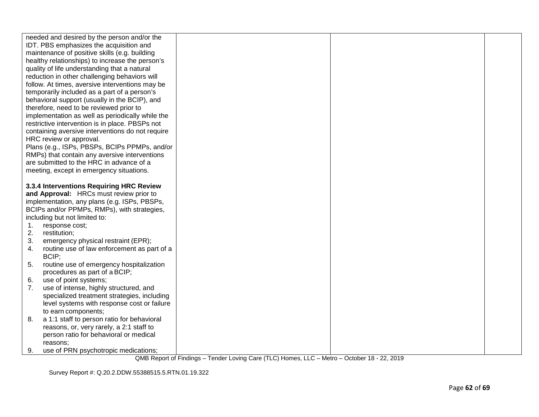|    | needed and desired by the person and/or the<br>IDT. PBS emphasizes the acquisition and<br>maintenance of positive skills (e.g. building<br>healthy relationships) to increase the person's<br>quality of life understanding that a natural<br>reduction in other challenging behaviors will<br>follow. At times, aversive interventions may be<br>temporarily included as a part of a person's<br>behavioral support (usually in the BCIP), and<br>therefore, need to be reviewed prior to<br>implementation as well as periodically while the<br>restrictive intervention is in place. PBSPs not<br>containing aversive interventions do not require<br>HRC review or approval.<br>Plans (e.g., ISPs, PBSPs, BCIPs PPMPs, and/or<br>RMPs) that contain any aversive interventions<br>are submitted to the HRC in advance of a<br>meeting, except in emergency situations. |  |  |
|----|----------------------------------------------------------------------------------------------------------------------------------------------------------------------------------------------------------------------------------------------------------------------------------------------------------------------------------------------------------------------------------------------------------------------------------------------------------------------------------------------------------------------------------------------------------------------------------------------------------------------------------------------------------------------------------------------------------------------------------------------------------------------------------------------------------------------------------------------------------------------------|--|--|
|    |                                                                                                                                                                                                                                                                                                                                                                                                                                                                                                                                                                                                                                                                                                                                                                                                                                                                            |  |  |
|    | 3.3.4 Interventions Requiring HRC Review                                                                                                                                                                                                                                                                                                                                                                                                                                                                                                                                                                                                                                                                                                                                                                                                                                   |  |  |
|    | and Approval: HRCs must review prior to                                                                                                                                                                                                                                                                                                                                                                                                                                                                                                                                                                                                                                                                                                                                                                                                                                    |  |  |
|    | implementation, any plans (e.g. ISPs, PBSPs,                                                                                                                                                                                                                                                                                                                                                                                                                                                                                                                                                                                                                                                                                                                                                                                                                               |  |  |
|    | BCIPs and/or PPMPs, RMPs), with strategies,                                                                                                                                                                                                                                                                                                                                                                                                                                                                                                                                                                                                                                                                                                                                                                                                                                |  |  |
|    | including but not limited to:                                                                                                                                                                                                                                                                                                                                                                                                                                                                                                                                                                                                                                                                                                                                                                                                                                              |  |  |
| 1. | response cost;                                                                                                                                                                                                                                                                                                                                                                                                                                                                                                                                                                                                                                                                                                                                                                                                                                                             |  |  |
| 2. | restitution;                                                                                                                                                                                                                                                                                                                                                                                                                                                                                                                                                                                                                                                                                                                                                                                                                                                               |  |  |
| 3. | emergency physical restraint (EPR);                                                                                                                                                                                                                                                                                                                                                                                                                                                                                                                                                                                                                                                                                                                                                                                                                                        |  |  |
| 4. | routine use of law enforcement as part of a                                                                                                                                                                                                                                                                                                                                                                                                                                                                                                                                                                                                                                                                                                                                                                                                                                |  |  |
|    | BCIP;                                                                                                                                                                                                                                                                                                                                                                                                                                                                                                                                                                                                                                                                                                                                                                                                                                                                      |  |  |
| 5. | routine use of emergency hospitalization                                                                                                                                                                                                                                                                                                                                                                                                                                                                                                                                                                                                                                                                                                                                                                                                                                   |  |  |
|    | procedures as part of a BCIP;                                                                                                                                                                                                                                                                                                                                                                                                                                                                                                                                                                                                                                                                                                                                                                                                                                              |  |  |
| 6. | use of point systems;                                                                                                                                                                                                                                                                                                                                                                                                                                                                                                                                                                                                                                                                                                                                                                                                                                                      |  |  |
| 7. | use of intense, highly structured, and                                                                                                                                                                                                                                                                                                                                                                                                                                                                                                                                                                                                                                                                                                                                                                                                                                     |  |  |
|    | specialized treatment strategies, including                                                                                                                                                                                                                                                                                                                                                                                                                                                                                                                                                                                                                                                                                                                                                                                                                                |  |  |
|    | level systems with response cost or failure                                                                                                                                                                                                                                                                                                                                                                                                                                                                                                                                                                                                                                                                                                                                                                                                                                |  |  |
|    | to earn components;                                                                                                                                                                                                                                                                                                                                                                                                                                                                                                                                                                                                                                                                                                                                                                                                                                                        |  |  |
| 8. | a 1:1 staff to person ratio for behavioral                                                                                                                                                                                                                                                                                                                                                                                                                                                                                                                                                                                                                                                                                                                                                                                                                                 |  |  |
|    | reasons, or, very rarely, a 2:1 staff to                                                                                                                                                                                                                                                                                                                                                                                                                                                                                                                                                                                                                                                                                                                                                                                                                                   |  |  |
|    | person ratio for behavioral or medical                                                                                                                                                                                                                                                                                                                                                                                                                                                                                                                                                                                                                                                                                                                                                                                                                                     |  |  |
|    | reasons;                                                                                                                                                                                                                                                                                                                                                                                                                                                                                                                                                                                                                                                                                                                                                                                                                                                                   |  |  |
| 9. | use of PRN psychotropic medications;                                                                                                                                                                                                                                                                                                                                                                                                                                                                                                                                                                                                                                                                                                                                                                                                                                       |  |  |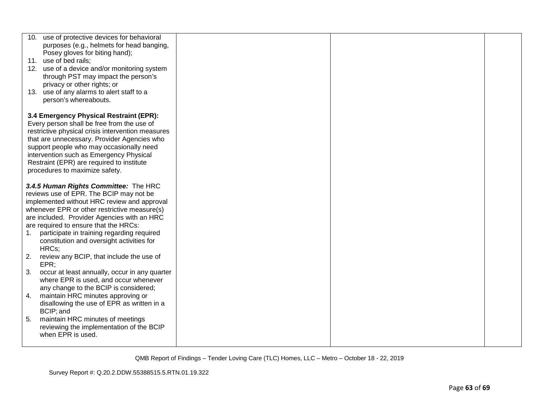|    | 10. use of protective devices for behavioral      |  |  |
|----|---------------------------------------------------|--|--|
|    | purposes (e.g., helmets for head banging,         |  |  |
|    | Posey gloves for biting hand);                    |  |  |
|    |                                                   |  |  |
|    | 11. use of bed rails;                             |  |  |
|    | 12. use of a device and/or monitoring system      |  |  |
|    | through PST may impact the person's               |  |  |
|    | privacy or other rights; or                       |  |  |
|    | 13. use of any alarms to alert staff to a         |  |  |
|    |                                                   |  |  |
|    | person's whereabouts.                             |  |  |
|    |                                                   |  |  |
|    | 3.4 Emergency Physical Restraint (EPR):           |  |  |
|    | Every person shall be free from the use of        |  |  |
|    | restrictive physical crisis intervention measures |  |  |
|    |                                                   |  |  |
|    | that are unnecessary. Provider Agencies who       |  |  |
|    | support people who may occasionally need          |  |  |
|    | intervention such as Emergency Physical           |  |  |
|    | Restraint (EPR) are required to institute         |  |  |
|    | procedures to maximize safety.                    |  |  |
|    |                                                   |  |  |
|    | 3.4.5 Human Rights Committee: The HRC             |  |  |
|    |                                                   |  |  |
|    | reviews use of EPR. The BCIP may not be           |  |  |
|    | implemented without HRC review and approval       |  |  |
|    | whenever EPR or other restrictive measure(s)      |  |  |
|    | are included. Provider Agencies with an HRC       |  |  |
|    | are required to ensure that the HRCs:             |  |  |
| 1. | participate in training regarding required        |  |  |
|    |                                                   |  |  |
|    | constitution and oversight activities for         |  |  |
|    | HRCs;                                             |  |  |
| 2. | review any BCIP, that include the use of          |  |  |
|    | EPR;                                              |  |  |
| 3. | occur at least annually, occur in any quarter     |  |  |
|    | where EPR is used, and occur whenever             |  |  |
|    | any change to the BCIP is considered;             |  |  |
|    |                                                   |  |  |
| 4. | maintain HRC minutes approving or                 |  |  |
|    | disallowing the use of EPR as written in a        |  |  |
|    | BCIP; and                                         |  |  |
| 5. | maintain HRC minutes of meetings                  |  |  |
|    | reviewing the implementation of the BCIP          |  |  |
|    | when EPR is used.                                 |  |  |
|    |                                                   |  |  |
|    |                                                   |  |  |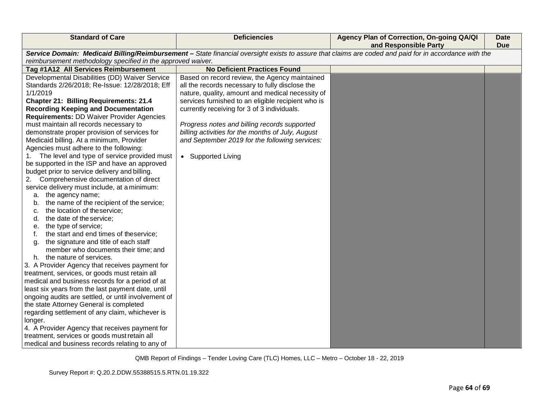| <b>Standard of Care</b>                                                                                  | <b>Deficiencies</b>                                                                                                                                   | Agency Plan of Correction, On-going QA/QI<br>and Responsible Party | <b>Date</b><br><b>Due</b> |
|----------------------------------------------------------------------------------------------------------|-------------------------------------------------------------------------------------------------------------------------------------------------------|--------------------------------------------------------------------|---------------------------|
|                                                                                                          | Service Domain: Medicaid Billing/Reimbursement - State financial oversight exists to assure that claims are coded and paid for in accordance with the |                                                                    |                           |
| reimbursement methodology specified in the approved waiver.                                              |                                                                                                                                                       |                                                                    |                           |
| Tag #1A12 All Services Reimbursement                                                                     | <b>No Deficient Practices Found</b>                                                                                                                   |                                                                    |                           |
| Developmental Disabilities (DD) Waiver Service                                                           | Based on record review, the Agency maintained                                                                                                         |                                                                    |                           |
| Standards 2/26/2018; Re-Issue: 12/28/2018; Eff                                                           | all the records necessary to fully disclose the                                                                                                       |                                                                    |                           |
| 1/1/2019                                                                                                 | nature, quality, amount and medical necessity of                                                                                                      |                                                                    |                           |
| <b>Chapter 21: Billing Requirements: 21.4</b>                                                            | services furnished to an eligible recipient who is                                                                                                    |                                                                    |                           |
| <b>Recording Keeping and Documentation</b>                                                               | currently receiving for 3 of 3 individuals.                                                                                                           |                                                                    |                           |
| <b>Requirements: DD Waiver Provider Agencies</b>                                                         |                                                                                                                                                       |                                                                    |                           |
| must maintain all records necessary to                                                                   | Progress notes and billing records supported                                                                                                          |                                                                    |                           |
| demonstrate proper provision of services for                                                             | billing activities for the months of July, August                                                                                                     |                                                                    |                           |
| Medicaid billing. At a minimum, Provider                                                                 | and September 2019 for the following services:                                                                                                        |                                                                    |                           |
| Agencies must adhere to the following:                                                                   |                                                                                                                                                       |                                                                    |                           |
| The level and type of service provided must                                                              | • Supported Living                                                                                                                                    |                                                                    |                           |
| be supported in the ISP and have an approved                                                             |                                                                                                                                                       |                                                                    |                           |
| budget prior to service delivery and billing.                                                            |                                                                                                                                                       |                                                                    |                           |
| Comprehensive documentation of direct<br>2.                                                              |                                                                                                                                                       |                                                                    |                           |
| service delivery must include, at a minimum:                                                             |                                                                                                                                                       |                                                                    |                           |
| a. the agency name;                                                                                      |                                                                                                                                                       |                                                                    |                           |
| the name of the recipient of the service;<br>b.                                                          |                                                                                                                                                       |                                                                    |                           |
| the location of theservice;<br>c.                                                                        |                                                                                                                                                       |                                                                    |                           |
| the date of the service;<br>d.                                                                           |                                                                                                                                                       |                                                                    |                           |
| the type of service;<br>е.                                                                               |                                                                                                                                                       |                                                                    |                           |
| the start and end times of theservice;                                                                   |                                                                                                                                                       |                                                                    |                           |
| the signature and title of each staff<br>a.                                                              |                                                                                                                                                       |                                                                    |                           |
| member who documents their time; and                                                                     |                                                                                                                                                       |                                                                    |                           |
| h. the nature of services.                                                                               |                                                                                                                                                       |                                                                    |                           |
| 3. A Provider Agency that receives payment for                                                           |                                                                                                                                                       |                                                                    |                           |
| treatment, services, or goods must retain all                                                            |                                                                                                                                                       |                                                                    |                           |
| medical and business records for a period of at                                                          |                                                                                                                                                       |                                                                    |                           |
| least six years from the last payment date, until<br>ongoing audits are settled, or until involvement of |                                                                                                                                                       |                                                                    |                           |
| the state Attorney General is completed                                                                  |                                                                                                                                                       |                                                                    |                           |
| regarding settlement of any claim, whichever is                                                          |                                                                                                                                                       |                                                                    |                           |
| longer.                                                                                                  |                                                                                                                                                       |                                                                    |                           |
| 4. A Provider Agency that receives payment for                                                           |                                                                                                                                                       |                                                                    |                           |
| treatment, services or goods must retain all                                                             |                                                                                                                                                       |                                                                    |                           |
| medical and business records relating to any of                                                          |                                                                                                                                                       |                                                                    |                           |
|                                                                                                          |                                                                                                                                                       |                                                                    |                           |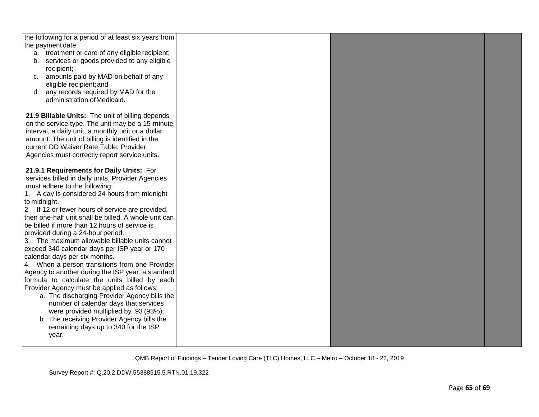| the following for a period of at least six years from<br>the payment date:<br>a. treatment or care of any eligible recipient;<br>b. services or goods provided to any eligible<br>recipient;<br>c. amounts paid by MAD on behalf of any<br>eligible recipient; and<br>d. any records required by MAD for the<br>administration of Medicaid.<br>21.9 Billable Units: The unit of billing depends<br>on the service type. The unit may be a 15-minute<br>interval, a daily unit, a monthly unit or a dollar<br>amount. The unit of billing is identified in the<br>current DD Waiver Rate Table. Provider<br>Agencies must correctly report service units.                                                                                                                                                                                                                                                                                                                      |  |  |
|-------------------------------------------------------------------------------------------------------------------------------------------------------------------------------------------------------------------------------------------------------------------------------------------------------------------------------------------------------------------------------------------------------------------------------------------------------------------------------------------------------------------------------------------------------------------------------------------------------------------------------------------------------------------------------------------------------------------------------------------------------------------------------------------------------------------------------------------------------------------------------------------------------------------------------------------------------------------------------|--|--|
| 21.9.1 Requirements for Daily Units: For<br>services billed in daily units, Provider Agencies<br>must adhere to the following:<br>1. A day is considered 24 hours from midnight<br>to midnight.<br>2. If 12 or fewer hours of service are provided,<br>then one-half unit shall be billed. A whole unit can<br>be billed if more than 12 hours of service is<br>provided during a 24-hour period.<br>3. The maximum allowable billable units cannot<br>exceed 340 calendar days per ISP year or 170<br>calendar days per six months.<br>4. When a person transitions from one Provider<br>Agency to another during the ISP year, a standard<br>formula to calculate the units billed by each<br>Provider Agency must be applied as follows:<br>a. The discharging Provider Agency bills the<br>number of calendar days that services<br>were provided multiplied by .93 (93%).<br>b. The receiving Provider Agency bills the<br>remaining days up to 340 for the ISP<br>year. |  |  |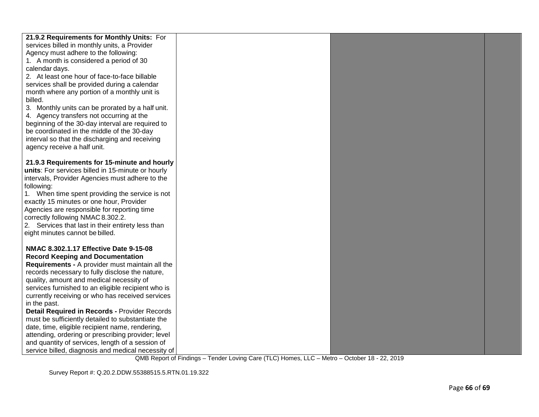| 21.9.2 Requirements for Monthly Units: For         |  |  |
|----------------------------------------------------|--|--|
| services billed in monthly units, a Provider       |  |  |
| Agency must adhere to the following:               |  |  |
| 1. A month is considered a period of 30            |  |  |
| calendar days.                                     |  |  |
| 2. At least one hour of face-to-face billable      |  |  |
| services shall be provided during a calendar       |  |  |
| month where any portion of a monthly unit is       |  |  |
| billed.                                            |  |  |
| 3. Monthly units can be prorated by a half unit.   |  |  |
| 4. Agency transfers not occurring at the           |  |  |
| beginning of the 30-day interval are required to   |  |  |
| be coordinated in the middle of the 30-day         |  |  |
| interval so that the discharging and receiving     |  |  |
| agency receive a half unit.                        |  |  |
| 21.9.3 Requirements for 15-minute and hourly       |  |  |
| units: For services billed in 15-minute or hourly  |  |  |
| intervals, Provider Agencies must adhere to the    |  |  |
| following:                                         |  |  |
| 1. When time spent providing the service is not    |  |  |
| exactly 15 minutes or one hour, Provider           |  |  |
| Agencies are responsible for reporting time        |  |  |
| correctly following NMAC 8.302.2.                  |  |  |
| 2. Services that last in their entirety less than  |  |  |
| eight minutes cannot be billed.                    |  |  |
|                                                    |  |  |
| NMAC 8.302.1.17 Effective Date 9-15-08             |  |  |
| <b>Record Keeping and Documentation</b>            |  |  |
| Requirements - A provider must maintain all the    |  |  |
| records necessary to fully disclose the nature,    |  |  |
| quality, amount and medical necessity of           |  |  |
| services furnished to an eligible recipient who is |  |  |
| currently receiving or who has received services   |  |  |
| in the past.                                       |  |  |
| Detail Required in Records - Provider Records      |  |  |
| must be sufficiently detailed to substantiate the  |  |  |
| date, time, eligible recipient name, rendering,    |  |  |
| attending, ordering or prescribing provider; level |  |  |
| and quantity of services, length of a session of   |  |  |
| service billed, diagnosis and medical necessity of |  |  |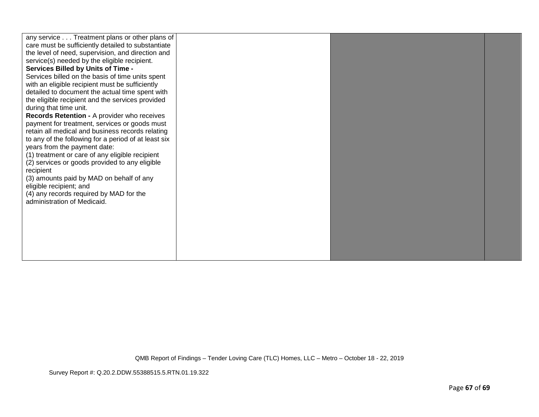| any service Treatment plans or other plans of<br>care must be sufficiently detailed to substantiate<br>the level of need, supervision, and direction and<br>service(s) needed by the eligible recipient.<br><b>Services Billed by Units of Time -</b><br>Services billed on the basis of time units spent<br>with an eligible recipient must be sufficiently<br>detailed to document the actual time spent with<br>the eligible recipient and the services provided<br>during that time unit.<br>Records Retention - A provider who receives<br>payment for treatment, services or goods must<br>retain all medical and business records relating<br>to any of the following for a period of at least six<br>years from the payment date:<br>(1) treatment or care of any eligible recipient<br>(2) services or goods provided to any eligible<br>recipient<br>(3) amounts paid by MAD on behalf of any<br>eligible recipient; and<br>(4) any records required by MAD for the<br>administration of Medicaid. |  |  |  |
|--------------------------------------------------------------------------------------------------------------------------------------------------------------------------------------------------------------------------------------------------------------------------------------------------------------------------------------------------------------------------------------------------------------------------------------------------------------------------------------------------------------------------------------------------------------------------------------------------------------------------------------------------------------------------------------------------------------------------------------------------------------------------------------------------------------------------------------------------------------------------------------------------------------------------------------------------------------------------------------------------------------|--|--|--|
|--------------------------------------------------------------------------------------------------------------------------------------------------------------------------------------------------------------------------------------------------------------------------------------------------------------------------------------------------------------------------------------------------------------------------------------------------------------------------------------------------------------------------------------------------------------------------------------------------------------------------------------------------------------------------------------------------------------------------------------------------------------------------------------------------------------------------------------------------------------------------------------------------------------------------------------------------------------------------------------------------------------|--|--|--|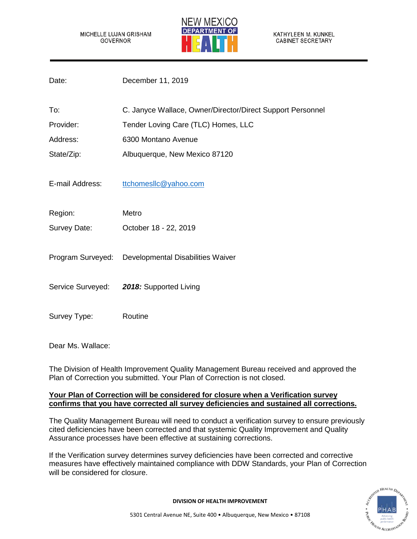MICHELLE LUJAN GRISHAM GOVERNOR



KATHYLEEN M. KUNKEL **CABINET SECRETARY** 

| Date:           | December 11, 2019                                          |
|-----------------|------------------------------------------------------------|
| To:             | C. Janyce Wallace, Owner/Director/Direct Support Personnel |
| Provider:       | Tender Loving Care (TLC) Homes, LLC                        |
| Address:        | 6300 Montano Avenue                                        |
| State/Zip:      | Albuquerque, New Mexico 87120                              |
| E-mail Address: | ttchomesllc@yahoo.com                                      |
| Region:         | Metro                                                      |
| Survey Date:    | October 18 - 22, 2019                                      |
|                 | Program Surveyed: Developmental Disabilities Waiver        |
|                 | Service Surveyed: 2018: Supported Living                   |
| Survey Type:    | Routine                                                    |

Dear Ms. Wallace:

The Division of Health Improvement Quality Management Bureau received and approved the Plan of Correction you submitted. Your Plan of Correction is not closed.

# **Your Plan of Correction will be considered for closure when a Verification survey confirms that you have corrected all survey deficiencies and sustained all corrections.**

The Quality Management Bureau will need to conduct a verification survey to ensure previously cited deficiencies have been corrected and that systemic Quality Improvement and Quality Assurance processes have been effective at sustaining corrections.

If the Verification survey determines survey deficiencies have been corrected and corrective measures have effectively maintained compliance with DDW Standards, your Plan of Correction will be considered for closure.